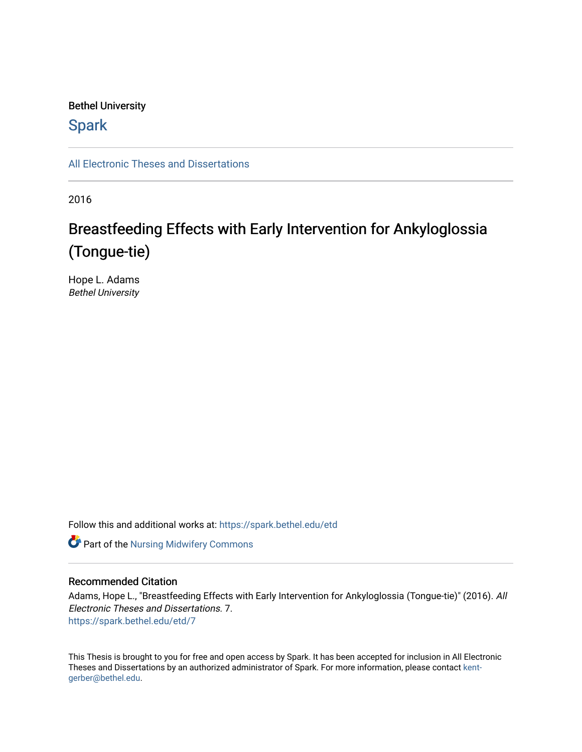#### Bethel University

## **Spark**

[All Electronic Theses and Dissertations](https://spark.bethel.edu/etd) 

2016

## Breastfeeding Effects with Early Intervention for Ankyloglossia (Tongue-tie)

Hope L. Adams Bethel University

Follow this and additional works at: [https://spark.bethel.edu/etd](https://spark.bethel.edu/etd?utm_source=spark.bethel.edu%2Fetd%2F7&utm_medium=PDF&utm_campaign=PDFCoverPages)



#### Recommended Citation

Adams, Hope L., "Breastfeeding Effects with Early Intervention for Ankyloglossia (Tongue-tie)" (2016). All Electronic Theses and Dissertations. 7. [https://spark.bethel.edu/etd/7](https://spark.bethel.edu/etd/7?utm_source=spark.bethel.edu%2Fetd%2F7&utm_medium=PDF&utm_campaign=PDFCoverPages)

This Thesis is brought to you for free and open access by Spark. It has been accepted for inclusion in All Electronic Theses and Dissertations by an authorized administrator of Spark. For more information, please contact [kent](mailto:kent-gerber@bethel.edu)[gerber@bethel.edu.](mailto:kent-gerber@bethel.edu)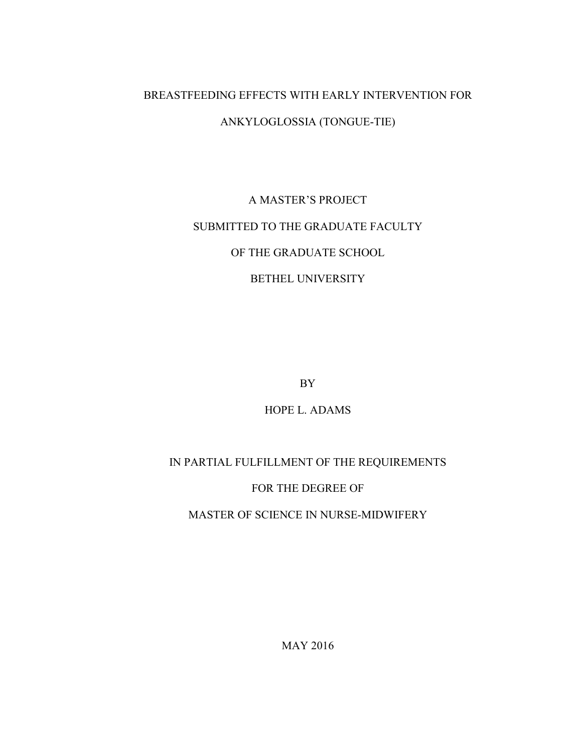# BREASTFEEDING EFFECTS WITH EARLY INTERVENTION FOR

## ANKYLOGLOSSIA (TONGUE-TIE)

# A MASTER'S PROJECT SUBMITTED TO THE GRADUATE FACULTY OF THE GRADUATE SCHOOL BETHEL UNIVERSITY

BY

HOPE L. ADAMS

IN PARTIAL FULFILLMENT OF THE REQUIREMENTS

FOR THE DEGREE OF

MASTER OF SCIENCE IN NURSE-MIDWIFERY

MAY 2016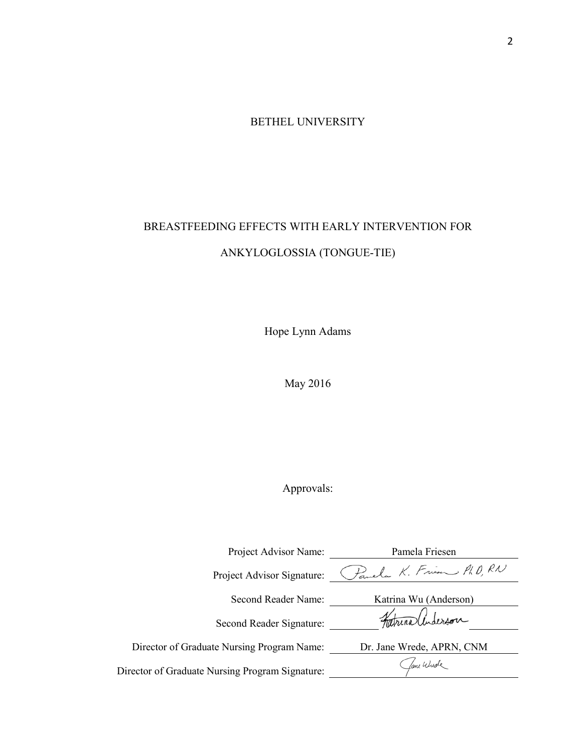BETHEL UNIVERSITY

## BREASTFEEDING EFFECTS WITH EARLY INTERVENTION FOR ANKYLOGLOSSIA (TONGUE-TIE)

Hope Lynn Adams

May 2016

Approvals:

| Project Advisor Name:                           | Pamela Friesen            |
|-------------------------------------------------|---------------------------|
| Project Advisor Signature:                      | Pavela K. Friem PLD. RN   |
| Second Reader Name:                             | Katrina Wu (Anderson)     |
| Second Reader Signature:                        | Fatura Underson           |
| Director of Graduate Nursing Program Name:      | Dr. Jane Wrede, APRN, CNM |
| Director of Graduate Nursing Program Signature: | fame Wude                 |
|                                                 |                           |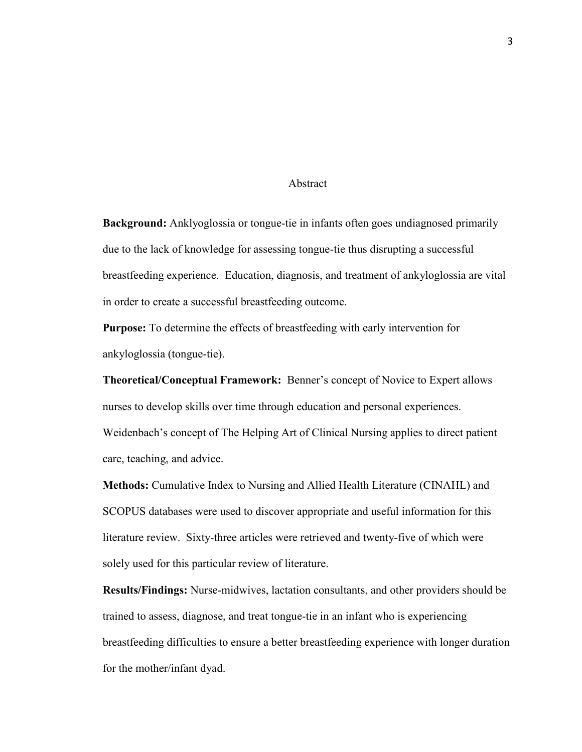#### Abstract

<span id="page-3-0"></span>**Background:** Anklyoglossia or tongue-tie in infants often goes undiagnosed primarily due to the lack of knowledge for assessing tongue-tie thus disrupting a successful breastfeeding experience. Education, diagnosis, and treatment of ankyloglossia are vital in order to create a successful breastfeeding outcome.

**Purpose:** To determine the effects of breastfeeding with early intervention for ankyloglossia (tongue-tie).

**Theoretical/Conceptual Framework:** Benner's concept of Novice to Expert allows nurses to develop skills over time through education and personal experiences. Weidenbach's concept of The Helping Art of Clinical Nursing applies to direct patient care, teaching, and advice.

**Methods:** Cumulative Index to Nursing and Allied Health Literature (CINAHL) and SCOPUS databases were used to discover appropriate and useful information for this literature review. Sixty-three articles were retrieved and twenty-five of which were solely used for this particular review of literature.

**Results/Findings:** Nurse-midwives, lactation consultants, and other providers should be trained to assess, diagnose, and treat tongue-tie in an infant who is experiencing breastfeeding difficulties to ensure a better breastfeeding experience with longer duration for the mother/infant dyad.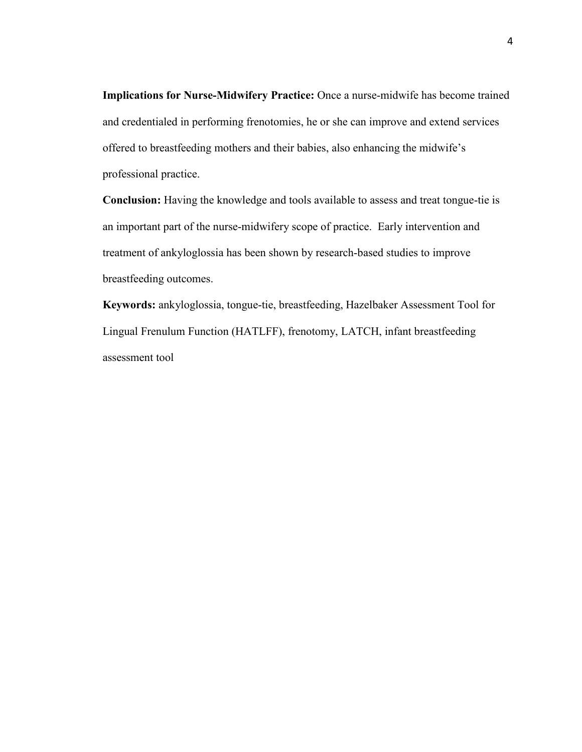**Implications for Nurse-Midwifery Practice:** Once a nurse-midwife has become trained and credentialed in performing frenotomies, he or she can improve and extend services offered to breastfeeding mothers and their babies, also enhancing the midwife's professional practice.

**Conclusion:** Having the knowledge and tools available to assess and treat tongue-tie is an important part of the nurse-midwifery scope of practice. Early intervention and treatment of ankyloglossia has been shown by research-based studies to improve breastfeeding outcomes.

**Keywords:** ankyloglossia, tongue-tie, breastfeeding, Hazelbaker Assessment Tool for Lingual Frenulum Function (HATLFF), frenotomy, LATCH, infant breastfeeding assessment tool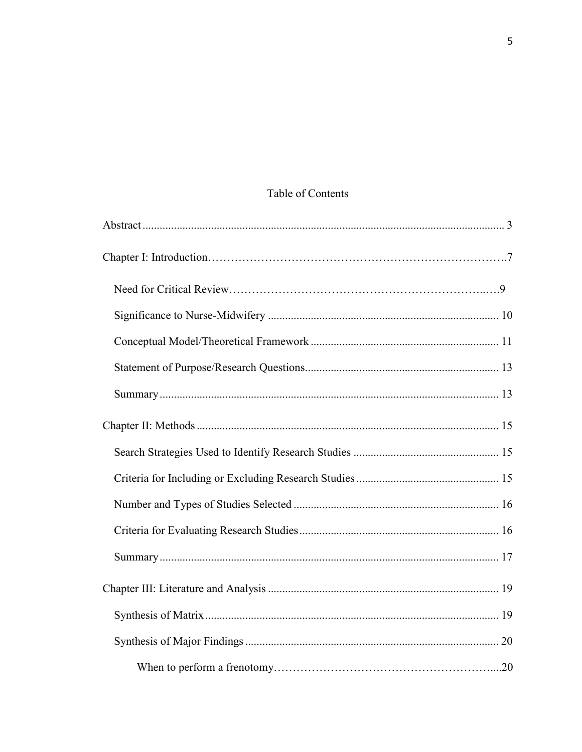## Table of Contents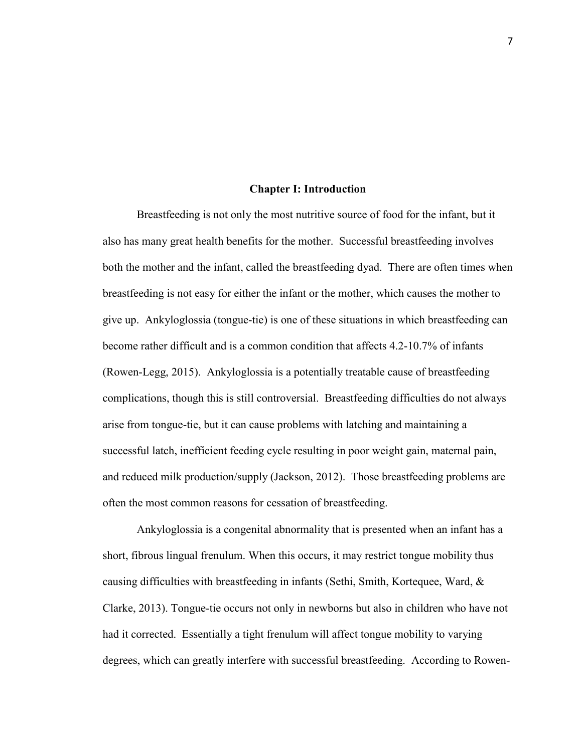#### **Chapter I: Introduction**

Breastfeeding is not only the most nutritive source of food for the infant, but it also has many great health benefits for the mother. Successful breastfeeding involves both the mother and the infant, called the breastfeeding dyad. There are often times when breastfeeding is not easy for either the infant or the mother, which causes the mother to give up. Ankyloglossia (tongue-tie) is one of these situations in which breastfeeding can become rather difficult and is a common condition that affects 4.2-10.7% of infants (Rowen-Legg, 2015). Ankyloglossia is a potentially treatable cause of breastfeeding complications, though this is still controversial. Breastfeeding difficulties do not always arise from tongue-tie, but it can cause problems with latching and maintaining a successful latch, inefficient feeding cycle resulting in poor weight gain, maternal pain, and reduced milk production/supply (Jackson, 2012). Those breastfeeding problems are often the most common reasons for cessation of breastfeeding.

Ankyloglossia is a congenital abnormality that is presented when an infant has a short, fibrous lingual frenulum. When this occurs, it may restrict tongue mobility thus causing difficulties with breastfeeding in infants (Sethi, Smith, Kortequee, Ward, & Clarke, 2013). Tongue-tie occurs not only in newborns but also in children who have not had it corrected. Essentially a tight frenulum will affect tongue mobility to varying degrees, which can greatly interfere with successful breastfeeding. According to Rowen-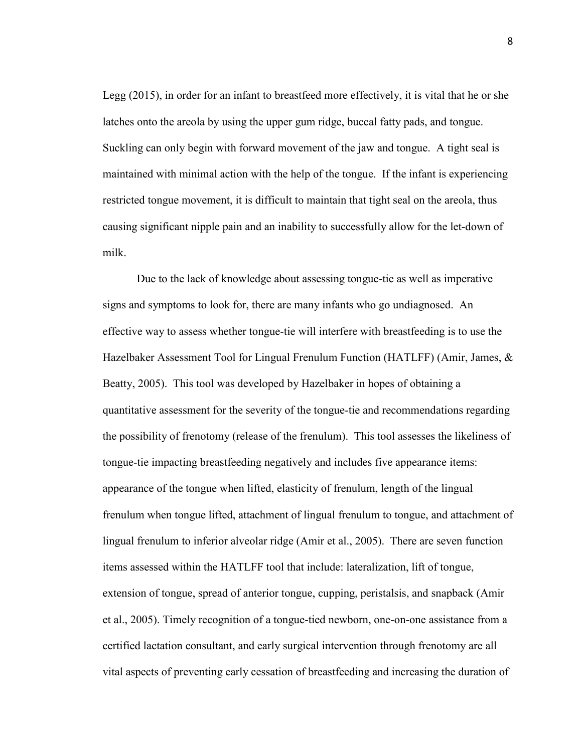Legg (2015), in order for an infant to breastfeed more effectively, it is vital that he or she latches onto the areola by using the upper gum ridge, buccal fatty pads, and tongue. Suckling can only begin with forward movement of the jaw and tongue. A tight seal is maintained with minimal action with the help of the tongue. If the infant is experiencing restricted tongue movement, it is difficult to maintain that tight seal on the areola, thus causing significant nipple pain and an inability to successfully allow for the let-down of milk.

 Due to the lack of knowledge about assessing tongue-tie as well as imperative signs and symptoms to look for, there are many infants who go undiagnosed. An effective way to assess whether tongue-tie will interfere with breastfeeding is to use the Hazelbaker Assessment Tool for Lingual Frenulum Function (HATLFF) (Amir, James, & Beatty, 2005). This tool was developed by Hazelbaker in hopes of obtaining a quantitative assessment for the severity of the tongue-tie and recommendations regarding the possibility of frenotomy (release of the frenulum). This tool assesses the likeliness of tongue-tie impacting breastfeeding negatively and includes five appearance items: appearance of the tongue when lifted, elasticity of frenulum, length of the lingual frenulum when tongue lifted, attachment of lingual frenulum to tongue, and attachment of lingual frenulum to inferior alveolar ridge (Amir et al., 2005). There are seven function items assessed within the HATLFF tool that include: lateralization, lift of tongue, extension of tongue, spread of anterior tongue, cupping, peristalsis, and snapback (Amir et al., 2005). Timely recognition of a tongue-tied newborn, one-on-one assistance from a certified lactation consultant, and early surgical intervention through frenotomy are all vital aspects of preventing early cessation of breastfeeding and increasing the duration of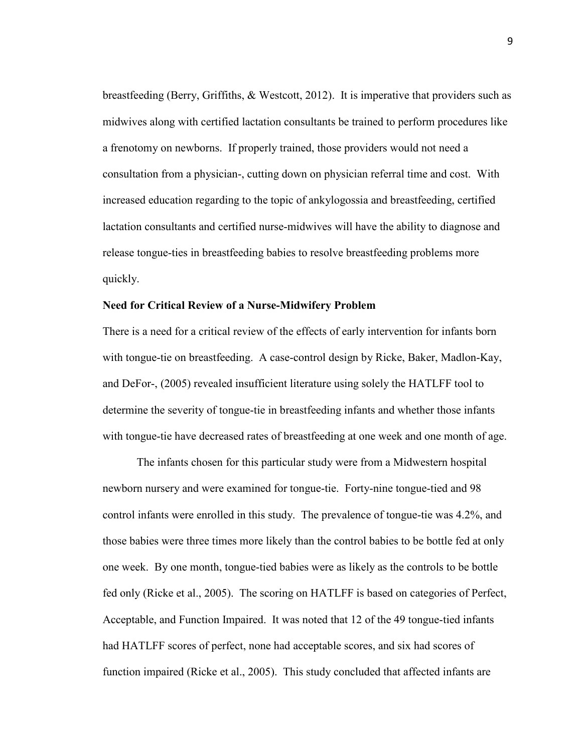breastfeeding (Berry, Griffiths, & Westcott, 2012). It is imperative that providers such as midwives along with certified lactation consultants be trained to perform procedures like a frenotomy on newborns. If properly trained, those providers would not need a consultation from a physician-, cutting down on physician referral time and cost. With increased education regarding to the topic of ankylogossia and breastfeeding, certified lactation consultants and certified nurse-midwives will have the ability to diagnose and release tongue-ties in breastfeeding babies to resolve breastfeeding problems more quickly.

#### **Need for Critical Review of a Nurse-Midwifery Problem**

There is a need for a critical review of the effects of early intervention for infants born with tongue-tie on breastfeeding. A case-control design by Ricke, Baker, Madlon-Kay, and DeFor-, (2005) revealed insufficient literature using solely the HATLFF tool to determine the severity of tongue-tie in breastfeeding infants and whether those infants with tongue-tie have decreased rates of breastfeeding at one week and one month of age.

The infants chosen for this particular study were from a Midwestern hospital newborn nursery and were examined for tongue-tie. Forty-nine tongue-tied and 98 control infants were enrolled in this study. The prevalence of tongue-tie was 4.2%, and those babies were three times more likely than the control babies to be bottle fed at only one week. By one month, tongue-tied babies were as likely as the controls to be bottle fed only (Ricke et al., 2005). The scoring on HATLFF is based on categories of Perfect, Acceptable, and Function Impaired. It was noted that 12 of the 49 tongue-tied infants had HATLFF scores of perfect, none had acceptable scores, and six had scores of function impaired (Ricke et al., 2005). This study concluded that affected infants are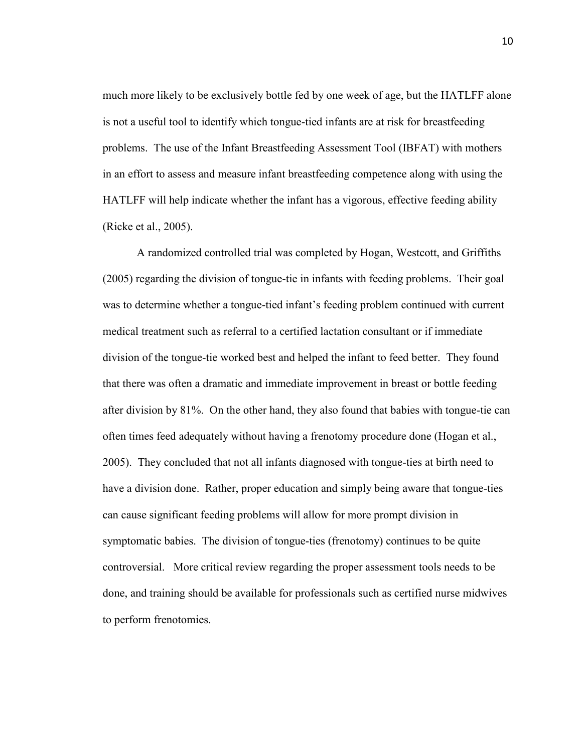much more likely to be exclusively bottle fed by one week of age, but the HATLFF alone is not a useful tool to identify which tongue-tied infants are at risk for breastfeeding problems. The use of the Infant Breastfeeding Assessment Tool (IBFAT) with mothers in an effort to assess and measure infant breastfeeding competence along with using the HATLFF will help indicate whether the infant has a vigorous, effective feeding ability (Ricke et al., 2005).

 A randomized controlled trial was completed by Hogan, Westcott, and Griffiths (2005) regarding the division of tongue-tie in infants with feeding problems. Their goal was to determine whether a tongue-tied infant's feeding problem continued with current medical treatment such as referral to a certified lactation consultant or if immediate division of the tongue-tie worked best and helped the infant to feed better. They found that there was often a dramatic and immediate improvement in breast or bottle feeding after division by 81%. On the other hand, they also found that babies with tongue-tie can often times feed adequately without having a frenotomy procedure done (Hogan et al., 2005). They concluded that not all infants diagnosed with tongue-ties at birth need to have a division done. Rather, proper education and simply being aware that tongue-ties can cause significant feeding problems will allow for more prompt division in symptomatic babies. The division of tongue-ties (frenotomy) continues to be quite controversial. More critical review regarding the proper assessment tools needs to be done, and training should be available for professionals such as certified nurse midwives to perform frenotomies.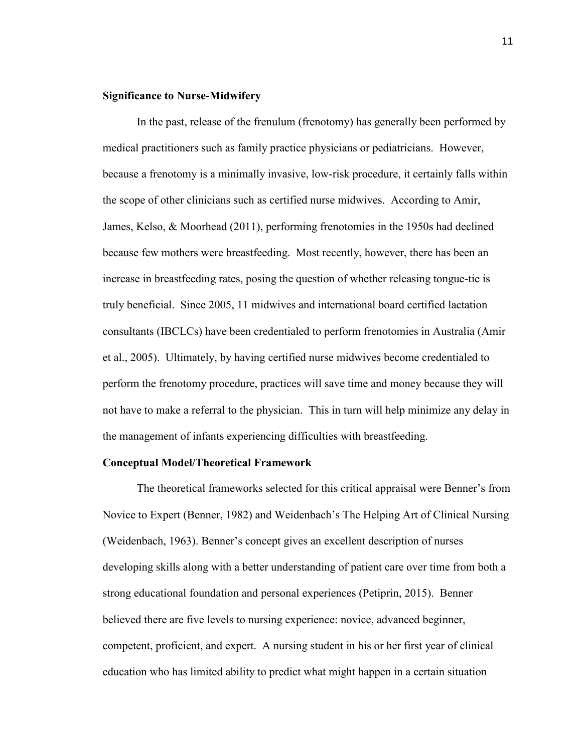#### <span id="page-11-0"></span>**Significance to Nurse-Midwifery**

In the past, release of the frenulum (frenotomy) has generally been performed by medical practitioners such as family practice physicians or pediatricians. However, because a frenotomy is a minimally invasive, low-risk procedure, it certainly falls within the scope of other clinicians such as certified nurse midwives. According to Amir, James, Kelso, & Moorhead (2011), performing frenotomies in the 1950s had declined because few mothers were breastfeeding. Most recently, however, there has been an increase in breastfeeding rates, posing the question of whether releasing tongue-tie is truly beneficial. Since 2005, 11 midwives and international board certified lactation consultants (IBCLCs) have been credentialed to perform frenotomies in Australia (Amir et al., 2005). Ultimately, by having certified nurse midwives become credentialed to perform the frenotomy procedure, practices will save time and money because they will not have to make a referral to the physician. This in turn will help minimize any delay in the management of infants experiencing difficulties with breastfeeding.

#### <span id="page-11-2"></span><span id="page-11-1"></span>**Conceptual Model/Theoretical Framework**

The theoretical frameworks selected for this critical appraisal were Benner's from Novice to Expert (Benner, 1982) and Weidenbach's The Helping Art of Clinical Nursing (Weidenbach, 1963). Benner's concept gives an excellent description of nurses developing skills along with a better understanding of patient care over time from both a strong educational foundation and personal experiences (Petiprin, 2015). Benner believed there are five levels to nursing experience: novice, advanced beginner, competent, proficient, and expert. A nursing student in his or her first year of clinical education who has limited ability to predict what might happen in a certain situation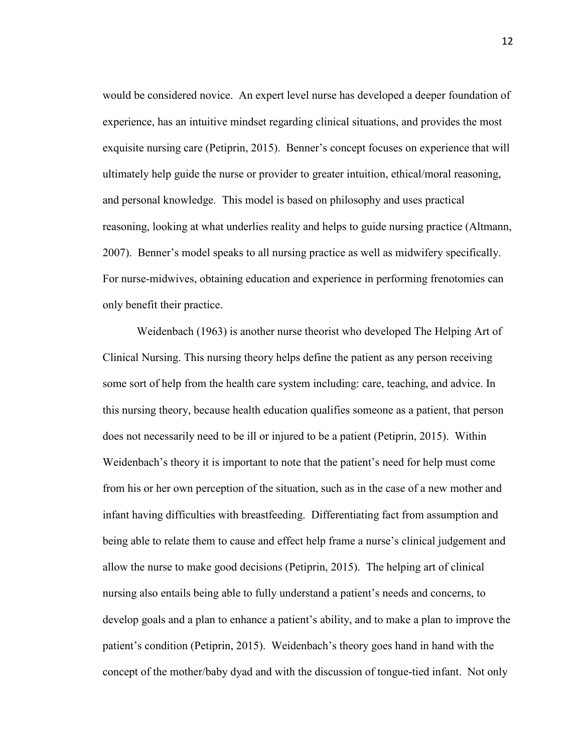would be considered novice. An expert level nurse has developed a deeper foundation of experience, has an intuitive mindset regarding clinical situations, and provides the most exquisite nursing care (Petiprin, 2015). Benner's concept focuses on experience that will ultimately help guide the nurse or provider to greater intuition, ethical/moral reasoning, and personal knowledge. This model is based on philosophy and uses practical reasoning, looking at what underlies reality and helps to guide nursing practice (Altmann, 2007). Benner's model speaks to all nursing practice as well as midwifery specifically. For nurse-midwives, obtaining education and experience in performing frenotomies can only benefit their practice.

Weidenbach (1963) is another nurse theorist who developed The Helping Art of Clinical Nursing. This nursing theory helps define the patient as any person receiving some sort of help from the health care system including: care, teaching, and advice. In this nursing theory, because health education qualifies someone as a patient, that person does not necessarily need to be ill or injured to be a patient (Petiprin, 2015). Within Weidenbach's theory it is important to note that the patient's need for help must come from his or her own perception of the situation, such as in the case of a new mother and infant having difficulties with breastfeeding. Differentiating fact from assumption and being able to relate them to cause and effect help frame a nurse's clinical judgement and allow the nurse to make good decisions (Petiprin, 2015). The helping art of clinical nursing also entails being able to fully understand a patient's needs and concerns, to develop goals and a plan to enhance a patient's ability, and to make a plan to improve the patient's condition (Petiprin, 2015). Weidenbach's theory goes hand in hand with the concept of the mother/baby dyad and with the discussion of tongue-tied infant. Not only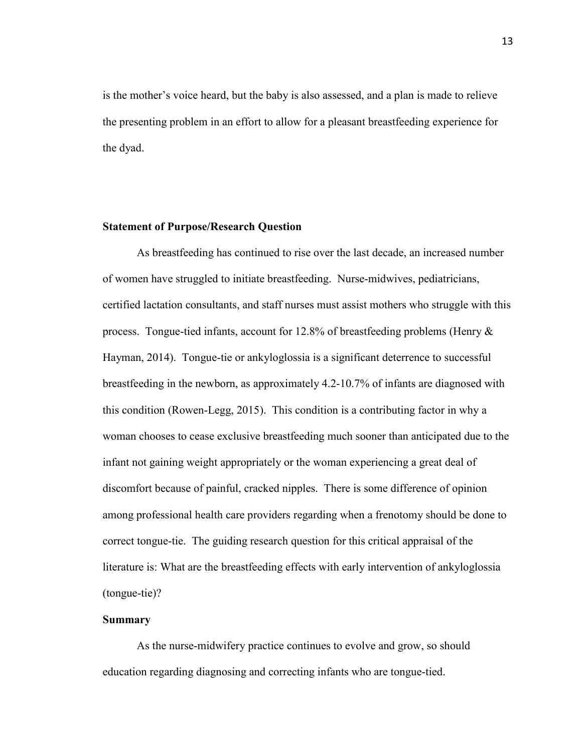is the mother's voice heard, but the baby is also assessed, and a plan is made to relieve the presenting problem in an effort to allow for a pleasant breastfeeding experience for the dyad.

#### <span id="page-13-0"></span>**Statement of Purpose/Research Question**

As breastfeeding has continued to rise over the last decade, an increased number of women have struggled to initiate breastfeeding. Nurse-midwives, pediatricians, certified lactation consultants, and staff nurses must assist mothers who struggle with this process. Tongue-tied infants, account for 12.8% of breastfeeding problems (Henry & Hayman, 2014). Tongue-tie or ankyloglossia is a significant deterrence to successful breastfeeding in the newborn, as approximately 4.2-10.7% of infants are diagnosed with this condition (Rowen-Legg, 2015). This condition is a contributing factor in why a woman chooses to cease exclusive breastfeeding much sooner than anticipated due to the infant not gaining weight appropriately or the woman experiencing a great deal of discomfort because of painful, cracked nipples. There is some difference of opinion among professional health care providers regarding when a frenotomy should be done to correct tongue-tie. The guiding research question for this critical appraisal of the literature is: What are the breastfeeding effects with early intervention of ankyloglossia (tongue-tie)?

#### <span id="page-13-1"></span>**Summary**

 As the nurse-midwifery practice continues to evolve and grow, so should education regarding diagnosing and correcting infants who are tongue-tied.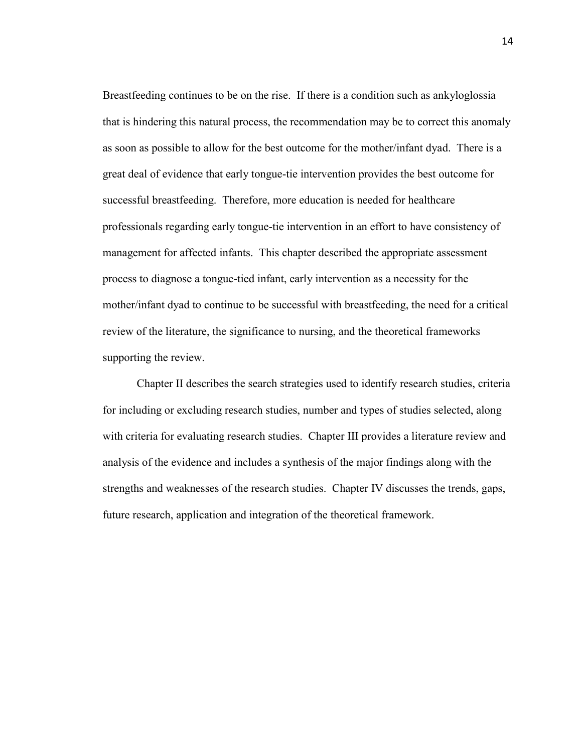Breastfeeding continues to be on the rise. If there is a condition such as ankyloglossia that is hindering this natural process, the recommendation may be to correct this anomaly as soon as possible to allow for the best outcome for the mother/infant dyad. There is a great deal of evidence that early tongue-tie intervention provides the best outcome for successful breastfeeding. Therefore, more education is needed for healthcare professionals regarding early tongue-tie intervention in an effort to have consistency of management for affected infants. This chapter described the appropriate assessment process to diagnose a tongue-tied infant, early intervention as a necessity for the mother/infant dyad to continue to be successful with breastfeeding, the need for a critical review of the literature, the significance to nursing, and the theoretical frameworks supporting the review.

Chapter II describes the search strategies used to identify research studies, criteria for including or excluding research studies, number and types of studies selected, along with criteria for evaluating research studies. Chapter III provides a literature review and analysis of the evidence and includes a synthesis of the major findings along with the strengths and weaknesses of the research studies. Chapter IV discusses the trends, gaps, future research, application and integration of the theoretical framework.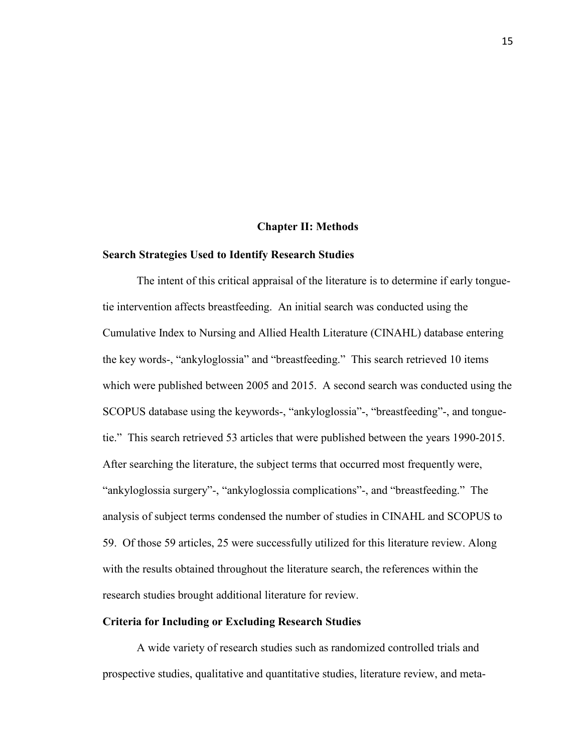#### **Chapter II: Methods**

#### <span id="page-15-0"></span>**Search Strategies Used to Identify Research Studies**

The intent of this critical appraisal of the literature is to determine if early tonguetie intervention affects breastfeeding. An initial search was conducted using the Cumulative Index to Nursing and Allied Health Literature (CINAHL) database entering the key words-, "ankyloglossia" and "breastfeeding." This search retrieved 10 items which were published between 2005 and 2015. A second search was conducted using the SCOPUS database using the keywords-, "ankyloglossia"-, "breastfeeding"-, and tonguetie." This search retrieved 53 articles that were published between the years 1990-2015. After searching the literature, the subject terms that occurred most frequently were, "ankyloglossia surgery"-, "ankyloglossia complications"-, and "breastfeeding." The analysis of subject terms condensed the number of studies in CINAHL and SCOPUS to 59. Of those 59 articles, 25 were successfully utilized for this literature review. Along with the results obtained throughout the literature search, the references within the research studies brought additional literature for review.

#### <span id="page-15-1"></span>**Criteria for Including or Excluding Research Studies**

A wide variety of research studies such as randomized controlled trials and prospective studies, qualitative and quantitative studies, literature review, and meta-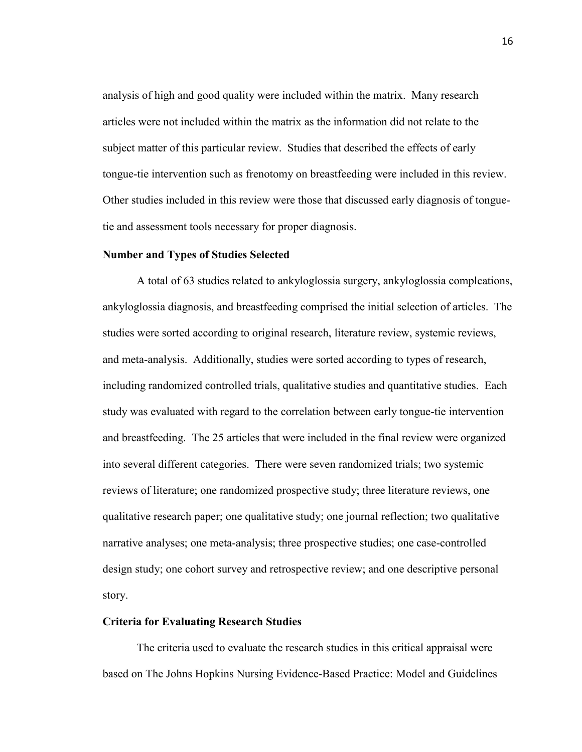analysis of high and good quality were included within the matrix. Many research articles were not included within the matrix as the information did not relate to the subject matter of this particular review. Studies that described the effects of early tongue-tie intervention such as frenotomy on breastfeeding were included in this review. Other studies included in this review were those that discussed early diagnosis of tonguetie and assessment tools necessary for proper diagnosis.

#### <span id="page-16-0"></span>**Number and Types of Studies Selected**

 A total of 63 studies related to ankyloglossia surgery, ankyloglossia complcations, ankyloglossia diagnosis, and breastfeeding comprised the initial selection of articles. The studies were sorted according to original research, literature review, systemic reviews, and meta-analysis. Additionally, studies were sorted according to types of research, including randomized controlled trials, qualitative studies and quantitative studies. Each study was evaluated with regard to the correlation between early tongue-tie intervention and breastfeeding. The 25 articles that were included in the final review were organized into several different categories. There were seven randomized trials; two systemic reviews of literature; one randomized prospective study; three literature reviews, one qualitative research paper; one qualitative study; one journal reflection; two qualitative narrative analyses; one meta-analysis; three prospective studies; one case-controlled design study; one cohort survey and retrospective review; and one descriptive personal story.

#### <span id="page-16-1"></span>**Criteria for Evaluating Research Studies**

The criteria used to evaluate the research studies in this critical appraisal were based on The Johns Hopkins Nursing Evidence-Based Practice: Model and Guidelines

16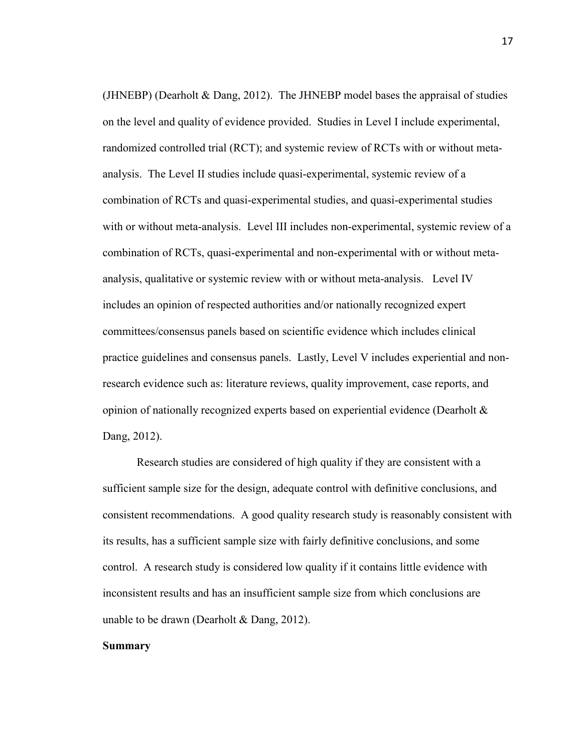(JHNEBP) (Dearholt & Dang, 2012). The JHNEBP model bases the appraisal of studies on the level and quality of evidence provided. Studies in Level I include experimental, randomized controlled trial (RCT); and systemic review of RCTs with or without metaanalysis. The Level II studies include quasi-experimental, systemic review of a combination of RCTs and quasi-experimental studies, and quasi-experimental studies with or without meta-analysis. Level III includes non-experimental, systemic review of a combination of RCTs, quasi-experimental and non-experimental with or without metaanalysis, qualitative or systemic review with or without meta-analysis. Level IV includes an opinion of respected authorities and/or nationally recognized expert committees/consensus panels based on scientific evidence which includes clinical practice guidelines and consensus panels. Lastly, Level V includes experiential and nonresearch evidence such as: literature reviews, quality improvement, case reports, and opinion of nationally recognized experts based on experiential evidence (Dearholt & Dang, 2012).

 Research studies are considered of high quality if they are consistent with a sufficient sample size for the design, adequate control with definitive conclusions, and consistent recommendations. A good quality research study is reasonably consistent with its results, has a sufficient sample size with fairly definitive conclusions, and some control. A research study is considered low quality if it contains little evidence with inconsistent results and has an insufficient sample size from which conclusions are unable to be drawn (Dearholt & Dang, 2012).

#### <span id="page-17-1"></span><span id="page-17-0"></span>**Summary**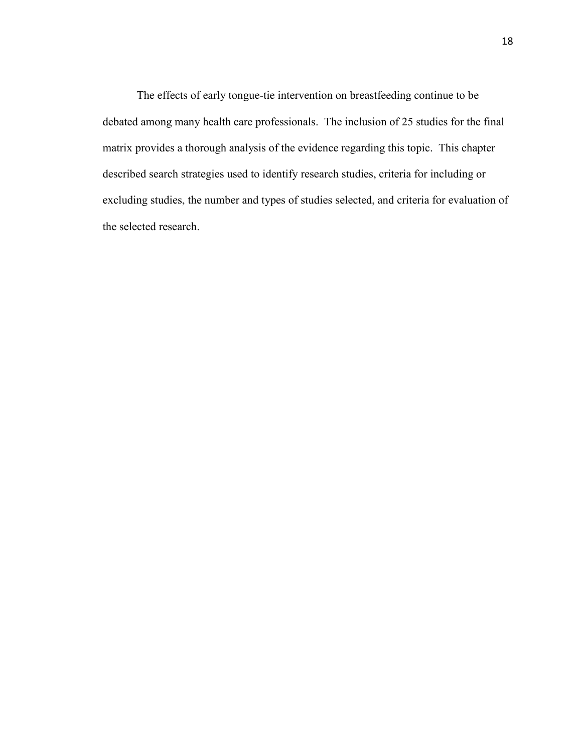The effects of early tongue-tie intervention on breastfeeding continue to be debated among many health care professionals. The inclusion of 25 studies for the final matrix provides a thorough analysis of the evidence regarding this topic. This chapter described search strategies used to identify research studies, criteria for including or excluding studies, the number and types of studies selected, and criteria for evaluation of the selected research.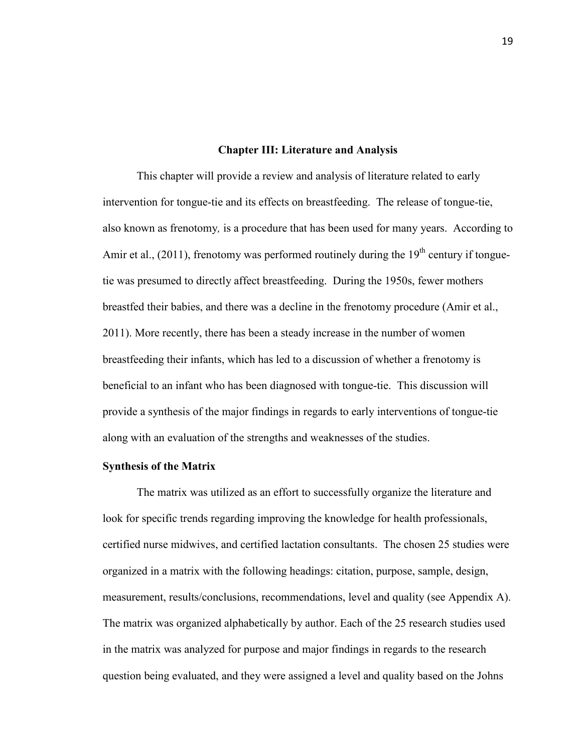#### **Chapter III: Literature and Analysis**

This chapter will provide a review and analysis of literature related to early intervention for tongue-tie and its effects on breastfeeding. The release of tongue-tie, also known as frenotomy*,* is a procedure that has been used for many years. According to Amir et al.,  $(2011)$ , frenotomy was performed routinely during the 19<sup>th</sup> century if tonguetie was presumed to directly affect breastfeeding. During the 1950s, fewer mothers breastfed their babies, and there was a decline in the frenotomy procedure (Amir et al., 2011). More recently, there has been a steady increase in the number of women breastfeeding their infants, which has led to a discussion of whether a frenotomy is beneficial to an infant who has been diagnosed with tongue-tie. This discussion will provide a synthesis of the major findings in regards to early interventions of tongue-tie along with an evaluation of the strengths and weaknesses of the studies.

#### <span id="page-19-0"></span>**Synthesis of the Matrix**

The matrix was utilized as an effort to successfully organize the literature and look for specific trends regarding improving the knowledge for health professionals, certified nurse midwives, and certified lactation consultants. The chosen 25 studies were organized in a matrix with the following headings: citation, purpose, sample, design, measurement, results/conclusions, recommendations, level and quality (see Appendix A). The matrix was organized alphabetically by author. Each of the 25 research studies used in the matrix was analyzed for purpose and major findings in regards to the research question being evaluated, and they were assigned a level and quality based on the Johns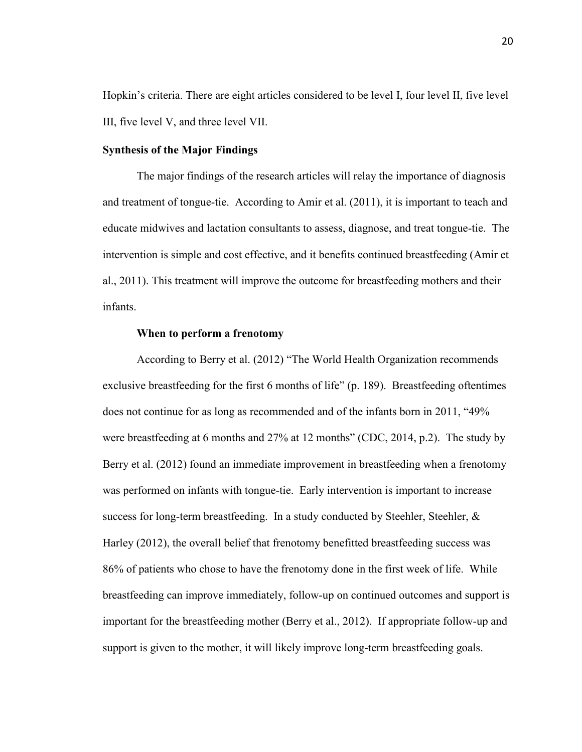Hopkin's criteria. There are eight articles considered to be level I, four level II, five level III, five level V, and three level VII.

#### <span id="page-20-0"></span>**Synthesis of the Major Findings**

The major findings of the research articles will relay the importance of diagnosis and treatment of tongue-tie. According to Amir et al. (2011), it is important to teach and educate midwives and lactation consultants to assess, diagnose, and treat tongue-tie. The intervention is simple and cost effective, and it benefits continued breastfeeding (Amir et al., 2011). This treatment will improve the outcome for breastfeeding mothers and their infants.

#### **When to perform a frenotomy**

 According to Berry et al. (2012) "The World Health Organization recommends exclusive breastfeeding for the first 6 months of life" (p. 189). Breastfeeding oftentimes does not continue for as long as recommended and of the infants born in 2011, "49% were breastfeeding at 6 months and 27% at 12 months" (CDC, 2014, p.2). The study by Berry et al. (2012) found an immediate improvement in breastfeeding when a frenotomy was performed on infants with tongue-tie. Early intervention is important to increase success for long-term breastfeeding. In a study conducted by Steehler, Steehler, & Harley (2012), the overall belief that frenotomy benefitted breastfeeding success was 86% of patients who chose to have the frenotomy done in the first week of life. While breastfeeding can improve immediately, follow-up on continued outcomes and support is important for the breastfeeding mother (Berry et al., 2012). If appropriate follow-up and support is given to the mother, it will likely improve long-term breastfeeding goals.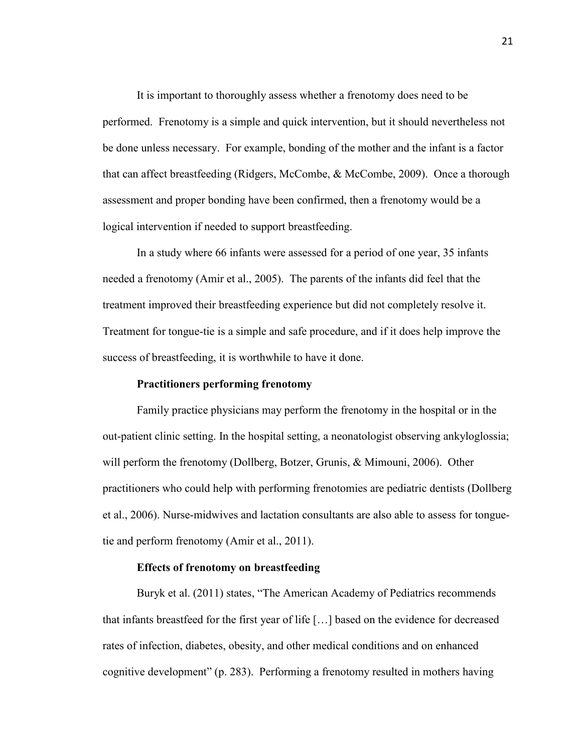It is important to thoroughly assess whether a frenotomy does need to be performed. Frenotomy is a simple and quick intervention, but it should nevertheless not be done unless necessary. For example, bonding of the mother and the infant is a factor that can affect breastfeeding (Ridgers, McCombe, & McCombe, 2009). Once a thorough assessment and proper bonding have been confirmed, then a frenotomy would be a logical intervention if needed to support breastfeeding.

In a study where 66 infants were assessed for a period of one year, 35 infants needed a frenotomy (Amir et al., 2005). The parents of the infants did feel that the treatment improved their breastfeeding experience but did not completely resolve it. Treatment for tongue-tie is a simple and safe procedure, and if it does help improve the success of breastfeeding, it is worthwhile to have it done.

#### **Practitioners performing frenotomy**

Family practice physicians may perform the frenotomy in the hospital or in the out-patient clinic setting. In the hospital setting, a neonatologist observing ankyloglossia; will perform the frenotomy (Dollberg, Botzer, Grunis, & Mimouni, 2006). Other practitioners who could help with performing frenotomies are pediatric dentists (Dollberg et al., 2006). Nurse-midwives and lactation consultants are also able to assess for tonguetie and perform frenotomy (Amir et al., 2011).

#### **Effects of frenotomy on breastfeeding**

Buryk et al. (2011) states, "The American Academy of Pediatrics recommends that infants breastfeed for the first year of life […] based on the evidence for decreased rates of infection, diabetes, obesity, and other medical conditions and on enhanced cognitive development" (p. 283). Performing a frenotomy resulted in mothers having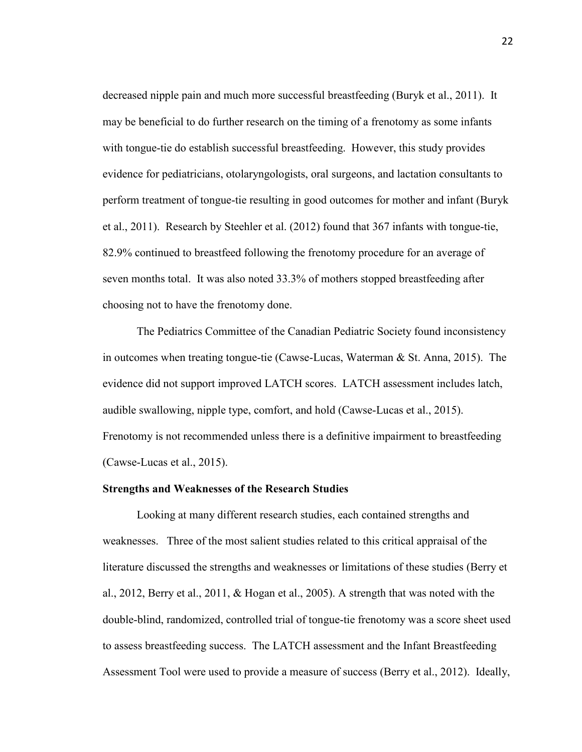decreased nipple pain and much more successful breastfeeding (Buryk et al., 2011). It may be beneficial to do further research on the timing of a frenotomy as some infants with tongue-tie do establish successful breastfeeding. However, this study provides evidence for pediatricians, otolaryngologists, oral surgeons, and lactation consultants to perform treatment of tongue-tie resulting in good outcomes for mother and infant (Buryk et al., 2011). Research by Steehler et al. (2012) found that 367 infants with tongue-tie, 82.9% continued to breastfeed following the frenotomy procedure for an average of seven months total. It was also noted 33.3% of mothers stopped breastfeeding after choosing not to have the frenotomy done.

The Pediatrics Committee of the Canadian Pediatric Society found inconsistency in outcomes when treating tongue-tie (Cawse-Lucas, Waterman & St. Anna, 2015). The evidence did not support improved LATCH scores. LATCH assessment includes latch, audible swallowing, nipple type, comfort, and hold (Cawse-Lucas et al., 2015). Frenotomy is not recommended unless there is a definitive impairment to breastfeeding (Cawse-Lucas et al., 2015).

#### <span id="page-22-0"></span>**Strengths and Weaknesses of the Research Studies**

Looking at many different research studies, each contained strengths and weaknesses. Three of the most salient studies related to this critical appraisal of the literature discussed the strengths and weaknesses or limitations of these studies (Berry et al., 2012, Berry et al., 2011,  $\&$  Hogan et al., 2005). A strength that was noted with the double-blind, randomized, controlled trial of tongue-tie frenotomy was a score sheet used to assess breastfeeding success. The LATCH assessment and the Infant Breastfeeding Assessment Tool were used to provide a measure of success (Berry et al., 2012). Ideally,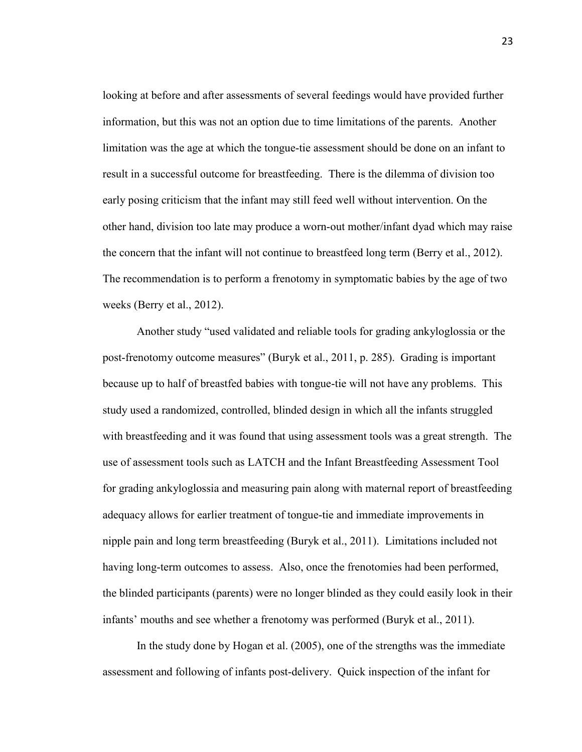looking at before and after assessments of several feedings would have provided further information, but this was not an option due to time limitations of the parents. Another limitation was the age at which the tongue-tie assessment should be done on an infant to result in a successful outcome for breastfeeding. There is the dilemma of division too early posing criticism that the infant may still feed well without intervention. On the other hand, division too late may produce a worn-out mother/infant dyad which may raise the concern that the infant will not continue to breastfeed long term (Berry et al., 2012). The recommendation is to perform a frenotomy in symptomatic babies by the age of two weeks (Berry et al., 2012).

 Another study "used validated and reliable tools for grading ankyloglossia or the post-frenotomy outcome measures" (Buryk et al., 2011, p. 285). Grading is important because up to half of breastfed babies with tongue-tie will not have any problems. This study used a randomized, controlled, blinded design in which all the infants struggled with breastfeeding and it was found that using assessment tools was a great strength. The use of assessment tools such as LATCH and the Infant Breastfeeding Assessment Tool for grading ankyloglossia and measuring pain along with maternal report of breastfeeding adequacy allows for earlier treatment of tongue-tie and immediate improvements in nipple pain and long term breastfeeding (Buryk et al., 2011). Limitations included not having long-term outcomes to assess. Also, once the frenotomies had been performed, the blinded participants (parents) were no longer blinded as they could easily look in their infants' mouths and see whether a frenotomy was performed (Buryk et al., 2011).

 In the study done by Hogan et al. (2005), one of the strengths was the immediate assessment and following of infants post-delivery. Quick inspection of the infant for

23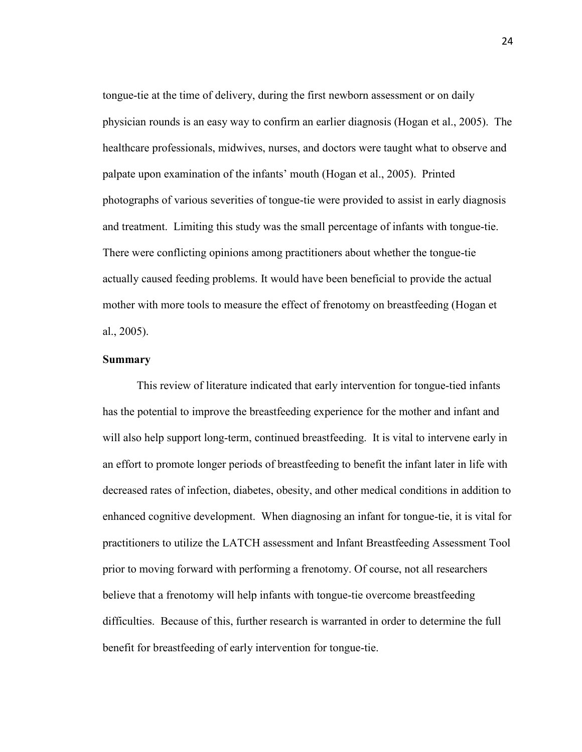tongue-tie at the time of delivery, during the first newborn assessment or on daily physician rounds is an easy way to confirm an earlier diagnosis (Hogan et al., 2005). The healthcare professionals, midwives, nurses, and doctors were taught what to observe and palpate upon examination of the infants' mouth (Hogan et al., 2005). Printed photographs of various severities of tongue-tie were provided to assist in early diagnosis and treatment. Limiting this study was the small percentage of infants with tongue-tie. There were conflicting opinions among practitioners about whether the tongue-tie actually caused feeding problems. It would have been beneficial to provide the actual mother with more tools to measure the effect of frenotomy on breastfeeding (Hogan et al., 2005).

#### <span id="page-24-1"></span><span id="page-24-0"></span>**Summary**

This review of literature indicated that early intervention for tongue-tied infants has the potential to improve the breastfeeding experience for the mother and infant and will also help support long-term, continued breastfeeding. It is vital to intervene early in an effort to promote longer periods of breastfeeding to benefit the infant later in life with decreased rates of infection, diabetes, obesity, and other medical conditions in addition to enhanced cognitive development. When diagnosing an infant for tongue-tie, it is vital for practitioners to utilize the LATCH assessment and Infant Breastfeeding Assessment Tool prior to moving forward with performing a frenotomy. Of course, not all researchers believe that a frenotomy will help infants with tongue-tie overcome breastfeeding difficulties. Because of this, further research is warranted in order to determine the full benefit for breastfeeding of early intervention for tongue-tie.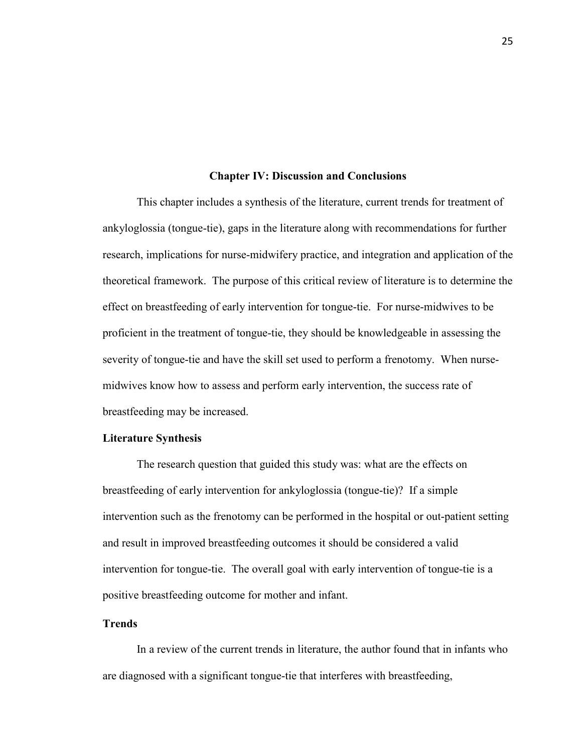#### **Chapter IV: Discussion and Conclusions**

This chapter includes a synthesis of the literature, current trends for treatment of ankyloglossia (tongue-tie), gaps in the literature along with recommendations for further research, implications for nurse-midwifery practice, and integration and application of the theoretical framework. The purpose of this critical review of literature is to determine the effect on breastfeeding of early intervention for tongue-tie. For nurse-midwives to be proficient in the treatment of tongue-tie, they should be knowledgeable in assessing the severity of tongue-tie and have the skill set used to perform a frenotomy. When nursemidwives know how to assess and perform early intervention, the success rate of breastfeeding may be increased.

#### **Literature Synthesis**

The research question that guided this study was: what are the effects on breastfeeding of early intervention for ankyloglossia (tongue-tie)? If a simple intervention such as the frenotomy can be performed in the hospital or out-patient setting and result in improved breastfeeding outcomes it should be considered a valid intervention for tongue-tie. The overall goal with early intervention of tongue-tie is a positive breastfeeding outcome for mother and infant.

#### <span id="page-25-0"></span>**Trends**

 In a review of the current trends in literature, the author found that in infants who are diagnosed with a significant tongue-tie that interferes with breastfeeding,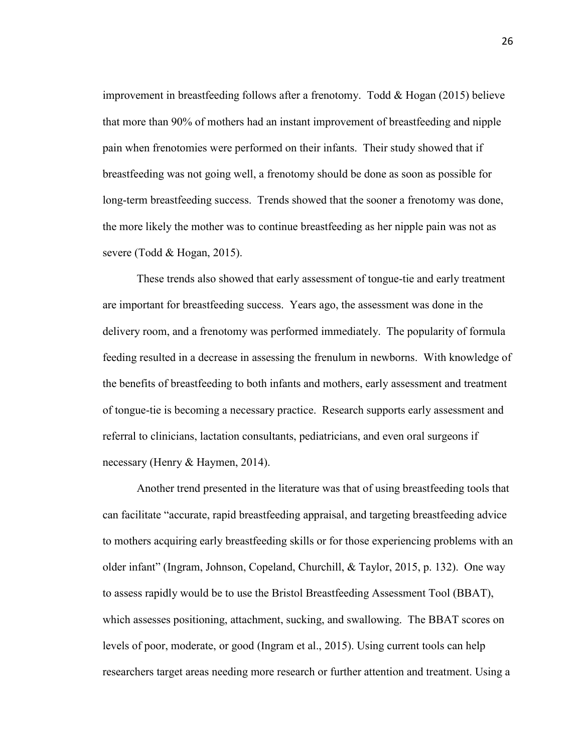improvement in breastfeeding follows after a frenotomy. Todd & Hogan (2015) believe that more than 90% of mothers had an instant improvement of breastfeeding and nipple pain when frenotomies were performed on their infants. Their study showed that if breastfeeding was not going well, a frenotomy should be done as soon as possible for long-term breastfeeding success. Trends showed that the sooner a frenotomy was done, the more likely the mother was to continue breastfeeding as her nipple pain was not as severe (Todd & Hogan, 2015).

These trends also showed that early assessment of tongue-tie and early treatment are important for breastfeeding success. Years ago, the assessment was done in the delivery room, and a frenotomy was performed immediately. The popularity of formula feeding resulted in a decrease in assessing the frenulum in newborns. With knowledge of the benefits of breastfeeding to both infants and mothers, early assessment and treatment of tongue-tie is becoming a necessary practice. Research supports early assessment and referral to clinicians, lactation consultants, pediatricians, and even oral surgeons if necessary (Henry & Haymen, 2014).

 Another trend presented in the literature was that of using breastfeeding tools that can facilitate "accurate, rapid breastfeeding appraisal, and targeting breastfeeding advice to mothers acquiring early breastfeeding skills or for those experiencing problems with an older infant" (Ingram, Johnson, Copeland, Churchill, & Taylor, 2015, p. 132). One way to assess rapidly would be to use the Bristol Breastfeeding Assessment Tool (BBAT), which assesses positioning, attachment, sucking, and swallowing. The BBAT scores on levels of poor, moderate, or good (Ingram et al., 2015). Using current tools can help researchers target areas needing more research or further attention and treatment. Using a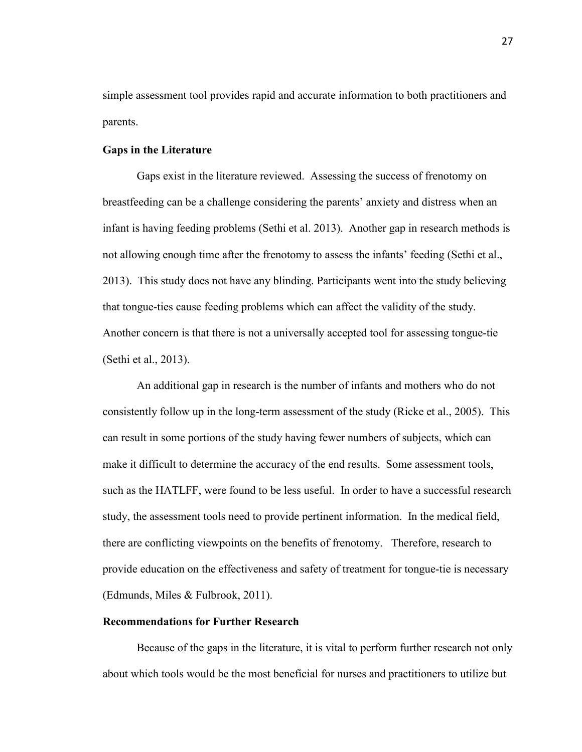simple assessment tool provides rapid and accurate information to both practitioners and parents.

#### <span id="page-27-0"></span>**Gaps in the Literature**

Gaps exist in the literature reviewed. Assessing the success of frenotomy on breastfeeding can be a challenge considering the parents' anxiety and distress when an infant is having feeding problems (Sethi et al. 2013). Another gap in research methods is not allowing enough time after the frenotomy to assess the infants' feeding (Sethi et al., 2013). This study does not have any blinding. Participants went into the study believing that tongue-ties cause feeding problems which can affect the validity of the study. Another concern is that there is not a universally accepted tool for assessing tongue-tie (Sethi et al., 2013).

 An additional gap in research is the number of infants and mothers who do not consistently follow up in the long-term assessment of the study (Ricke et al., 2005). This can result in some portions of the study having fewer numbers of subjects, which can make it difficult to determine the accuracy of the end results. Some assessment tools, such as the HATLFF, were found to be less useful. In order to have a successful research study, the assessment tools need to provide pertinent information. In the medical field, there are conflicting viewpoints on the benefits of frenotomy. Therefore, research to provide education on the effectiveness and safety of treatment for tongue-tie is necessary (Edmunds, Miles & Fulbrook, 2011).

#### **Recommendations for Further Research**

Because of the gaps in the literature, it is vital to perform further research not only about which tools would be the most beneficial for nurses and practitioners to utilize but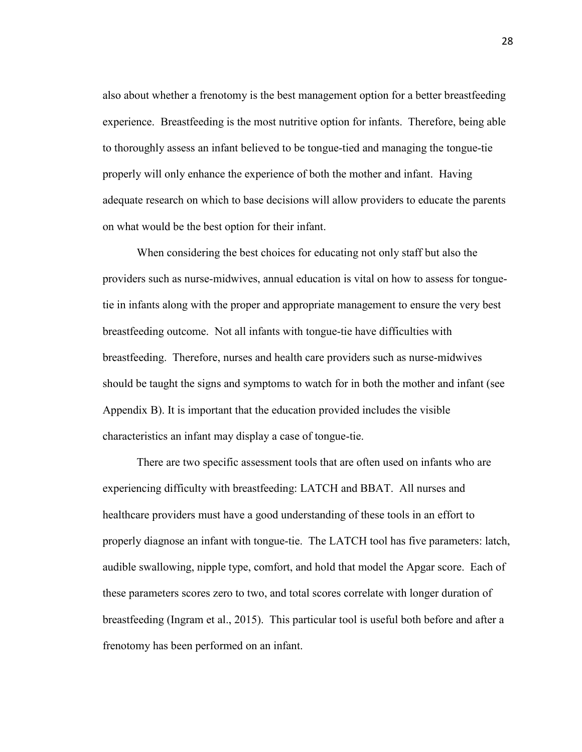also about whether a frenotomy is the best management option for a better breastfeeding experience. Breastfeeding is the most nutritive option for infants. Therefore, being able to thoroughly assess an infant believed to be tongue-tied and managing the tongue-tie properly will only enhance the experience of both the mother and infant. Having adequate research on which to base decisions will allow providers to educate the parents on what would be the best option for their infant.

When considering the best choices for educating not only staff but also the providers such as nurse-midwives, annual education is vital on how to assess for tonguetie in infants along with the proper and appropriate management to ensure the very best breastfeeding outcome. Not all infants with tongue-tie have difficulties with breastfeeding. Therefore, nurses and health care providers such as nurse-midwives should be taught the signs and symptoms to watch for in both the mother and infant (see Appendix B). It is important that the education provided includes the visible characteristics an infant may display a case of tongue-tie.

There are two specific assessment tools that are often used on infants who are experiencing difficulty with breastfeeding: LATCH and BBAT. All nurses and healthcare providers must have a good understanding of these tools in an effort to properly diagnose an infant with tongue-tie. The LATCH tool has five parameters: latch, audible swallowing, nipple type, comfort, and hold that model the Apgar score. Each of these parameters scores zero to two, and total scores correlate with longer duration of breastfeeding (Ingram et al., 2015). This particular tool is useful both before and after a frenotomy has been performed on an infant.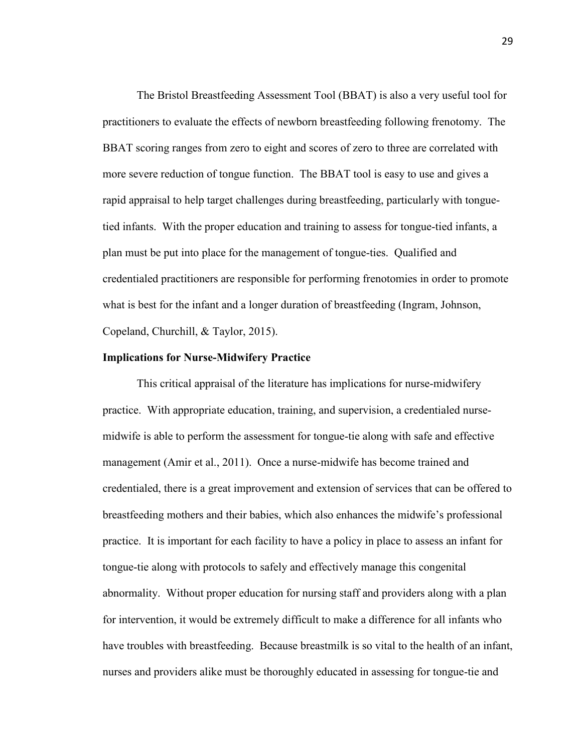The Bristol Breastfeeding Assessment Tool (BBAT) is also a very useful tool for practitioners to evaluate the effects of newborn breastfeeding following frenotomy. The BBAT scoring ranges from zero to eight and scores of zero to three are correlated with more severe reduction of tongue function. The BBAT tool is easy to use and gives a rapid appraisal to help target challenges during breastfeeding, particularly with tonguetied infants. With the proper education and training to assess for tongue-tied infants, a plan must be put into place for the management of tongue-ties. Qualified and credentialed practitioners are responsible for performing frenotomies in order to promote what is best for the infant and a longer duration of breastfeeding (Ingram, Johnson, Copeland, Churchill, & Taylor, 2015).

#### **Implications for Nurse-Midwifery Practice**

This critical appraisal of the literature has implications for nurse-midwifery practice. With appropriate education, training, and supervision, a credentialed nursemidwife is able to perform the assessment for tongue-tie along with safe and effective management (Amir et al., 2011). Once a nurse-midwife has become trained and credentialed, there is a great improvement and extension of services that can be offered to breastfeeding mothers and their babies, which also enhances the midwife's professional practice. It is important for each facility to have a policy in place to assess an infant for tongue-tie along with protocols to safely and effectively manage this congenital abnormality. Without proper education for nursing staff and providers along with a plan for intervention, it would be extremely difficult to make a difference for all infants who have troubles with breastfeeding. Because breastmilk is so vital to the health of an infant, nurses and providers alike must be thoroughly educated in assessing for tongue-tie and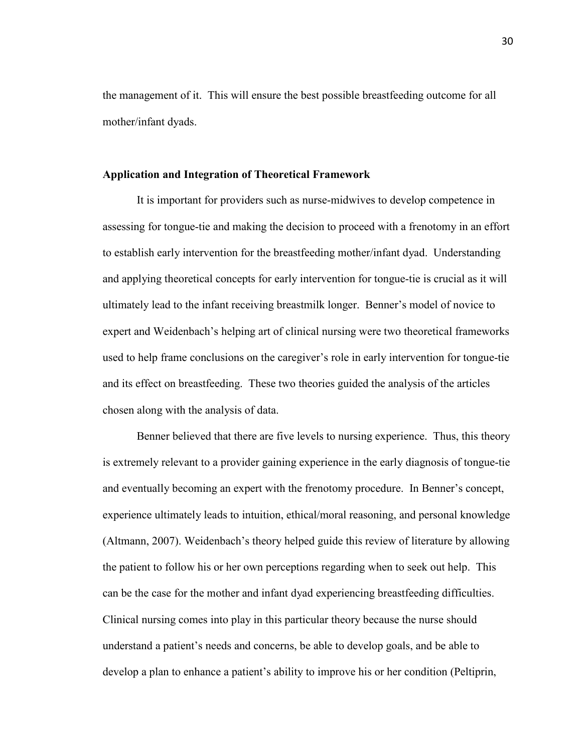the management of it. This will ensure the best possible breastfeeding outcome for all mother/infant dyads.

#### <span id="page-30-0"></span>**Application and Integration of Theoretical Framework**

 It is important for providers such as nurse-midwives to develop competence in assessing for tongue-tie and making the decision to proceed with a frenotomy in an effort to establish early intervention for the breastfeeding mother/infant dyad. Understanding and applying theoretical concepts for early intervention for tongue-tie is crucial as it will ultimately lead to the infant receiving breastmilk longer. Benner's model of novice to expert and Weidenbach's helping art of clinical nursing were two theoretical frameworks used to help frame conclusions on the caregiver's role in early intervention for tongue-tie and its effect on breastfeeding. These two theories guided the analysis of the articles chosen along with the analysis of data.

Benner believed that there are five levels to nursing experience. Thus, this theory is extremely relevant to a provider gaining experience in the early diagnosis of tongue-tie and eventually becoming an expert with the frenotomy procedure. In Benner's concept, experience ultimately leads to intuition, ethical/moral reasoning, and personal knowledge (Altmann, 2007). Weidenbach's theory helped guide this review of literature by allowing the patient to follow his or her own perceptions regarding when to seek out help. This can be the case for the mother and infant dyad experiencing breastfeeding difficulties. Clinical nursing comes into play in this particular theory because the nurse should understand a patient's needs and concerns, be able to develop goals, and be able to develop a plan to enhance a patient's ability to improve his or her condition (Peltiprin,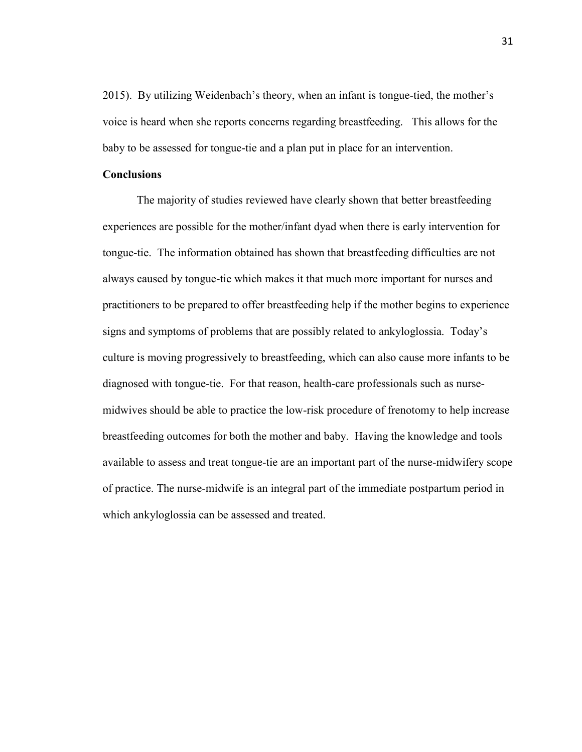2015). By utilizing Weidenbach's theory, when an infant is tongue-tied, the mother's voice is heard when she reports concerns regarding breastfeeding. This allows for the baby to be assessed for tongue-tie and a plan put in place for an intervention.

#### **Conclusions**

The majority of studies reviewed have clearly shown that better breastfeeding experiences are possible for the mother/infant dyad when there is early intervention for tongue-tie. The information obtained has shown that breastfeeding difficulties are not always caused by tongue-tie which makes it that much more important for nurses and practitioners to be prepared to offer breastfeeding help if the mother begins to experience signs and symptoms of problems that are possibly related to ankyloglossia. Today's culture is moving progressively to breastfeeding, which can also cause more infants to be diagnosed with tongue-tie. For that reason, health-care professionals such as nursemidwives should be able to practice the low-risk procedure of frenotomy to help increase breastfeeding outcomes for both the mother and baby. Having the knowledge and tools available to assess and treat tongue-tie are an important part of the nurse-midwifery scope of practice. The nurse-midwife is an integral part of the immediate postpartum period in which ankyloglossia can be assessed and treated.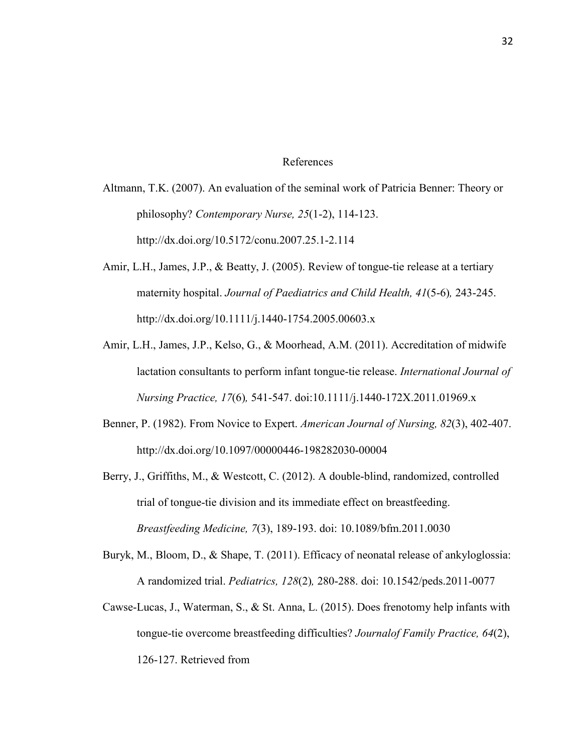#### References

- Altmann, T.K. (2007). An evaluation of the seminal work of Patricia Benner: Theory or philosophy? *Contemporary Nurse, 25*(1-2), 114-123. http://dx.doi.org/10.5172/conu.2007.25.1-2.114
- Amir, L.H., James, J.P., & Beatty, J. (2005). Review of tongue-tie release at a tertiary maternity hospital. *Journal of Paediatrics and Child Health, 41*(5-6)*,* 243-245. http://dx.doi.org/10.1111/j.1440-1754.2005.00603.x
- Amir, L.H., James, J.P., Kelso, G., & Moorhead, A.M. (2011). Accreditation of midwife lactation consultants to perform infant tongue-tie release. *International Journal of Nursing Practice, 17*(6)*,* 541-547. doi:10.1111/j.1440-172X.2011.01969.x
- Benner, P. (1982). From Novice to Expert. *American Journal of Nursing, 82*(3), 402-407. http://dx.doi.org/10.1097/00000446-198282030-00004
- Berry, J., Griffiths, M., & Westcott, C. (2012). A double-blind, randomized, controlled trial of tongue-tie division and its immediate effect on breastfeeding. *Breastfeeding Medicine, 7*(3), 189-193. doi: 10.1089/bfm.2011.0030
- Buryk, M., Bloom, D., & Shape, T. (2011). Efficacy of neonatal release of ankyloglossia: A randomized trial. *Pediatrics, 128*(2)*,* 280-288. doi: 10.1542/peds.2011-0077
- Cawse-Lucas, J., Waterman, S., & St. Anna, L. (2015). Does frenotomy help infants with tongue-tie overcome breastfeeding difficulties? *Journalof Family Practice, 64*(2), 126-127. Retrieved from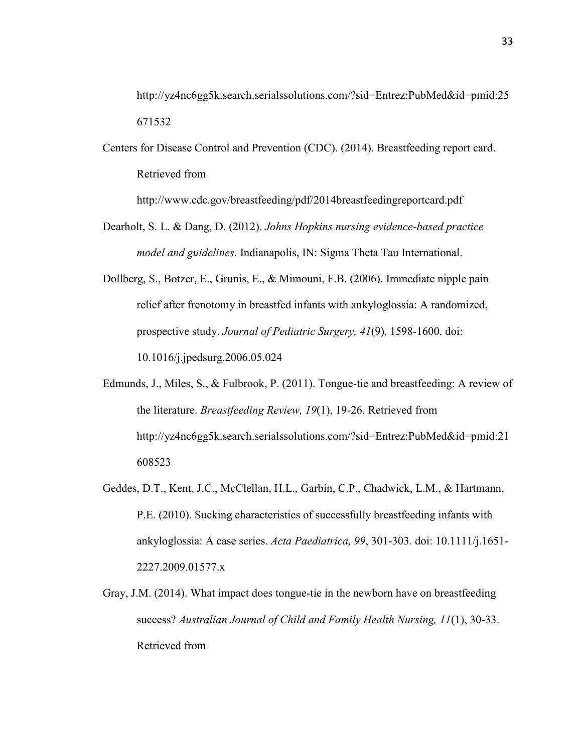http://yz4nc6gg5k.search.serialssolutions.com/?sid=Entrez:PubMed&id=pmid:25 671532

Centers for Disease Control and Prevention (CDC). (2014). Breastfeeding report card. Retrieved from

http://www.cdc.gov/breastfeeding/pdf/2014breastfeedingreportcard.pdf

- Dearholt, S. L. & Dang, D. (2012). *Johns Hopkins nursing evidence-based practice model and guidelines*. Indianapolis, IN: Sigma Theta Tau International.
- Dollberg, S., Botzer, E., Grunis, E., & Mimouni, F.B. (2006). Immediate nipple pain relief after frenotomy in breastfed infants with ankyloglossia: A randomized, prospective study. *Journal of Pediatric Surgery, 41*(9)*,* 1598-1600. doi: 10.1016/j.jpedsurg.2006.05.024
- Edmunds, J., Miles, S., & Fulbrook, P. (2011). Tongue-tie and breastfeeding: A review of the literature. *Breastfeeding Review, 19*(1), 19-26. Retrieved from http://yz4nc6gg5k.search.serialssolutions.com/?sid=Entrez:PubMed&id=pmid:21 608523
- Geddes, D.T., Kent, J.C., McClellan, H.L., Garbin, C.P., Chadwick, L.M., & Hartmann, P.E. (2010). Sucking characteristics of successfully breastfeeding infants with ankyloglossia: A case series. *Acta Paediatrica, 99*, 301-303. doi: 10.1111/j.1651- 2227.2009.01577.x
- Gray, J.M. (2014). What impact does tongue-tie in the newborn have on breastfeeding success? *Australian Journal of Child and Family Health Nursing, 11*(1), 30-33. Retrieved from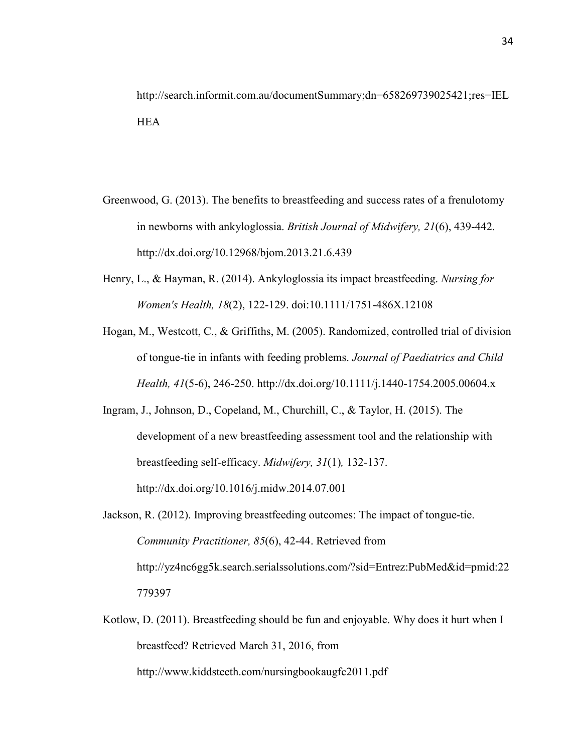- Greenwood, G. (2013). The benefits to breastfeeding and success rates of a frenulotomy in newborns with ankyloglossia. *British Journal of Midwifery, 21*(6), 439-442. http://dx.doi.org/10.12968/bjom.2013.21.6.439
- Henry, L., & Hayman, R. (2014). Ankyloglossia its impact breastfeeding. *Nursing for Women's Health, 18*(2), 122-129. doi:10.1111/1751-486X.12108
- Hogan, M., Westcott, C., & Griffiths, M. (2005). Randomized, controlled trial of division of tongue-tie in infants with feeding problems. *Journal of Paediatrics and Child Health, 41*(5-6), 246-250. http://dx.doi.org/10.1111/j.1440-1754.2005.00604.x
- Ingram, J., Johnson, D., Copeland, M., Churchill, C., & Taylor, H. (2015). The development of a new breastfeeding assessment tool and the relationship with breastfeeding self-efficacy. *Midwifery, 31*(1)*,* 132-137. http://dx.doi.org/10.1016/j.midw.2014.07.001
- Jackson, R. (2012). Improving breastfeeding outcomes: The impact of tongue-tie. *Community Practitioner, 85*(6), 42-44. Retrieved from http://yz4nc6gg5k.search.serialssolutions.com/?sid=Entrez:PubMed&id=pmid:22 779397
- Kotlow, D. (2011). Breastfeeding should be fun and enjoyable. Why does it hurt when I breastfeed? Retrieved March 31, 2016, from http://www.kiddsteeth.com/nursingbookaugfc2011.pdf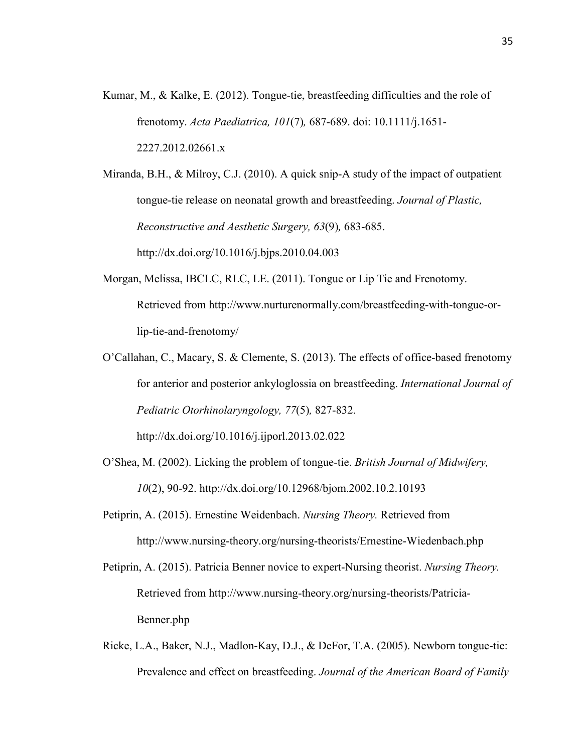Kumar, M., & Kalke, E. (2012). Tongue-tie, breastfeeding difficulties and the role of frenotomy. *Acta Paediatrica, 101*(7)*,* 687-689. doi: 10.1111/j.1651- 2227.2012.02661.x

Miranda, B.H., & Milroy, C.J. (2010). A quick snip-A study of the impact of outpatient tongue-tie release on neonatal growth and breastfeeding. *Journal of Plastic, Reconstructive and Aesthetic Surgery, 63*(9)*,* 683-685. http://dx.doi.org/10.1016/j.bjps.2010.04.003

- Morgan, Melissa, IBCLC, RLC, LE. (2011). Tongue or Lip Tie and Frenotomy. Retrieved from http://www.nurturenormally.com/breastfeeding-with-tongue-orlip-tie-and-frenotomy/
- O'Callahan, C., Macary, S. & Clemente, S. (2013). The effects of office-based frenotomy for anterior and posterior ankyloglossia on breastfeeding. *International Journal of Pediatric Otorhinolaryngology, 77*(5)*,* 827-832.

http://dx.doi.org/10.1016/j.ijporl.2013.02.022

- O'Shea, M. (2002). Licking the problem of tongue-tie. *British Journal of Midwifery, 10*(2), 90-92. http://dx.doi.org/10.12968/bjom.2002.10.2.10193
- Petiprin, A. (2015). Ernestine Weidenbach. *Nursing Theory.* Retrieved from http://www.nursing-theory.org/nursing-theorists/Ernestine-Wiedenbach.php
- Petiprin, A. (2015). Patricia Benner novice to expert-Nursing theorist. *Nursing Theory.* Retrieved from http://www.nursing-theory.org/nursing-theorists/Patricia-Benner.php
- Ricke, L.A., Baker, N.J., Madlon-Kay, D.J., & DeFor, T.A. (2005). Newborn tongue-tie: Prevalence and effect on breastfeeding. *Journal of the American Board of Family*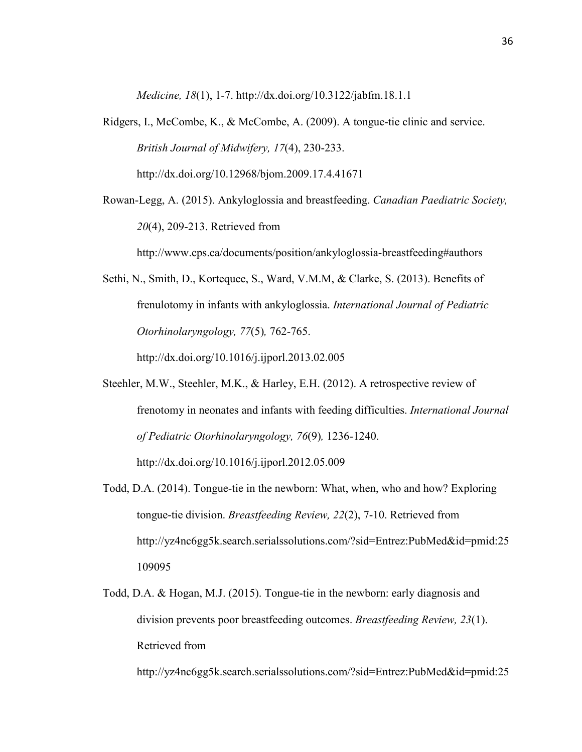*Medicine, 18*(1), 1-7. http://dx.doi.org/10.3122/jabfm.18.1.1

- Ridgers, I., McCombe, K., & McCombe, A. (2009). A tongue-tie clinic and service. *British Journal of Midwifery, 17*(4), 230-233. http://dx.doi.org/10.12968/bjom.2009.17.4.41671
- Rowan-Legg, A. (2015). Ankyloglossia and breastfeeding. *Canadian Paediatric Society, 20*(4), 209-213. Retrieved from

http://www.cps.ca/documents/position/ankyloglossia-breastfeeding#authors

Sethi, N., Smith, D., Kortequee, S., Ward, V.M.M, & Clarke, S. (2013). Benefits of frenulotomy in infants with ankyloglossia. *International Journal of Pediatric Otorhinolaryngology, 77*(5)*,* 762-765.

http://dx.doi.org/10.1016/j.ijporl.2013.02.005

- Steehler, M.W., Steehler, M.K., & Harley, E.H. (2012). A retrospective review of frenotomy in neonates and infants with feeding difficulties. *International Journal of Pediatric Otorhinolaryngology, 76*(9)*,* 1236-1240. http://dx.doi.org/10.1016/j.ijporl.2012.05.009
- Todd, D.A. (2014). Tongue-tie in the newborn: What, when, who and how? Exploring tongue-tie division. *Breastfeeding Review, 22*(2), 7-10. Retrieved from http://yz4nc6gg5k.search.serialssolutions.com/?sid=Entrez:PubMed&id=pmid:25 109095
- Todd, D.A. & Hogan, M.J. (2015). Tongue-tie in the newborn: early diagnosis and division prevents poor breastfeeding outcomes. *Breastfeeding Review, 23*(1). Retrieved from

http://yz4nc6gg5k.search.serialssolutions.com/?sid=Entrez:PubMed&id=pmid:25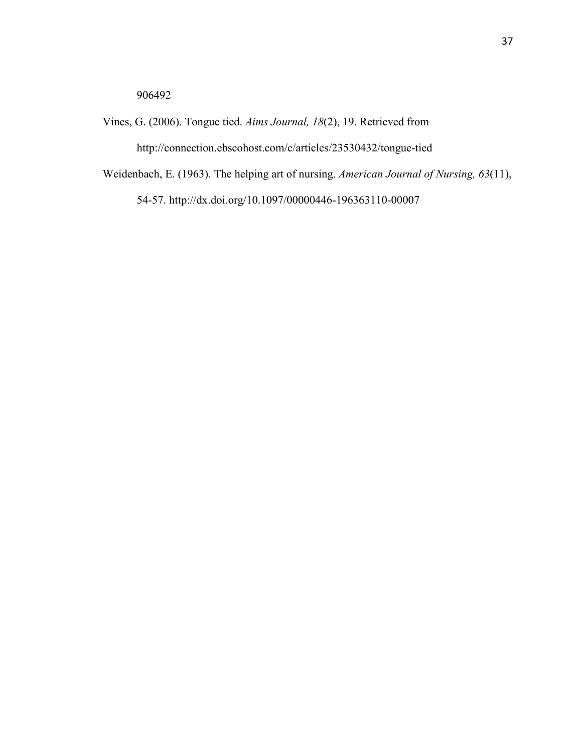906492

Vines, G. (2006). Tongue tied. *Aims Journal, 18*(2), 19. Retrieved from http://connection.ebscohost.com/c/articles/23530432/tongue-tied

Weidenbach, E. (1963). The helping art of nursing. *American Journal of Nursing, 63*(11), 54-57. http://dx.doi.org/10.1097/00000446-196363110-00007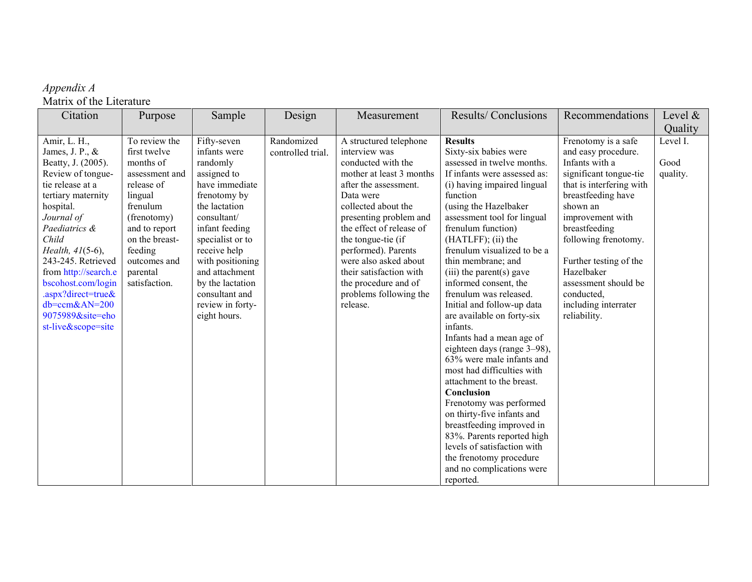#### *Appendix A*  Matrix of the Literature

| Citation                                                                                                                                                                                                                                                                                                                                                    | Purpose                                                                                                                                                                                                     | Sample                                                                                                                                                                                                                                                                                         | Design                          | Measurement                                                                                                                                                                                                                                                                                                                                                                 | <b>Results/Conclusions</b>                                                                                                                                                                                                                                                                                                                                                                                                                                                                                                                                                                                                                                                                                                                                                                                                                                    | Recommendations                                                                                                                                                                                                                                                                                                                         | Level $&$                    |
|-------------------------------------------------------------------------------------------------------------------------------------------------------------------------------------------------------------------------------------------------------------------------------------------------------------------------------------------------------------|-------------------------------------------------------------------------------------------------------------------------------------------------------------------------------------------------------------|------------------------------------------------------------------------------------------------------------------------------------------------------------------------------------------------------------------------------------------------------------------------------------------------|---------------------------------|-----------------------------------------------------------------------------------------------------------------------------------------------------------------------------------------------------------------------------------------------------------------------------------------------------------------------------------------------------------------------------|---------------------------------------------------------------------------------------------------------------------------------------------------------------------------------------------------------------------------------------------------------------------------------------------------------------------------------------------------------------------------------------------------------------------------------------------------------------------------------------------------------------------------------------------------------------------------------------------------------------------------------------------------------------------------------------------------------------------------------------------------------------------------------------------------------------------------------------------------------------|-----------------------------------------------------------------------------------------------------------------------------------------------------------------------------------------------------------------------------------------------------------------------------------------------------------------------------------------|------------------------------|
|                                                                                                                                                                                                                                                                                                                                                             |                                                                                                                                                                                                             |                                                                                                                                                                                                                                                                                                |                                 |                                                                                                                                                                                                                                                                                                                                                                             |                                                                                                                                                                                                                                                                                                                                                                                                                                                                                                                                                                                                                                                                                                                                                                                                                                                               |                                                                                                                                                                                                                                                                                                                                         | Quality                      |
| Amir, L. H.,<br>James, J. P., $\&$<br>Beatty, J. (2005).<br>Review of tongue-<br>tie release at a<br>tertiary maternity<br>hospital.<br>Journal of<br>Paediatrics &<br>Child<br>Health, 41(5-6),<br>243-245. Retrieved<br>from http://search.e<br>bscohost.com/login<br>.aspx?direct=true&<br>$db = ccm&AN = 200$<br>9075989&site=eho<br>st-live&scope=site | To review the<br>first twelve<br>months of<br>assessment and<br>release of<br>lingual<br>frenulum<br>(frenotomy)<br>and to report<br>on the breast-<br>feeding<br>outcomes and<br>parental<br>satisfaction. | Fifty-seven<br>infants were<br>randomly<br>assigned to<br>have immediate<br>frenotomy by<br>the lactation<br>consultant/<br>infant feeding<br>specialist or to<br>receive help<br>with positioning<br>and attachment<br>by the lactation<br>consultant and<br>review in forty-<br>eight hours. | Randomized<br>controlled trial. | A structured telephone<br>interview was<br>conducted with the<br>mother at least 3 months<br>after the assessment.<br>Data were<br>collected about the<br>presenting problem and<br>the effect of release of<br>the tongue-tie (if<br>performed). Parents<br>were also asked about<br>their satisfaction with<br>the procedure and of<br>problems following the<br>release. | <b>Results</b><br>Sixty-six babies were<br>assessed in twelve months.<br>If infants were assessed as:<br>(i) having impaired lingual<br>function<br>(using the Hazelbaker<br>assessment tool for lingual<br>frenulum function)<br>$(HATLFF)$ ; (ii) the<br>frenulum visualized to be a<br>thin membrane; and<br>(iii) the parent(s) gave<br>informed consent, the<br>frenulum was released.<br>Initial and follow-up data<br>are available on forty-six<br>infants.<br>Infants had a mean age of<br>eighteen days (range 3-98),<br>63% were male infants and<br>most had difficulties with<br>attachment to the breast.<br>Conclusion<br>Frenotomy was performed<br>on thirty-five infants and<br>breastfeeding improved in<br>83%. Parents reported high<br>levels of satisfaction with<br>the frenotomy procedure<br>and no complications were<br>reported. | Frenotomy is a safe<br>and easy procedure.<br>Infants with a<br>significant tongue-tie<br>that is interfering with<br>breastfeeding have<br>shown an<br>improvement with<br>breastfeeding<br>following frenotomy.<br>Further testing of the<br>Hazelbaker<br>assessment should be<br>conducted,<br>including interrater<br>reliability. | Level I.<br>Good<br>quality. |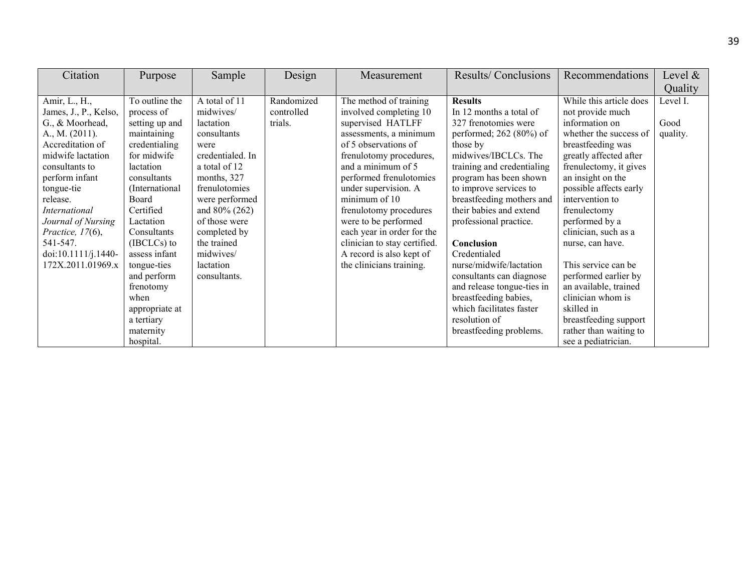| Citation              | Purpose         | Sample           | Design     | Measurement                  | Results/Conclusions        | Recommendations         | Level $\&$ |
|-----------------------|-----------------|------------------|------------|------------------------------|----------------------------|-------------------------|------------|
|                       |                 |                  |            |                              |                            |                         | Quality    |
| Amir, L., H.,         | To outline the  | A total of 11    | Randomized | The method of training       | <b>Results</b>             | While this article does | Level I.   |
| James, J., P., Kelso, | process of      | midwives/        | controlled | involved completing 10       | In 12 months a total of    | not provide much        |            |
| G., & Moorhead,       | setting up and  | lactation        | trials.    | supervised HATLFF            | 327 frenotomies were       | information on          | Good       |
| A., M. $(2011)$ .     | maintaining     | consultants      |            | assessments, a minimum       | performed; 262 (80%) of    | whether the success of  | quality.   |
| Accreditation of      | credentialing   | were             |            | of 5 observations of         | those by                   | breastfeeding was       |            |
| midwife lactation     | for midwife     | credentialed. In |            | frenulotomy procedures,      | midwives/IBCLCs. The       | greatly affected after  |            |
| consultants to        | lactation       | a total of 12    |            | and a minimum of 5           | training and credentialing | frenulectomy, it gives  |            |
| perform infant        | consultants     | months, 327      |            | performed frenulotomies      | program has been shown     | an insight on the       |            |
| tongue-tie            | (International) | frenulotomies    |            | under supervision. A         | to improve services to     | possible affects early  |            |
| release.              | Board           | were performed   |            | minimum of 10                | breastfeeding mothers and  | intervention to         |            |
| <i>International</i>  | Certified       | and 80% (262)    |            | frenulotomy procedures       | their babies and extend    | frenulectomy            |            |
| Journal of Nursing    | Lactation       | of those were    |            | were to be performed         | professional practice.     | performed by a          |            |
| Practice, 17(6),      | Consultants     | completed by     |            | each year in order for the   |                            | clinician, such as a    |            |
| 541-547.              | $(IBCLCs)$ to   | the trained      |            | clinician to stay certified. | Conclusion                 | nurse, can have.        |            |
| doi:10.1111/j.1440-   | assess infant   | midwives/        |            | A record is also kept of     | Credentialed               |                         |            |
| 172X.2011.01969.x     | tongue-ties     | lactation        |            | the clinicians training.     | nurse/midwife/lactation    | This service can be     |            |
|                       | and perform     | consultants.     |            |                              | consultants can diagnose   | performed earlier by    |            |
|                       | frenotomy       |                  |            |                              | and release tongue-ties in | an available, trained   |            |
|                       | when            |                  |            |                              | breastfeeding babies,      | clinician whom is       |            |
|                       | appropriate at  |                  |            |                              | which facilitates faster   | skilled in              |            |
|                       | a tertiary      |                  |            |                              | resolution of              | breastfeeding support   |            |
|                       | maternity       |                  |            |                              | breastfeeding problems.    | rather than waiting to  |            |
|                       | hospital.       |                  |            |                              |                            | see a pediatrician.     |            |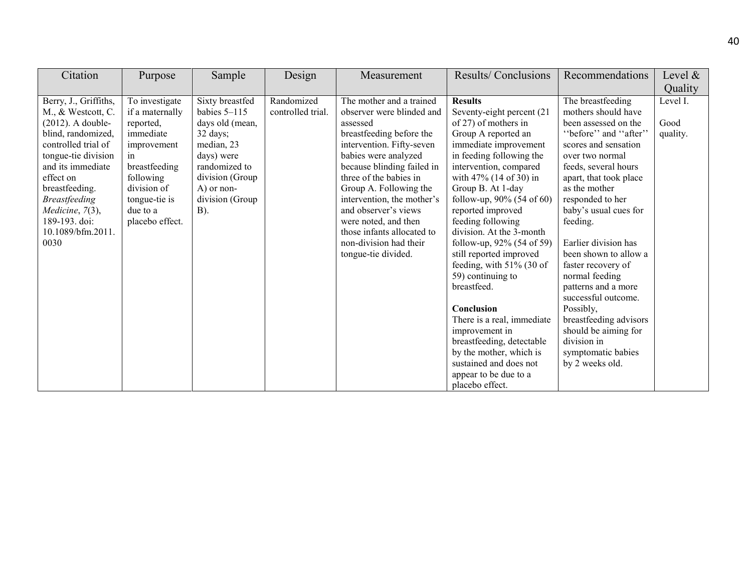| Citation                                                                                                                                                                                                                                                                                | Purpose                                                                                                                                                                       | Sample                                                                                                                                                                                   | Design                          | Measurement                                                                                                                                                                                                                                                                                                                                                                                       | <b>Results/Conclusions</b>                                                                                                                                                                                                                                                                                                                                                                                                                                                                                                                                                                                                                            | Recommendations                                                                                                                                                                                                                                                                                                                                                                                                                                                                                                               | Level $\&$                   |
|-----------------------------------------------------------------------------------------------------------------------------------------------------------------------------------------------------------------------------------------------------------------------------------------|-------------------------------------------------------------------------------------------------------------------------------------------------------------------------------|------------------------------------------------------------------------------------------------------------------------------------------------------------------------------------------|---------------------------------|---------------------------------------------------------------------------------------------------------------------------------------------------------------------------------------------------------------------------------------------------------------------------------------------------------------------------------------------------------------------------------------------------|-------------------------------------------------------------------------------------------------------------------------------------------------------------------------------------------------------------------------------------------------------------------------------------------------------------------------------------------------------------------------------------------------------------------------------------------------------------------------------------------------------------------------------------------------------------------------------------------------------------------------------------------------------|-------------------------------------------------------------------------------------------------------------------------------------------------------------------------------------------------------------------------------------------------------------------------------------------------------------------------------------------------------------------------------------------------------------------------------------------------------------------------------------------------------------------------------|------------------------------|
|                                                                                                                                                                                                                                                                                         |                                                                                                                                                                               |                                                                                                                                                                                          |                                 |                                                                                                                                                                                                                                                                                                                                                                                                   |                                                                                                                                                                                                                                                                                                                                                                                                                                                                                                                                                                                                                                                       |                                                                                                                                                                                                                                                                                                                                                                                                                                                                                                                               | Quality                      |
| Berry, J., Griffiths,<br>M., & Westcott, C.<br>$(2012)$ . A double-<br>blind, randomized,<br>controlled trial of<br>tongue-tie division<br>and its immediate<br>effect on<br>breastfeeding.<br><b>Breastfeeding</b><br>Medicine, $7(3)$ ,<br>189-193. doi:<br>10.1089/bfm.2011.<br>0030 | To investigate<br>if a maternally<br>reported,<br>immediate<br>improvement<br>1n<br>breastfeeding<br>following<br>division of<br>tongue-tie is<br>due to a<br>placebo effect. | Sixty breastfed<br>babies $5-115$<br>days old (mean,<br>$32 \text{ days}$ ;<br>median, 23<br>days) were<br>randomized to<br>division (Group<br>$A)$ or non-<br>division (Group<br>$B)$ . | Randomized<br>controlled trial. | The mother and a trained<br>observer were blinded and<br>assessed<br>breastfeeding before the<br>intervention. Fifty-seven<br>babies were analyzed<br>because blinding failed in<br>three of the babies in<br>Group A. Following the<br>intervention, the mother's<br>and observer's views<br>were noted, and then<br>those infants allocated to<br>non-division had their<br>tongue-tie divided. | <b>Results</b><br>Seventy-eight percent (21<br>of 27) of mothers in<br>Group A reported an<br>immediate improvement<br>in feeding following the<br>intervention, compared<br>with 47% (14 of 30) in<br>Group B. At 1-day<br>follow-up, $90\%$ (54 of 60)<br>reported improved<br>feeding following<br>division. At the 3-month<br>follow-up, 92% (54 of 59)<br>still reported improved<br>feeding, with $51\%$ (30 of<br>59) continuing to<br>breastfeed.<br>Conclusion<br>There is a real, immediate<br>improvement in<br>breastfeeding, detectable<br>by the mother, which is<br>sustained and does not<br>appear to be due to a<br>placebo effect. | The breastfeeding<br>mothers should have<br>been assessed on the<br>"before" and "after"<br>scores and sensation<br>over two normal<br>feeds, several hours<br>apart, that took place<br>as the mother<br>responded to her<br>baby's usual cues for<br>feeding.<br>Earlier division has<br>been shown to allow a<br>faster recovery of<br>normal feeding<br>patterns and a more<br>successful outcome.<br>Possibly,<br>breastfeeding advisors<br>should be aiming for<br>division in<br>symptomatic babies<br>by 2 weeks old. | Level I.<br>Good<br>quality. |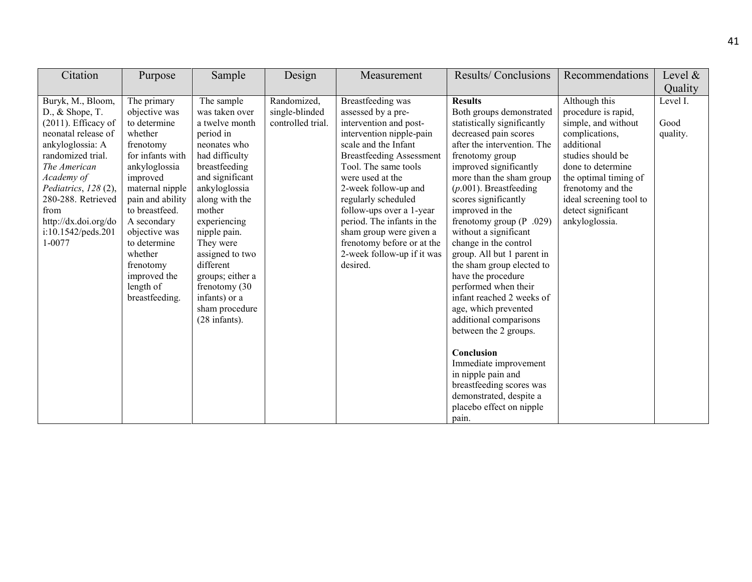| Citation                                                                                                                                                                                                                                                                     | Purpose                                                                                                                                                                                                                                                                                               | Sample                                                                                                                                                                                                                                                                                                                                                 | Design                                             | Measurement                                                                                                                                                                                                                                                                                                                                                                                                      | <b>Results/Conclusions</b>                                                                                                                                                                                                                                                                                                                                                                                                                                                                                                                                                                                                                                                                                                                  | Recommendations                                                                                                                                                                                                                                        | Level $\&$                   |
|------------------------------------------------------------------------------------------------------------------------------------------------------------------------------------------------------------------------------------------------------------------------------|-------------------------------------------------------------------------------------------------------------------------------------------------------------------------------------------------------------------------------------------------------------------------------------------------------|--------------------------------------------------------------------------------------------------------------------------------------------------------------------------------------------------------------------------------------------------------------------------------------------------------------------------------------------------------|----------------------------------------------------|------------------------------------------------------------------------------------------------------------------------------------------------------------------------------------------------------------------------------------------------------------------------------------------------------------------------------------------------------------------------------------------------------------------|---------------------------------------------------------------------------------------------------------------------------------------------------------------------------------------------------------------------------------------------------------------------------------------------------------------------------------------------------------------------------------------------------------------------------------------------------------------------------------------------------------------------------------------------------------------------------------------------------------------------------------------------------------------------------------------------------------------------------------------------|--------------------------------------------------------------------------------------------------------------------------------------------------------------------------------------------------------------------------------------------------------|------------------------------|
|                                                                                                                                                                                                                                                                              |                                                                                                                                                                                                                                                                                                       |                                                                                                                                                                                                                                                                                                                                                        |                                                    |                                                                                                                                                                                                                                                                                                                                                                                                                  |                                                                                                                                                                                                                                                                                                                                                                                                                                                                                                                                                                                                                                                                                                                                             |                                                                                                                                                                                                                                                        | Quality                      |
| Buryk, M., Bloom,<br>D., $&$ Shope, T.<br>$(2011)$ . Efficacy of<br>neonatal release of<br>ankyloglossia: A<br>randomized trial.<br>The American<br>Academy of<br>Pediatrics, 128 (2),<br>280-288. Retrieved<br>from<br>http://dx.doi.org/do<br>i:10.1542/peds.201<br>1-0077 | The primary<br>objective was<br>to determine<br>whether<br>frenotomy<br>for infants with<br>ankyloglossia<br>improved<br>maternal nipple<br>pain and ability<br>to breastfeed.<br>A secondary<br>objective was<br>to determine<br>whether<br>frenotomy<br>improved the<br>length of<br>breastfeeding. | The sample<br>was taken over<br>a twelve month<br>period in<br>neonates who<br>had difficulty<br>breastfeeding<br>and significant<br>ankyloglossia<br>along with the<br>mother<br>experiencing<br>nipple pain.<br>They were<br>assigned to two<br>different<br>groups; either a<br>frenotomy (30<br>infants) or a<br>sham procedure<br>$(28$ infants). | Randomized,<br>single-blinded<br>controlled trial. | Breastfeeding was<br>assessed by a pre-<br>intervention and post-<br>intervention nipple-pain<br>scale and the Infant<br><b>Breastfeeding Assessment</b><br>Tool. The same tools<br>were used at the<br>2-week follow-up and<br>regularly scheduled<br>follow-ups over a 1-year<br>period. The infants in the<br>sham group were given a<br>frenotomy before or at the<br>2-week follow-up if it was<br>desired. | <b>Results</b><br>Both groups demonstrated<br>statistically significantly<br>decreased pain scores<br>after the intervention. The<br>frenotomy group<br>improved significantly<br>more than the sham group<br>$(p.001)$ . Breastfeeding<br>scores significantly<br>improved in the<br>frenotomy group $(P.029)$<br>without a significant<br>change in the control<br>group. All but 1 parent in<br>the sham group elected to<br>have the procedure<br>performed when their<br>infant reached 2 weeks of<br>age, which prevented<br>additional comparisons<br>between the 2 groups.<br>Conclusion<br>Immediate improvement<br>in nipple pain and<br>breastfeeding scores was<br>demonstrated, despite a<br>placebo effect on nipple<br>pain. | Although this<br>procedure is rapid,<br>simple, and without<br>complications,<br>additional<br>studies should be<br>done to determine<br>the optimal timing of<br>frenotomy and the<br>ideal screening tool to<br>detect significant<br>ankyloglossia. | Level I.<br>Good<br>quality. |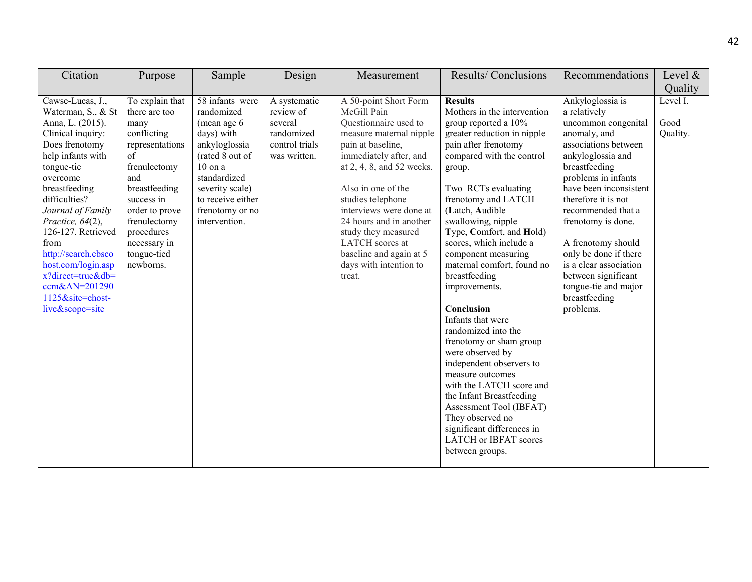| Citation                                                                                                                                                                                                                                                                                                                                                                            | Purpose                                                                                                                                                                                                                            | Sample                                                                                                                                                                                                   | Design                                                                               | Measurement                                                                                                                                                                                                                                                                                                                                                                    | Results/Conclusions                                                                                                                                                                                                                                                                                                                                                                                                                                                                                                                                                                                                                                                                                                                                       | Recommendations                                                                                                                                                                                                                                                                                                                                                                                                 | Level $\&$                   |
|-------------------------------------------------------------------------------------------------------------------------------------------------------------------------------------------------------------------------------------------------------------------------------------------------------------------------------------------------------------------------------------|------------------------------------------------------------------------------------------------------------------------------------------------------------------------------------------------------------------------------------|----------------------------------------------------------------------------------------------------------------------------------------------------------------------------------------------------------|--------------------------------------------------------------------------------------|--------------------------------------------------------------------------------------------------------------------------------------------------------------------------------------------------------------------------------------------------------------------------------------------------------------------------------------------------------------------------------|-----------------------------------------------------------------------------------------------------------------------------------------------------------------------------------------------------------------------------------------------------------------------------------------------------------------------------------------------------------------------------------------------------------------------------------------------------------------------------------------------------------------------------------------------------------------------------------------------------------------------------------------------------------------------------------------------------------------------------------------------------------|-----------------------------------------------------------------------------------------------------------------------------------------------------------------------------------------------------------------------------------------------------------------------------------------------------------------------------------------------------------------------------------------------------------------|------------------------------|
|                                                                                                                                                                                                                                                                                                                                                                                     |                                                                                                                                                                                                                                    |                                                                                                                                                                                                          |                                                                                      |                                                                                                                                                                                                                                                                                                                                                                                |                                                                                                                                                                                                                                                                                                                                                                                                                                                                                                                                                                                                                                                                                                                                                           |                                                                                                                                                                                                                                                                                                                                                                                                                 | Quality                      |
| Cawse-Lucas, J.,<br>Waterman, S., & St<br>Anna, L. (2015).<br>Clinical inquiry:<br>Does frenotomy<br>help infants with<br>tongue-tie<br>overcome<br>breastfeeding<br>difficulties?<br>Journal of Family<br>Practice, 64(2),<br>126-127. Retrieved<br>from<br>http://search.ebsco<br>host.com/login.asp<br>x?direct=true&db=<br>ccm&AN=201290<br>1125&site=ehost-<br>live&scope=site | To explain that<br>there are too<br>many<br>conflicting<br>representations<br>of<br>frenulectomy<br>and<br>breastfeeding<br>success in<br>order to prove<br>frenulectomy<br>procedures<br>necessary in<br>tongue-tied<br>newborns. | 58 infants were<br>randomized<br>(mean age 6)<br>days) with<br>ankyloglossia<br>(rated 8 out of<br>$10$ on a<br>standardized<br>severity scale)<br>to receive either<br>frenotomy or no<br>intervention. | A systematic<br>review of<br>several<br>randomized<br>control trials<br>was written. | A 50-point Short Form<br>McGill Pain<br>Questionnaire used to<br>measure maternal nipple<br>pain at baseline,<br>immediately after, and<br>at 2, 4, 8, and 52 weeks.<br>Also in one of the<br>studies telephone<br>interviews were done at<br>24 hours and in another<br>study they measured<br>LATCH scores at<br>baseline and again at 5<br>days with intention to<br>treat. | <b>Results</b><br>Mothers in the intervention<br>group reported a 10%<br>greater reduction in nipple<br>pain after frenotomy<br>compared with the control<br>group.<br>Two RCTs evaluating<br>frenotomy and LATCH<br>(Latch, Audible<br>swallowing, nipple<br>Type, Comfort, and Hold)<br>scores, which include a<br>component measuring<br>maternal comfort, found no<br>breastfeeding<br>improvements.<br>Conclusion<br>Infants that were<br>randomized into the<br>frenotomy or sham group<br>were observed by<br>independent observers to<br>measure outcomes<br>with the LATCH score and<br>the Infant Breastfeeding<br>Assessment Tool (IBFAT)<br>They observed no<br>significant differences in<br><b>LATCH or IBFAT scores</b><br>between groups. | Ankyloglossia is<br>a relatively<br>uncommon congenital<br>anomaly, and<br>associations between<br>ankyloglossia and<br>breastfeeding<br>problems in infants<br>have been inconsistent<br>therefore it is not<br>recommended that a<br>frenotomy is done.<br>A frenotomy should<br>only be done if there<br>is a clear association<br>between significant<br>tongue-tie and major<br>breastfeeding<br>problems. | Level I.<br>Good<br>Quality. |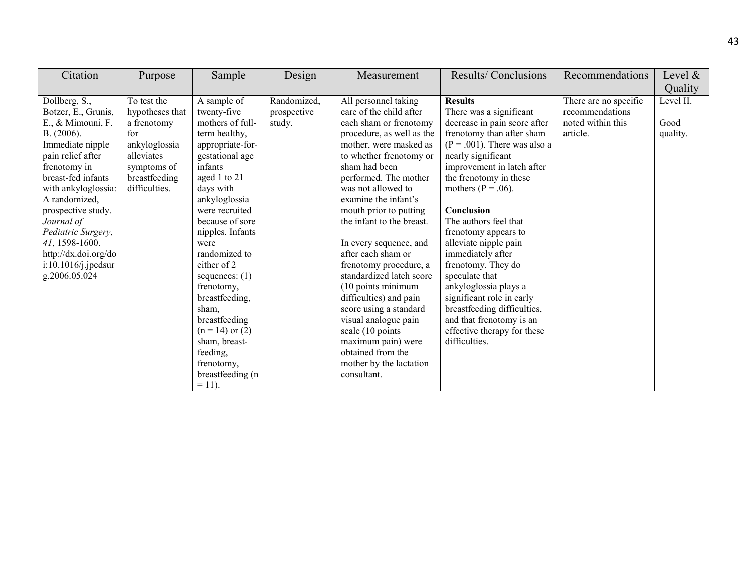| Citation                             | Purpose         | Sample              | Design      | Measurement               | <b>Results/Conclusions</b>      | Recommendations       | Level $\&$ |
|--------------------------------------|-----------------|---------------------|-------------|---------------------------|---------------------------------|-----------------------|------------|
|                                      |                 |                     |             |                           |                                 |                       | Quality    |
| Dollberg, S.,                        | To test the     | A sample of         | Randomized, | All personnel taking      | <b>Results</b>                  | There are no specific | Level II.  |
| Botzer, E., Grunis,                  | hypotheses that | twenty-five         | prospective | care of the child after   | There was a significant         | recommendations       |            |
| $E_{\cdot}$ , & Mimouni, $F_{\cdot}$ | a frenotomy     | mothers of full-    | study.      | each sham or frenotomy    | decrease in pain score after    | noted within this     | Good       |
| B. (2006).                           | for             | term healthy,       |             | procedure, as well as the | frenotomy than after sham       | article.              | quality.   |
| Immediate nipple                     | ankyloglossia   | appropriate-for-    |             | mother, were masked as    | $(P = .001)$ . There was also a |                       |            |
| pain relief after                    | alleviates      | gestational age     |             | to whether frenotomy or   | nearly significant              |                       |            |
| frenotomy in                         | symptoms of     | infants             |             | sham had been             | improvement in latch after      |                       |            |
| breast-fed infants                   | breastfeeding   | aged 1 to 21        |             | performed. The mother     | the frenotomy in these          |                       |            |
| with ankyloglossia:                  | difficulties.   | days with           |             | was not allowed to        | mothers ( $P = .06$ ).          |                       |            |
| A randomized,                        |                 | ankyloglossia       |             | examine the infant's      |                                 |                       |            |
| prospective study.                   |                 | were recruited      |             | mouth prior to putting    | Conclusion                      |                       |            |
| Journal of                           |                 | because of sore     |             | the infant to the breast. | The authors feel that           |                       |            |
| Pediatric Surgery,                   |                 | nipples. Infants    |             |                           | frenotomy appears to            |                       |            |
| 41, 1598-1600.                       |                 | were                |             | In every sequence, and    | alleviate nipple pain           |                       |            |
| http://dx.doi.org/do                 |                 | randomized to       |             | after each sham or        | immediately after               |                       |            |
| i:10.1016/j.jpedsur                  |                 | either of 2         |             | frenotomy procedure, a    | frenotomy. They do              |                       |            |
| g.2006.05.024                        |                 | sequences: $(1)$    |             | standardized latch score  | speculate that                  |                       |            |
|                                      |                 | frenotomy,          |             | (10 points minimum        | ankyloglossia plays a           |                       |            |
|                                      |                 | breastfeeding,      |             | difficulties) and pain    | significant role in early       |                       |            |
|                                      |                 | sham,               |             | score using a standard    | breastfeeding difficulties,     |                       |            |
|                                      |                 | breastfeeding       |             | visual analogue pain      | and that frenotomy is an        |                       |            |
|                                      |                 | $(n = 14)$ or $(2)$ |             | scale (10 points)         | effective therapy for these     |                       |            |
|                                      |                 | sham, breast-       |             | maximum pain) were        | difficulties.                   |                       |            |
|                                      |                 | feeding,            |             | obtained from the         |                                 |                       |            |
|                                      |                 | frenotomy,          |             | mother by the lactation   |                                 |                       |            |
|                                      |                 | breastfeeding (n    |             | consultant.               |                                 |                       |            |
|                                      |                 | $= 11$ .            |             |                           |                                 |                       |            |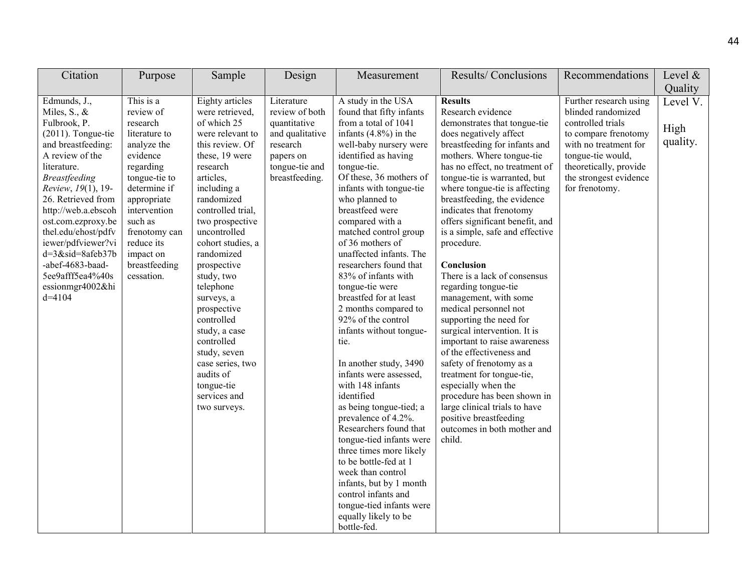| Citation                                                                                                                                                                                                                                                                                                                                                                                   | Purpose                                                                                                                                                                                                                                           | Sample                                                                                                                                                                                                                                                                                                                                                                                                                                                                         | Design                                                                                                                       | Measurement                                                                                                                                                                                                                                                                                                                                                                                                                                                                                                                                                                                                                                                                                                                            | Results/Conclusions                                                                                                                                                                                                                                                                                                                                                                                                                                                                                                                                                                                                                                                                                                                                                                                                                                                             | Recommendations                                                                                                                                                                                               | Level &                                 |
|--------------------------------------------------------------------------------------------------------------------------------------------------------------------------------------------------------------------------------------------------------------------------------------------------------------------------------------------------------------------------------------------|---------------------------------------------------------------------------------------------------------------------------------------------------------------------------------------------------------------------------------------------------|--------------------------------------------------------------------------------------------------------------------------------------------------------------------------------------------------------------------------------------------------------------------------------------------------------------------------------------------------------------------------------------------------------------------------------------------------------------------------------|------------------------------------------------------------------------------------------------------------------------------|----------------------------------------------------------------------------------------------------------------------------------------------------------------------------------------------------------------------------------------------------------------------------------------------------------------------------------------------------------------------------------------------------------------------------------------------------------------------------------------------------------------------------------------------------------------------------------------------------------------------------------------------------------------------------------------------------------------------------------------|---------------------------------------------------------------------------------------------------------------------------------------------------------------------------------------------------------------------------------------------------------------------------------------------------------------------------------------------------------------------------------------------------------------------------------------------------------------------------------------------------------------------------------------------------------------------------------------------------------------------------------------------------------------------------------------------------------------------------------------------------------------------------------------------------------------------------------------------------------------------------------|---------------------------------------------------------------------------------------------------------------------------------------------------------------------------------------------------------------|-----------------------------------------|
| Edmunds, J.,<br>Miles, S., $\&$<br>Fulbrook, P.<br>$(2011)$ . Tongue-tie<br>and breastfeeding:<br>A review of the<br>literature.<br><b>Breastfeeding</b><br>Review, 19(1), 19-<br>26. Retrieved from<br>http://web.a.ebscoh<br>ost.com.ezproxy.be<br>thel.edu/ehost/pdfv<br>iewer/pdfviewer?vi<br>d=3&sid=8afeb37b<br>-abef-4683-baad-<br>5ee9afff5ea4%40s<br>essionmgr4002&hi<br>$d=4104$ | This is a<br>review of<br>research<br>literature to<br>analyze the<br>evidence<br>regarding<br>tongue-tie to<br>determine if<br>appropriate<br>intervention<br>such as<br>frenotomy can<br>reduce its<br>impact on<br>breastfeeding<br>cessation. | Eighty articles<br>were retrieved,<br>of which 25<br>were relevant to<br>this review. Of<br>these, 19 were<br>research<br>articles,<br>including a<br>randomized<br>controlled trial,<br>two prospective<br>uncontrolled<br>cohort studies, a<br>randomized<br>prospective<br>study, two<br>telephone<br>surveys, a<br>prospective<br>controlled<br>study, a case<br>controlled<br>study, seven<br>case series, two<br>audits of<br>tongue-tie<br>services and<br>two surveys. | Literature<br>review of both<br>quantitative<br>and qualitative<br>research<br>papers on<br>tongue-tie and<br>breastfeeding. | A study in the USA<br>found that fifty infants<br>from a total of 1041<br>infants $(4.8\%)$ in the<br>well-baby nursery were<br>identified as having<br>tongue-tie.<br>Of these, 36 mothers of<br>infants with tongue-tie<br>who planned to<br>breastfeed were<br>compared with a<br>matched control group<br>of 36 mothers of<br>unaffected infants. The<br>researchers found that<br>83% of infants with<br>tongue-tie were<br>breastfed for at least<br>2 months compared to<br>92% of the control<br>infants without tongue-<br>tie.<br>In another study, 3490<br>infants were assessed,<br>with 148 infants<br>identified<br>as being tongue-tied; a<br>prevalence of 4.2%.<br>Researchers found that<br>tongue-tied infants were | <b>Results</b><br>Research evidence<br>demonstrates that tongue-tie<br>does negatively affect<br>breastfeeding for infants and<br>mothers. Where tongue-tie<br>has no effect, no treatment of<br>tongue-tie is warranted, but<br>where tongue-tie is affecting<br>breastfeeding, the evidence<br>indicates that frenotomy<br>offers significant benefit, and<br>is a simple, safe and effective<br>procedure.<br>Conclusion<br>There is a lack of consensus<br>regarding tongue-tie<br>management, with some<br>medical personnel not<br>supporting the need for<br>surgical intervention. It is<br>important to raise awareness<br>of the effectiveness and<br>safety of frenotomy as a<br>treatment for tongue-tie,<br>especially when the<br>procedure has been shown in<br>large clinical trials to have<br>positive breastfeeding<br>outcomes in both mother and<br>child. | Further research using<br>blinded randomized<br>controlled trials<br>to compare frenotomy<br>with no treatment for<br>tongue-tie would,<br>theoretically, provide<br>the strongest evidence<br>for frenotomy. | Quality<br>Level V.<br>High<br>quality. |
|                                                                                                                                                                                                                                                                                                                                                                                            |                                                                                                                                                                                                                                                   |                                                                                                                                                                                                                                                                                                                                                                                                                                                                                |                                                                                                                              | three times more likely<br>to be bottle-fed at 1<br>week than control<br>infants, but by 1 month<br>control infants and<br>tongue-tied infants were<br>equally likely to be<br>bottle-fed.                                                                                                                                                                                                                                                                                                                                                                                                                                                                                                                                             |                                                                                                                                                                                                                                                                                                                                                                                                                                                                                                                                                                                                                                                                                                                                                                                                                                                                                 |                                                                                                                                                                                                               |                                         |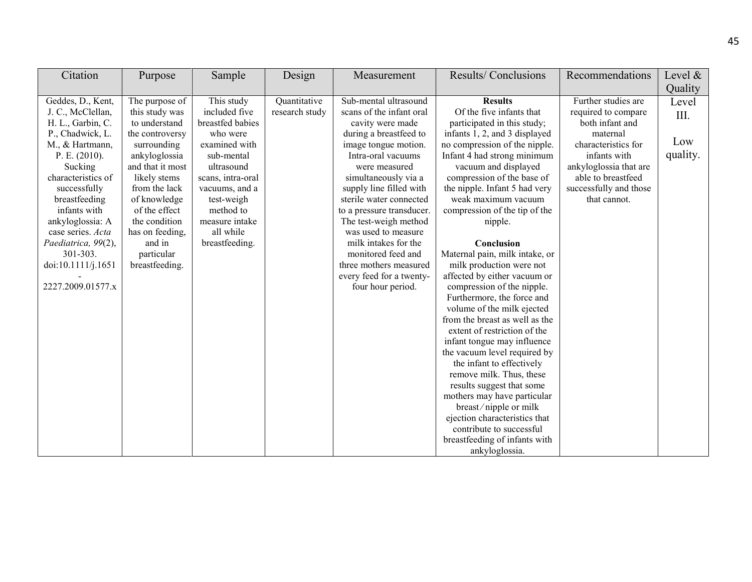| Citation                                                                                                                                                                                                                                                                                                                    | Purpose                                                                                                                                                                                                                                                                  | Sample                                                                                                                                                                                                                      | Design                         | Measurement                                                                                                                                                                                                                                                                                                                                                                                                                                        | Results/Conclusions                                                                                                                                                                                                                                                                                                                                                                                                                                                                                                                                                                                                                                                                                                                                               | Recommendations                                                                                                                                                                                            | Level $\&$                     |
|-----------------------------------------------------------------------------------------------------------------------------------------------------------------------------------------------------------------------------------------------------------------------------------------------------------------------------|--------------------------------------------------------------------------------------------------------------------------------------------------------------------------------------------------------------------------------------------------------------------------|-----------------------------------------------------------------------------------------------------------------------------------------------------------------------------------------------------------------------------|--------------------------------|----------------------------------------------------------------------------------------------------------------------------------------------------------------------------------------------------------------------------------------------------------------------------------------------------------------------------------------------------------------------------------------------------------------------------------------------------|-------------------------------------------------------------------------------------------------------------------------------------------------------------------------------------------------------------------------------------------------------------------------------------------------------------------------------------------------------------------------------------------------------------------------------------------------------------------------------------------------------------------------------------------------------------------------------------------------------------------------------------------------------------------------------------------------------------------------------------------------------------------|------------------------------------------------------------------------------------------------------------------------------------------------------------------------------------------------------------|--------------------------------|
|                                                                                                                                                                                                                                                                                                                             |                                                                                                                                                                                                                                                                          |                                                                                                                                                                                                                             |                                |                                                                                                                                                                                                                                                                                                                                                                                                                                                    |                                                                                                                                                                                                                                                                                                                                                                                                                                                                                                                                                                                                                                                                                                                                                                   |                                                                                                                                                                                                            | Quality                        |
| Geddes, D., Kent,<br>J. C., McClellan,<br>H. L., Garbin, C.<br>P., Chadwick, L.<br>M., & Hartmann,<br>P.E. (2010).<br>Sucking<br>characteristics of<br>successfully<br>breastfeeding<br>infants with<br>ankyloglossia: A<br>case series. Acta<br>Paediatrica, 99(2),<br>301-303.<br>doi:10.1111/j.1651<br>2227.2009.01577.x | The purpose of<br>this study was<br>to understand<br>the controversy<br>surrounding<br>ankyloglossia<br>and that it most<br>likely stems<br>from the lack<br>of knowledge<br>of the effect<br>the condition<br>has on feeding,<br>and in<br>particular<br>breastfeeding. | This study<br>included five<br>breastfed babies<br>who were<br>examined with<br>sub-mental<br>ultrasound<br>scans, intra-oral<br>vacuums, and a<br>test-weigh<br>method to<br>measure intake<br>all while<br>breastfeeding. | Quantitative<br>research study | Sub-mental ultrasound<br>scans of the infant oral<br>cavity were made<br>during a breastfeed to<br>image tongue motion.<br>Intra-oral vacuums<br>were measured<br>simultaneously via a<br>supply line filled with<br>sterile water connected<br>to a pressure transducer.<br>The test-weigh method<br>was used to measure<br>milk intakes for the<br>monitored feed and<br>three mothers measured<br>every feed for a twenty-<br>four hour period. | <b>Results</b><br>Of the five infants that<br>participated in this study;<br>infants 1, 2, and 3 displayed<br>no compression of the nipple.<br>Infant 4 had strong minimum<br>vacuum and displayed<br>compression of the base of<br>the nipple. Infant 5 had very<br>weak maximum vacuum<br>compression of the tip of the<br>nipple.<br>Conclusion<br>Maternal pain, milk intake, or<br>milk production were not<br>affected by either vacuum or<br>compression of the nipple.<br>Furthermore, the force and<br>volume of the milk ejected<br>from the breast as well as the<br>extent of restriction of the<br>infant tongue may influence<br>the vacuum level required by<br>the infant to effectively<br>remove milk. Thus, these<br>results suggest that some | Further studies are<br>required to compare<br>both infant and<br>maternal<br>characteristics for<br>infants with<br>ankyloglossia that are<br>able to breastfeed<br>successfully and those<br>that cannot. | Level<br>Ш.<br>Low<br>quality. |
|                                                                                                                                                                                                                                                                                                                             |                                                                                                                                                                                                                                                                          |                                                                                                                                                                                                                             |                                |                                                                                                                                                                                                                                                                                                                                                                                                                                                    |                                                                                                                                                                                                                                                                                                                                                                                                                                                                                                                                                                                                                                                                                                                                                                   |                                                                                                                                                                                                            |                                |
|                                                                                                                                                                                                                                                                                                                             |                                                                                                                                                                                                                                                                          |                                                                                                                                                                                                                             |                                |                                                                                                                                                                                                                                                                                                                                                                                                                                                    | mothers may have particular<br>breast/nipple or milk<br>ejection characteristics that<br>contribute to successful<br>breastfeeding of infants with<br>ankyloglossia.                                                                                                                                                                                                                                                                                                                                                                                                                                                                                                                                                                                              |                                                                                                                                                                                                            |                                |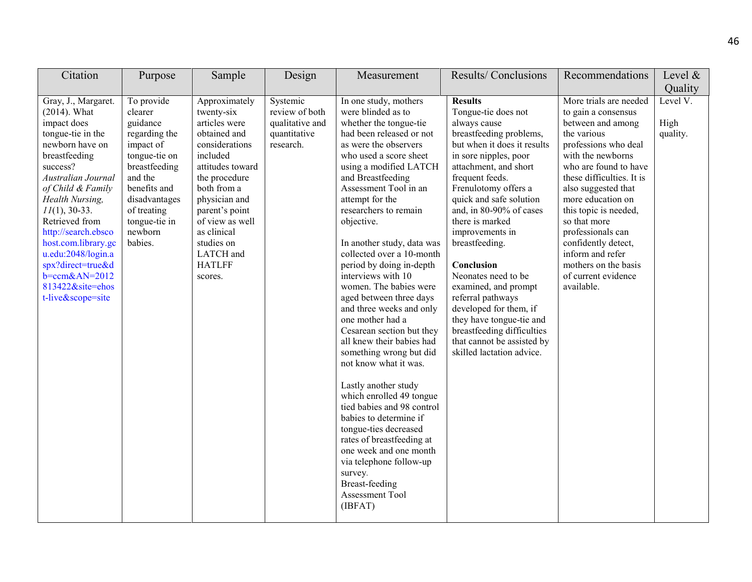| Citation                                                                                                                                                                                                                                                                                                                                                                                   | Purpose                                                                                                                                                                                             | Sample                                                                                                                                                                                                                                                                     | Design                                                                     | Measurement                                                                                                                                                                                                                                                                                                                                                                                                                                                                                                                                                                                                                                                                                                                                                                                                                                                                                              | <b>Results/Conclusions</b>                                                                                                                                                                                                                                                                                                                                                                                                                                                                                                                                  | Recommendations                                                                                                                                                                                                                                                                                                                                                                                        | Level &                      |
|--------------------------------------------------------------------------------------------------------------------------------------------------------------------------------------------------------------------------------------------------------------------------------------------------------------------------------------------------------------------------------------------|-----------------------------------------------------------------------------------------------------------------------------------------------------------------------------------------------------|----------------------------------------------------------------------------------------------------------------------------------------------------------------------------------------------------------------------------------------------------------------------------|----------------------------------------------------------------------------|----------------------------------------------------------------------------------------------------------------------------------------------------------------------------------------------------------------------------------------------------------------------------------------------------------------------------------------------------------------------------------------------------------------------------------------------------------------------------------------------------------------------------------------------------------------------------------------------------------------------------------------------------------------------------------------------------------------------------------------------------------------------------------------------------------------------------------------------------------------------------------------------------------|-------------------------------------------------------------------------------------------------------------------------------------------------------------------------------------------------------------------------------------------------------------------------------------------------------------------------------------------------------------------------------------------------------------------------------------------------------------------------------------------------------------------------------------------------------------|--------------------------------------------------------------------------------------------------------------------------------------------------------------------------------------------------------------------------------------------------------------------------------------------------------------------------------------------------------------------------------------------------------|------------------------------|
|                                                                                                                                                                                                                                                                                                                                                                                            |                                                                                                                                                                                                     |                                                                                                                                                                                                                                                                            |                                                                            |                                                                                                                                                                                                                                                                                                                                                                                                                                                                                                                                                                                                                                                                                                                                                                                                                                                                                                          |                                                                                                                                                                                                                                                                                                                                                                                                                                                                                                                                                             |                                                                                                                                                                                                                                                                                                                                                                                                        | Quality                      |
| Gray, J., Margaret.<br>$(2014)$ . What<br>impact does<br>tongue-tie in the<br>newborn have on<br>breastfeeding<br>success?<br>Australian Journal<br>of Child & Family<br>Health Nursing,<br>$11(1)$ , 30-33.<br>Retrieved from<br>http://search.ebsco<br>host.com.library.gc<br>u.edu:2048/login.a<br>spx?direct=true&d<br>$b = c$ cm $&$ AN=2012<br>813422&site=ehos<br>t-live&scope=site | To provide<br>clearer<br>guidance<br>regarding the<br>impact of<br>tongue-tie on<br>breastfeeding<br>and the<br>benefits and<br>disadvantages<br>of treating<br>tongue-tie in<br>newborn<br>babies. | Approximately<br>twenty-six<br>articles were<br>obtained and<br>considerations<br>included<br>attitudes toward<br>the procedure<br>both from a<br>physician and<br>parent's point<br>of view as well<br>as clinical<br>studies on<br>LATCH and<br><b>HATLFF</b><br>scores. | Systemic<br>review of both<br>qualitative and<br>quantitative<br>research. | In one study, mothers<br>were blinded as to<br>whether the tongue-tie<br>had been released or not<br>as were the observers<br>who used a score sheet<br>using a modified LATCH<br>and Breastfeeding<br>Assessment Tool in an<br>attempt for the<br>researchers to remain<br>objective.<br>In another study, data was<br>collected over a 10-month<br>period by doing in-depth<br>interviews with 10<br>women. The babies were<br>aged between three days<br>and three weeks and only<br>one mother had a<br>Cesarean section but they<br>all knew their babies had<br>something wrong but did<br>not know what it was.<br>Lastly another study<br>which enrolled 49 tongue<br>tied babies and 98 control<br>babies to determine if<br>tongue-ties decreased<br>rates of breastfeeding at<br>one week and one month<br>via telephone follow-up<br>survey.<br>Breast-feeding<br>Assessment Tool<br>(IBFAT) | <b>Results</b><br>Tongue-tie does not<br>always cause<br>breastfeeding problems,<br>but when it does it results<br>in sore nipples, poor<br>attachment, and short<br>frequent feeds.<br>Frenulotomy offers a<br>quick and safe solution<br>and, in 80-90% of cases<br>there is marked<br>improvements in<br>breastfeeding.<br>Conclusion<br>Neonates need to be<br>examined, and prompt<br>referral pathways<br>developed for them, if<br>they have tongue-tie and<br>breastfeeding difficulties<br>that cannot be assisted by<br>skilled lactation advice. | More trials are needed<br>to gain a consensus<br>between and among<br>the various<br>professions who deal<br>with the newborns<br>who are found to have<br>these difficulties. It is<br>also suggested that<br>more education on<br>this topic is needed,<br>so that more<br>professionals can<br>confidently detect,<br>inform and refer<br>mothers on the basis<br>of current evidence<br>available. | Level V.<br>High<br>quality. |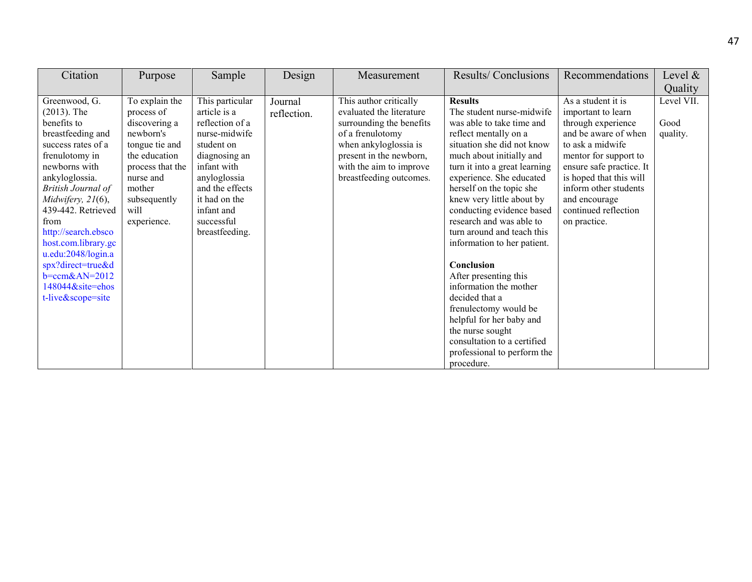| Citation                                                                                                                                                                                                                                                                                                                                                                               | Purpose                                                                                                                                                                         | Sample                                                                                                                                                                                                              | Design                 | Measurement                                                                                                                                                                                                  | <b>Results/Conclusions</b>                                                                                                                                                                                                                                                                                                                                                                                                                                                                                                                                                                                                                      | Recommendations                                                                                                                                                                                                                                                              | Level $\&$                     |
|----------------------------------------------------------------------------------------------------------------------------------------------------------------------------------------------------------------------------------------------------------------------------------------------------------------------------------------------------------------------------------------|---------------------------------------------------------------------------------------------------------------------------------------------------------------------------------|---------------------------------------------------------------------------------------------------------------------------------------------------------------------------------------------------------------------|------------------------|--------------------------------------------------------------------------------------------------------------------------------------------------------------------------------------------------------------|-------------------------------------------------------------------------------------------------------------------------------------------------------------------------------------------------------------------------------------------------------------------------------------------------------------------------------------------------------------------------------------------------------------------------------------------------------------------------------------------------------------------------------------------------------------------------------------------------------------------------------------------------|------------------------------------------------------------------------------------------------------------------------------------------------------------------------------------------------------------------------------------------------------------------------------|--------------------------------|
|                                                                                                                                                                                                                                                                                                                                                                                        |                                                                                                                                                                                 |                                                                                                                                                                                                                     |                        |                                                                                                                                                                                                              |                                                                                                                                                                                                                                                                                                                                                                                                                                                                                                                                                                                                                                                 |                                                                                                                                                                                                                                                                              | Quality                        |
| Greenwood, G.<br>$(2013)$ . The<br>benefits to<br>breastfeeding and<br>success rates of a<br>frenulotomy in<br>newborns with<br>ankyloglossia.<br>British Journal of<br>Midwifery, $21(6)$ ,<br>439-442. Retrieved<br>from<br>http://search.ebsco<br>host.com.library.gc<br>u.edu:2048/login.a<br>spx?direct=true&d<br>$b = c$ cm $&$ AN=2012<br>148044&site=ehos<br>t-live&scope=site | To explain the<br>process of<br>discovering a<br>newborn's<br>tongue tie and<br>the education<br>process that the<br>nurse and<br>mother<br>subsequently<br>will<br>experience. | This particular<br>article is a<br>reflection of a<br>nurse-midwife<br>student on<br>diagnosing an<br>infant with<br>anyloglossia<br>and the effects<br>it had on the<br>infant and<br>successful<br>breastfeeding. | Journal<br>reflection. | This author critically<br>evaluated the literature<br>surrounding the benefits<br>of a frenulotomy<br>when ankyloglossia is<br>present in the newborn,<br>with the aim to improve<br>breastfeeding outcomes. | <b>Results</b><br>The student nurse-midwife<br>was able to take time and<br>reflect mentally on a<br>situation she did not know<br>much about initially and<br>turn it into a great learning<br>experience. She educated<br>herself on the topic she<br>knew very little about by<br>conducting evidence based<br>research and was able to<br>turn around and teach this<br>information to her patient.<br>Conclusion<br>After presenting this<br>information the mother<br>decided that a<br>frenulectomy would be<br>helpful for her baby and<br>the nurse sought<br>consultation to a certified<br>professional to perform the<br>procedure. | As a student it is<br>important to learn<br>through experience<br>and be aware of when<br>to ask a midwife<br>mentor for support to<br>ensure safe practice. It<br>is hoped that this will<br>inform other students<br>and encourage<br>continued reflection<br>on practice. | Level VII.<br>Good<br>quality. |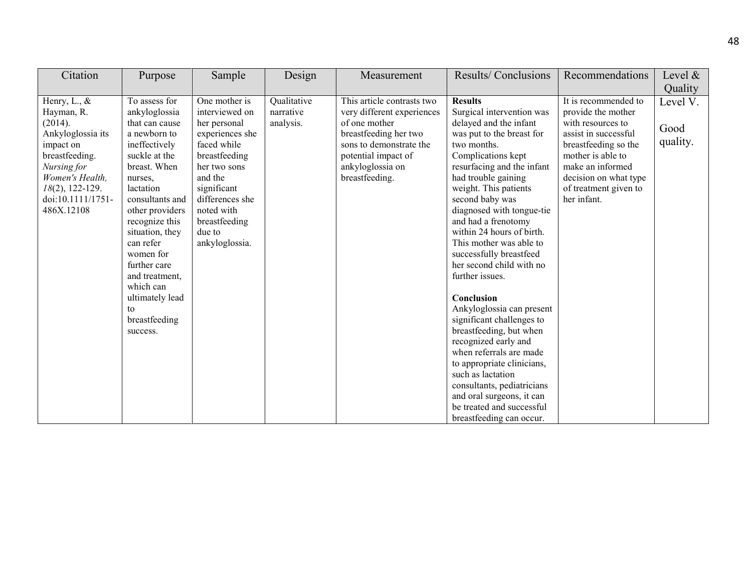| Citation                                                                                                                                                                                | Purpose                                                                                                                                                                                                                                                                                                                                              | Sample                                                                                                                                                                                                                     | Design                                | Measurement                                                                                                                                                                                | <b>Results/Conclusions</b>                                                                                                                                                                                                                                                                                                                                                                                                                                                                                                                                                                                                                                                                                                                                  | Recommendations                                                                                                                                                                                                           | Level $\&$                   |
|-----------------------------------------------------------------------------------------------------------------------------------------------------------------------------------------|------------------------------------------------------------------------------------------------------------------------------------------------------------------------------------------------------------------------------------------------------------------------------------------------------------------------------------------------------|----------------------------------------------------------------------------------------------------------------------------------------------------------------------------------------------------------------------------|---------------------------------------|--------------------------------------------------------------------------------------------------------------------------------------------------------------------------------------------|-------------------------------------------------------------------------------------------------------------------------------------------------------------------------------------------------------------------------------------------------------------------------------------------------------------------------------------------------------------------------------------------------------------------------------------------------------------------------------------------------------------------------------------------------------------------------------------------------------------------------------------------------------------------------------------------------------------------------------------------------------------|---------------------------------------------------------------------------------------------------------------------------------------------------------------------------------------------------------------------------|------------------------------|
|                                                                                                                                                                                         |                                                                                                                                                                                                                                                                                                                                                      |                                                                                                                                                                                                                            |                                       |                                                                                                                                                                                            |                                                                                                                                                                                                                                                                                                                                                                                                                                                                                                                                                                                                                                                                                                                                                             |                                                                                                                                                                                                                           | Quality                      |
| Henry, L., $\&$<br>Hayman, R.<br>(2014).<br>Ankyloglossia its<br>impact on<br>breastfeeding.<br>Nursing for<br>Women's Health,<br>$18(2)$ , 122-129.<br>doi:10.1111/1751-<br>486X.12108 | To assess for<br>ankyloglossia<br>that can cause<br>a newborn to<br>ineffectively<br>suckle at the<br>breast. When<br>nurses.<br>lactation<br>consultants and<br>other providers<br>recognize this<br>situation, they<br>can refer<br>women for<br>further care<br>and treatment,<br>which can<br>ultimately lead<br>to<br>breastfeeding<br>success. | One mother is<br>interviewed on<br>her personal<br>experiences she<br>faced while<br>breastfeeding<br>her two sons<br>and the<br>significant<br>differences she<br>noted with<br>breastfeeding<br>due to<br>ankyloglossia. | Qualitative<br>narrative<br>analysis. | This article contrasts two<br>very different experiences<br>of one mother<br>breastfeeding her two<br>sons to demonstrate the<br>potential impact of<br>ankyloglossia on<br>breastfeeding. | <b>Results</b><br>Surgical intervention was<br>delayed and the infant<br>was put to the breast for<br>two months.<br>Complications kept<br>resurfacing and the infant<br>had trouble gaining<br>weight. This patients<br>second baby was<br>diagnosed with tongue-tie<br>and had a frenotomy<br>within 24 hours of birth.<br>This mother was able to<br>successfully breastfeed<br>her second child with no<br>further issues.<br>Conclusion<br>Ankyloglossia can present<br>significant challenges to<br>breastfeeding, but when<br>recognized early and<br>when referrals are made<br>to appropriate clinicians,<br>such as lactation<br>consultants, pediatricians<br>and oral surgeons, it can<br>be treated and successful<br>breastfeeding can occur. | It is recommended to<br>provide the mother<br>with resources to<br>assist in successful<br>breastfeeding so the<br>mother is able to<br>make an informed<br>decision on what type<br>of treatment given to<br>her infant. | Level V.<br>Good<br>quality. |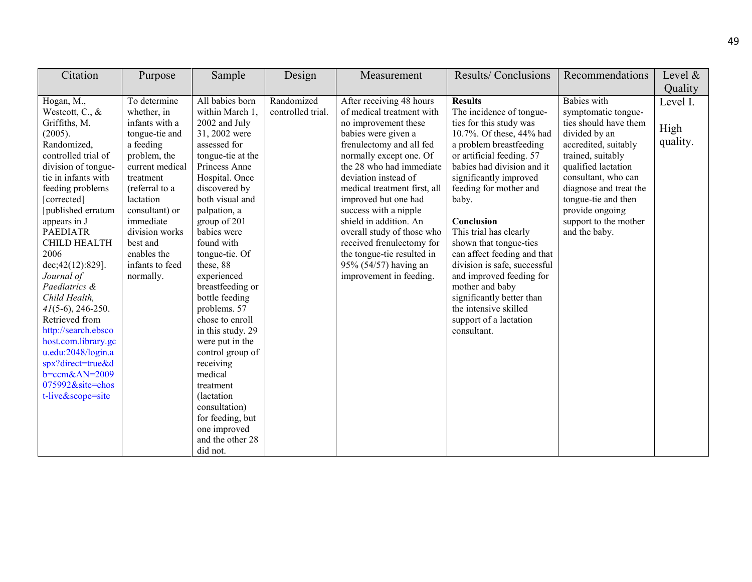| Citation                                                                                                                                                                                                                                                                                                                                                                                                                                                                                                                                                   | Purpose                                                                                                                                                                                                                                                                 | Sample                                                                                                                                                                                                                                                                                                                                                                                                                                                                                                                                                                   | Design                          | Measurement                                                                                                                                                                                                                                                                                                                                                                                                                                                             | Results/Conclusions                                                                                                                                                                                                                                                                                                                                                                                                                                                                                                                 | Recommendations                                                                                                                                                                                                                                                                              | Level $\&$                   |
|------------------------------------------------------------------------------------------------------------------------------------------------------------------------------------------------------------------------------------------------------------------------------------------------------------------------------------------------------------------------------------------------------------------------------------------------------------------------------------------------------------------------------------------------------------|-------------------------------------------------------------------------------------------------------------------------------------------------------------------------------------------------------------------------------------------------------------------------|--------------------------------------------------------------------------------------------------------------------------------------------------------------------------------------------------------------------------------------------------------------------------------------------------------------------------------------------------------------------------------------------------------------------------------------------------------------------------------------------------------------------------------------------------------------------------|---------------------------------|-------------------------------------------------------------------------------------------------------------------------------------------------------------------------------------------------------------------------------------------------------------------------------------------------------------------------------------------------------------------------------------------------------------------------------------------------------------------------|-------------------------------------------------------------------------------------------------------------------------------------------------------------------------------------------------------------------------------------------------------------------------------------------------------------------------------------------------------------------------------------------------------------------------------------------------------------------------------------------------------------------------------------|----------------------------------------------------------------------------------------------------------------------------------------------------------------------------------------------------------------------------------------------------------------------------------------------|------------------------------|
|                                                                                                                                                                                                                                                                                                                                                                                                                                                                                                                                                            |                                                                                                                                                                                                                                                                         |                                                                                                                                                                                                                                                                                                                                                                                                                                                                                                                                                                          |                                 |                                                                                                                                                                                                                                                                                                                                                                                                                                                                         |                                                                                                                                                                                                                                                                                                                                                                                                                                                                                                                                     |                                                                                                                                                                                                                                                                                              | Quality                      |
| Hogan, M.,<br>Westcott, C., $\&$<br>Griffiths, M.<br>(2005).<br>Randomized,<br>controlled trial of<br>division of tongue-<br>tie in infants with<br>feeding problems<br>[corrected]<br>[published erratum<br>appears in J<br><b>PAEDIATR</b><br><b>CHILD HEALTH</b><br>2006<br>$dec; 42(12): 829$ ].<br>Journal of<br>Paediatrics &<br>Child Health,<br>$41(5-6)$ , 246-250.<br>Retrieved from<br>http://search.ebsco<br>host.com.library.gc<br>u.edu:2048/login.a<br>spx?direct=true&d<br>$b = c$ cm $&$ AN=2009<br>075992&site=ehos<br>t-live&scope=site | To determine<br>whether, in<br>infants with a<br>tongue-tie and<br>a feeding<br>problem, the<br>current medical<br>treatment<br>(referral to a<br>lactation<br>consultant) or<br>immediate<br>division works<br>best and<br>enables the<br>infants to feed<br>normally. | All babies born<br>within March 1,<br>2002 and July<br>31, 2002 were<br>assessed for<br>tongue-tie at the<br>Princess Anne<br>Hospital. Once<br>discovered by<br>both visual and<br>palpation, a<br>group of 201<br>babies were<br>found with<br>tongue-tie. Of<br>these, 88<br>experienced<br>breastfeeding or<br>bottle feeding<br>problems. 57<br>chose to enroll<br>in this study. 29<br>were put in the<br>control group of<br>receiving<br>medical<br>treatment<br>(lactation<br>consultation)<br>for feeding, but<br>one improved<br>and the other 28<br>did not. | Randomized<br>controlled trial. | After receiving 48 hours<br>of medical treatment with<br>no improvement these<br>babies were given a<br>frenulectomy and all fed<br>normally except one. Of<br>the 28 who had immediate<br>deviation instead of<br>medical treatment first, all<br>improved but one had<br>success with a nipple<br>shield in addition. An<br>overall study of those who<br>received frenulectomy for<br>the tongue-tie resulted in<br>95% (54/57) having an<br>improvement in feeding. | <b>Results</b><br>The incidence of tongue-<br>ties for this study was<br>10.7%. Of these, 44% had<br>a problem breastfeeding<br>or artificial feeding. 57<br>babies had division and it<br>significantly improved<br>feeding for mother and<br>baby.<br>Conclusion<br>This trial has clearly<br>shown that tongue-ties<br>can affect feeding and that<br>division is safe, successful<br>and improved feeding for<br>mother and baby<br>significantly better than<br>the intensive skilled<br>support of a lactation<br>consultant. | <b>Babies</b> with<br>symptomatic tongue-<br>ties should have them<br>divided by an<br>accredited, suitably<br>trained, suitably<br>qualified lactation<br>consultant, who can<br>diagnose and treat the<br>tongue-tie and then<br>provide ongoing<br>support to the mother<br>and the baby. | Level I.<br>High<br>quality. |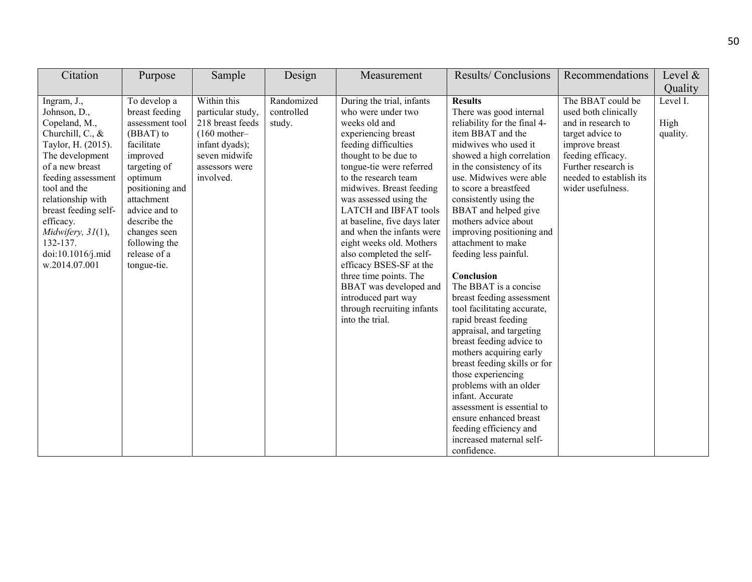| Citation                                                                                                                                                                                                                                                                                            | Purpose                                                                                                                                                                                                                                                 | Sample                                                                                                                                   | Design                             | Measurement                                                                                                                                                                                                                                                                                                                                                                                                                                                                                                                                            | Results/Conclusions                                                                                                                                                                                                                                                                                                                                                                                                                                                                                                                                                                                                                                                                                                                                                                                                                       | Recommendations                                                                                                                                                                                   | Level $\&$                   |
|-----------------------------------------------------------------------------------------------------------------------------------------------------------------------------------------------------------------------------------------------------------------------------------------------------|---------------------------------------------------------------------------------------------------------------------------------------------------------------------------------------------------------------------------------------------------------|------------------------------------------------------------------------------------------------------------------------------------------|------------------------------------|--------------------------------------------------------------------------------------------------------------------------------------------------------------------------------------------------------------------------------------------------------------------------------------------------------------------------------------------------------------------------------------------------------------------------------------------------------------------------------------------------------------------------------------------------------|-------------------------------------------------------------------------------------------------------------------------------------------------------------------------------------------------------------------------------------------------------------------------------------------------------------------------------------------------------------------------------------------------------------------------------------------------------------------------------------------------------------------------------------------------------------------------------------------------------------------------------------------------------------------------------------------------------------------------------------------------------------------------------------------------------------------------------------------|---------------------------------------------------------------------------------------------------------------------------------------------------------------------------------------------------|------------------------------|
|                                                                                                                                                                                                                                                                                                     |                                                                                                                                                                                                                                                         |                                                                                                                                          |                                    |                                                                                                                                                                                                                                                                                                                                                                                                                                                                                                                                                        |                                                                                                                                                                                                                                                                                                                                                                                                                                                                                                                                                                                                                                                                                                                                                                                                                                           |                                                                                                                                                                                                   | <b>Quality</b>               |
| Ingram, J.,<br>Johnson, D.,<br>Copeland, M.,<br>Churchill, C., &<br>Taylor, H. (2015).<br>The development<br>of a new breast<br>feeding assessment<br>tool and the<br>relationship with<br>breast feeding self-<br>efficacy.<br>Midwifery, 31(1),<br>132-137.<br>doi:10.1016/j.mid<br>w.2014.07.001 | To develop a<br>breast feeding<br>assessment tool<br>$(BBAT)$ to<br>facilitate<br>improved<br>targeting of<br>optimum<br>positioning and<br>attachment<br>advice and to<br>describe the<br>changes seen<br>following the<br>release of a<br>tongue-tie. | Within this<br>particular study,<br>218 breast feeds<br>$(160$ mother-<br>infant dyads);<br>seven midwife<br>assessors were<br>involved. | Randomized<br>controlled<br>study. | During the trial, infants<br>who were under two<br>weeks old and<br>experiencing breast<br>feeding difficulties<br>thought to be due to<br>tongue-tie were referred<br>to the research team<br>midwives. Breast feeding<br>was assessed using the<br>LATCH and IBFAT tools<br>at baseline, five days later<br>and when the infants were<br>eight weeks old. Mothers<br>also completed the self-<br>efficacy BSES-SF at the<br>three time points. The<br>BBAT was developed and<br>introduced part way<br>through recruiting infants<br>into the trial. | <b>Results</b><br>There was good internal<br>reliability for the final 4-<br>item BBAT and the<br>midwives who used it<br>showed a high correlation<br>in the consistency of its<br>use. Midwives were able<br>to score a breastfeed<br>consistently using the<br>BBAT and helped give<br>mothers advice about<br>improving positioning and<br>attachment to make<br>feeding less painful.<br>Conclusion<br>The BBAT is a concise<br>breast feeding assessment<br>tool facilitating accurate,<br>rapid breast feeding<br>appraisal, and targeting<br>breast feeding advice to<br>mothers acquiring early<br>breast feeding skills or for<br>those experiencing<br>problems with an older<br>infant. Accurate<br>assessment is essential to<br>ensure enhanced breast<br>feeding efficiency and<br>increased maternal self-<br>confidence. | The BBAT could be<br>used both clinically<br>and in research to<br>target advice to<br>improve breast<br>feeding efficacy.<br>Further research is<br>needed to establish its<br>wider usefulness. | Level I.<br>High<br>quality. |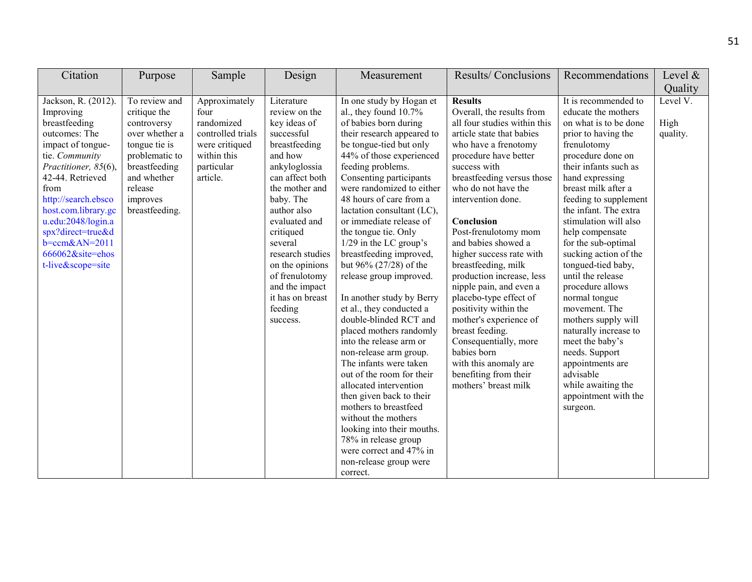| Citation                                                                                                                                                                                                                                                                                                                  | Purpose                                                                                                                                                                    | Sample                                                                                                              | Design                                                                                                                                                                                                                                                                                                                                 | Measurement                                                                                                                                                                                                                                                                                                                                                                                                                                                                                                                                                                                                                                                                                                                                                                                                                                                                                                                    | <b>Results/Conclusions</b>                                                                                                                                                                                                                                                                                                                                                                                                                                                                                                                                                                                                                     | Recommendations                                                                                                                                                                                                                                                                                                                                                                                                                                                                                                                                                                                                                   | Level &                      |
|---------------------------------------------------------------------------------------------------------------------------------------------------------------------------------------------------------------------------------------------------------------------------------------------------------------------------|----------------------------------------------------------------------------------------------------------------------------------------------------------------------------|---------------------------------------------------------------------------------------------------------------------|----------------------------------------------------------------------------------------------------------------------------------------------------------------------------------------------------------------------------------------------------------------------------------------------------------------------------------------|--------------------------------------------------------------------------------------------------------------------------------------------------------------------------------------------------------------------------------------------------------------------------------------------------------------------------------------------------------------------------------------------------------------------------------------------------------------------------------------------------------------------------------------------------------------------------------------------------------------------------------------------------------------------------------------------------------------------------------------------------------------------------------------------------------------------------------------------------------------------------------------------------------------------------------|------------------------------------------------------------------------------------------------------------------------------------------------------------------------------------------------------------------------------------------------------------------------------------------------------------------------------------------------------------------------------------------------------------------------------------------------------------------------------------------------------------------------------------------------------------------------------------------------------------------------------------------------|-----------------------------------------------------------------------------------------------------------------------------------------------------------------------------------------------------------------------------------------------------------------------------------------------------------------------------------------------------------------------------------------------------------------------------------------------------------------------------------------------------------------------------------------------------------------------------------------------------------------------------------|------------------------------|
|                                                                                                                                                                                                                                                                                                                           |                                                                                                                                                                            |                                                                                                                     |                                                                                                                                                                                                                                                                                                                                        |                                                                                                                                                                                                                                                                                                                                                                                                                                                                                                                                                                                                                                                                                                                                                                                                                                                                                                                                |                                                                                                                                                                                                                                                                                                                                                                                                                                                                                                                                                                                                                                                |                                                                                                                                                                                                                                                                                                                                                                                                                                                                                                                                                                                                                                   | Quality                      |
| Jackson, R. (2012).<br>Improving<br>breastfeeding<br>outcomes: The<br>impact of tongue-<br>tie. Community<br>Practitioner, 85(6),<br>42-44. Retrieved<br>from<br>http://search.ebsco<br>host.com.library.gc<br>u.edu:2048/login.a<br>spx?direct=true&d<br>$b = c$ cm $&$ AN=2011<br>666062&site=ehos<br>t-live&scope=site | To review and<br>critique the<br>controversy<br>over whether a<br>tongue tie is<br>problematic to<br>breastfeeding<br>and whether<br>release<br>improves<br>breastfeeding. | Approximately<br>four<br>randomized<br>controlled trials<br>were critiqued<br>within this<br>particular<br>article. | Literature<br>review on the<br>key ideas of<br>successful<br>breastfeeding<br>and how<br>ankyloglossia<br>can affect both<br>the mother and<br>baby. The<br>author also<br>evaluated and<br>critiqued<br>several<br>research studies<br>on the opinions<br>of frenulotomy<br>and the impact<br>it has on breast<br>feeding<br>success. | In one study by Hogan et<br>al., they found $10.7\%$<br>of babies born during<br>their research appeared to<br>be tongue-tied but only<br>44% of those experienced<br>feeding problems.<br>Consenting participants<br>were randomized to either<br>48 hours of care from a<br>lactation consultant (LC),<br>or immediate release of<br>the tongue tie. Only<br>$1/29$ in the LC group's<br>breastfeeding improved,<br>but 96% (27/28) of the<br>release group improved.<br>In another study by Berry<br>et al., they conducted a<br>double-blinded RCT and<br>placed mothers randomly<br>into the release arm or<br>non-release arm group.<br>The infants were taken<br>out of the room for their<br>allocated intervention<br>then given back to their<br>mothers to breastfeed<br>without the mothers<br>looking into their mouths.<br>78% in release group<br>were correct and 47% in<br>non-release group were<br>correct. | <b>Results</b><br>Overall, the results from<br>all four studies within this<br>article state that babies<br>who have a frenotomy<br>procedure have better<br>success with<br>breastfeeding versus those<br>who do not have the<br>intervention done.<br>Conclusion<br>Post-frenulotomy mom<br>and babies showed a<br>higher success rate with<br>breastfeeding, milk<br>production increase, less<br>nipple pain, and even a<br>placebo-type effect of<br>positivity within the<br>mother's experience of<br>breast feeding.<br>Consequentially, more<br>babies born<br>with this anomaly are<br>benefiting from their<br>mothers' breast milk | It is recommended to<br>educate the mothers<br>on what is to be done<br>prior to having the<br>frenulotomy<br>procedure done on<br>their infants such as<br>hand expressing<br>breast milk after a<br>feeding to supplement<br>the infant. The extra<br>stimulation will also<br>help compensate<br>for the sub-optimal<br>sucking action of the<br>tongued-tied baby,<br>until the release<br>procedure allows<br>normal tongue<br>movement. The<br>mothers supply will<br>naturally increase to<br>meet the baby's<br>needs. Support<br>appointments are<br>advisable<br>while awaiting the<br>appointment with the<br>surgeon. | Level V.<br>High<br>quality. |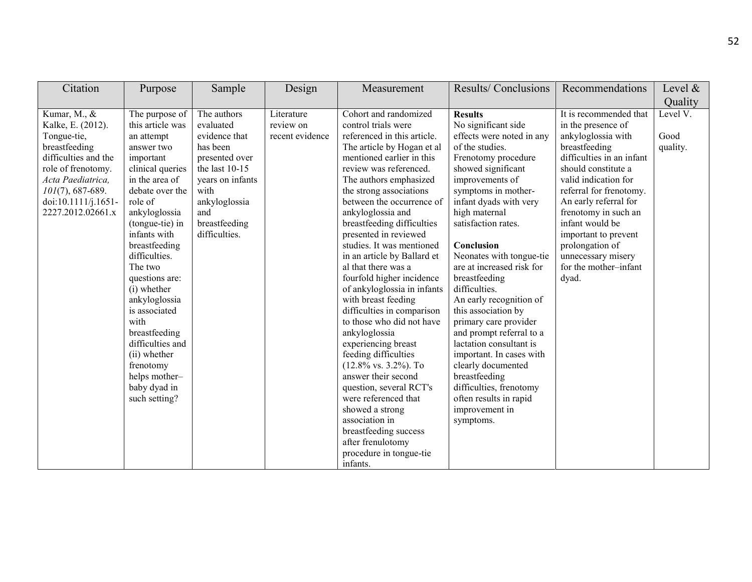| Citation             | Purpose          | Sample           | Design          | Measurement                       | Results/Conclusions       | Recommendations           | Level $\&$ |
|----------------------|------------------|------------------|-----------------|-----------------------------------|---------------------------|---------------------------|------------|
|                      |                  |                  |                 |                                   |                           |                           | Quality    |
| Kumar, M., &         | The purpose of   | The authors      | Literature      | Cohort and randomized             | <b>Results</b>            | It is recommended that    | Level V.   |
| Kalke, E. (2012).    | this article was | evaluated        | review on       | control trials were               | No significant side       | in the presence of        |            |
| Tongue-tie,          | an attempt       | evidence that    | recent evidence | referenced in this article.       | effects were noted in any | ankyloglossia with        | Good       |
| breastfeeding        | answer two       | has been         |                 | The article by Hogan et al        | of the studies.           | breastfeeding             | quality.   |
| difficulties and the | important        | presented over   |                 | mentioned earlier in this         | Frenotomy procedure       | difficulties in an infant |            |
| role of frenotomy.   | clinical queries | the last $10-15$ |                 | review was referenced.            | showed significant        | should constitute a       |            |
| Acta Paediatrica,    | in the area of   | years on infants |                 | The authors emphasized            | improvements of           | valid indication for      |            |
| $101(7)$ , 687-689.  | debate over the  | with             |                 | the strong associations           | symptoms in mother-       | referral for frenotomy.   |            |
| doi:10.1111/j.1651-  | role of          | ankyloglossia    |                 | between the occurrence of         | infant dyads with very    | An early referral for     |            |
| 2227.2012.02661.x    | ankyloglossia    | and              |                 | ankyloglossia and                 | high maternal             | frenotomy in such an      |            |
|                      | (tongue-tie) in  | breastfeeding    |                 | breastfeeding difficulties        | satisfaction rates.       | infant would be           |            |
|                      | infants with     | difficulties.    |                 | presented in reviewed             |                           | important to prevent      |            |
|                      | breastfeeding    |                  |                 | studies. It was mentioned         | Conclusion                | prolongation of           |            |
|                      | difficulties.    |                  |                 | in an article by Ballard et       | Neonates with tongue-tie  | unnecessary misery        |            |
|                      | The two          |                  |                 | al that there was a               | are at increased risk for | for the mother-infant     |            |
|                      | questions are:   |                  |                 | fourfold higher incidence         | breastfeeding             | dyad.                     |            |
|                      | (i) whether      |                  |                 | of ankyloglossia in infants       | difficulties.             |                           |            |
|                      | ankyloglossia    |                  |                 | with breast feeding               | An early recognition of   |                           |            |
|                      | is associated    |                  |                 | difficulties in comparison        | this association by       |                           |            |
|                      | with             |                  |                 | to those who did not have         | primary care provider     |                           |            |
|                      | breastfeeding    |                  |                 | ankyloglossia                     | and prompt referral to a  |                           |            |
|                      | difficulties and |                  |                 | experiencing breast               | lactation consultant is   |                           |            |
|                      | (ii) whether     |                  |                 | feeding difficulties              | important. In cases with  |                           |            |
|                      | frenotomy        |                  |                 | $(12.8\% \text{ vs. } 3.2\%).$ To | clearly documented        |                           |            |
|                      | helps mother-    |                  |                 | answer their second               | breastfeeding             |                           |            |
|                      | baby dyad in     |                  |                 | question, several RCT's           | difficulties, frenotomy   |                           |            |
|                      | such setting?    |                  |                 | were referenced that              | often results in rapid    |                           |            |
|                      |                  |                  |                 | showed a strong                   | improvement in            |                           |            |
|                      |                  |                  |                 | association in                    | symptoms.                 |                           |            |
|                      |                  |                  |                 | breastfeeding success             |                           |                           |            |
|                      |                  |                  |                 | after frenulotomy                 |                           |                           |            |
|                      |                  |                  |                 | procedure in tongue-tie           |                           |                           |            |
|                      |                  |                  |                 | infants.                          |                           |                           |            |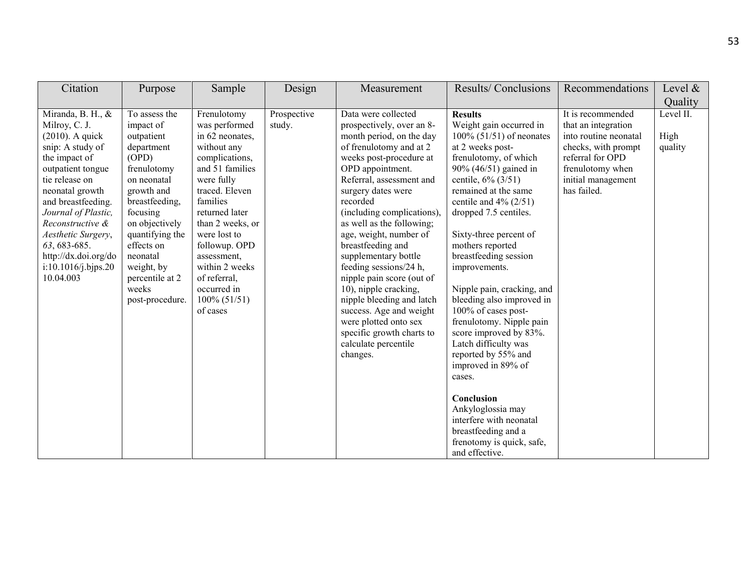| Citation                                                                                                                                                                                                                                                                                                                   | Purpose                                                                                                                                                                                                                                                               | Sample                                                                                                                                                                                                                                                                                                                | Design                | Measurement                                                                                                                                                                                                                                                                                                                                                                                                                                                                                                                                                                              | Results/Conclusions                                                                                                                                                                                                                                                                                                                                                                                                                                                                                                                                                                                                                                                                                  | Recommendations                                                                                                                                                       | Level &                      |
|----------------------------------------------------------------------------------------------------------------------------------------------------------------------------------------------------------------------------------------------------------------------------------------------------------------------------|-----------------------------------------------------------------------------------------------------------------------------------------------------------------------------------------------------------------------------------------------------------------------|-----------------------------------------------------------------------------------------------------------------------------------------------------------------------------------------------------------------------------------------------------------------------------------------------------------------------|-----------------------|------------------------------------------------------------------------------------------------------------------------------------------------------------------------------------------------------------------------------------------------------------------------------------------------------------------------------------------------------------------------------------------------------------------------------------------------------------------------------------------------------------------------------------------------------------------------------------------|------------------------------------------------------------------------------------------------------------------------------------------------------------------------------------------------------------------------------------------------------------------------------------------------------------------------------------------------------------------------------------------------------------------------------------------------------------------------------------------------------------------------------------------------------------------------------------------------------------------------------------------------------------------------------------------------------|-----------------------------------------------------------------------------------------------------------------------------------------------------------------------|------------------------------|
|                                                                                                                                                                                                                                                                                                                            |                                                                                                                                                                                                                                                                       |                                                                                                                                                                                                                                                                                                                       |                       |                                                                                                                                                                                                                                                                                                                                                                                                                                                                                                                                                                                          |                                                                                                                                                                                                                                                                                                                                                                                                                                                                                                                                                                                                                                                                                                      |                                                                                                                                                                       | Quality                      |
| Miranda, B. H., &<br>Milroy, C. J.<br>$(2010)$ . A quick<br>snip: A study of<br>the impact of<br>outpatient tongue<br>tie release on<br>neonatal growth<br>and breastfeeding.<br>Journal of Plastic,<br>Reconstructive &<br>Aesthetic Surgery,<br>63, 683-685.<br>http://dx.doi.org/do<br>i:10.1016/j.bips.20<br>10.04.003 | To assess the<br>impact of<br>outpatient<br>department<br>(OPD)<br>frenulotomy<br>on neonatal<br>growth and<br>breastfeeding,<br>focusing<br>on objectively<br>quantifying the<br>effects on<br>neonatal<br>weight, by<br>percentile at 2<br>weeks<br>post-procedure. | Frenulotomy<br>was performed<br>in 62 neonates,<br>without any<br>complications,<br>and 51 families<br>were fully<br>traced. Eleven<br>families<br>returned later<br>than 2 weeks, or<br>were lost to<br>followup. OPD<br>assessment,<br>within 2 weeks<br>of referral,<br>occurred in<br>$100\% (51/51)$<br>of cases | Prospective<br>study. | Data were collected<br>prospectively, over an 8-<br>month period, on the day<br>of frenulotomy and at 2<br>weeks post-procedure at<br>OPD appointment.<br>Referral, assessment and<br>surgery dates were<br>recorded<br>(including complications),<br>as well as the following;<br>age, weight, number of<br>breastfeeding and<br>supplementary bottle<br>feeding sessions/24 h,<br>nipple pain score (out of<br>10), nipple cracking,<br>nipple bleeding and latch<br>success. Age and weight<br>were plotted onto sex<br>specific growth charts to<br>calculate percentile<br>changes. | <b>Results</b><br>Weight gain occurred in<br>$100\%$ (51/51) of neonates<br>at 2 weeks post-<br>frenulotomy, of which<br>90% (46/51) gained in<br>centile, 6% (3/51)<br>remained at the same<br>centile and $4\%$ (2/51)<br>dropped 7.5 centiles.<br>Sixty-three percent of<br>mothers reported<br>breastfeeding session<br>improvements.<br>Nipple pain, cracking, and<br>bleeding also improved in<br>100% of cases post-<br>frenulotomy. Nipple pain<br>score improved by 83%.<br>Latch difficulty was<br>reported by 55% and<br>improved in 89% of<br>cases.<br>Conclusion<br>Ankyloglossia may<br>interfere with neonatal<br>breastfeeding and a<br>frenotomy is quick, safe,<br>and effective. | It is recommended<br>that an integration<br>into routine neonatal<br>checks, with prompt<br>referral for OPD<br>frenulotomy when<br>initial management<br>has failed. | Level II.<br>High<br>quality |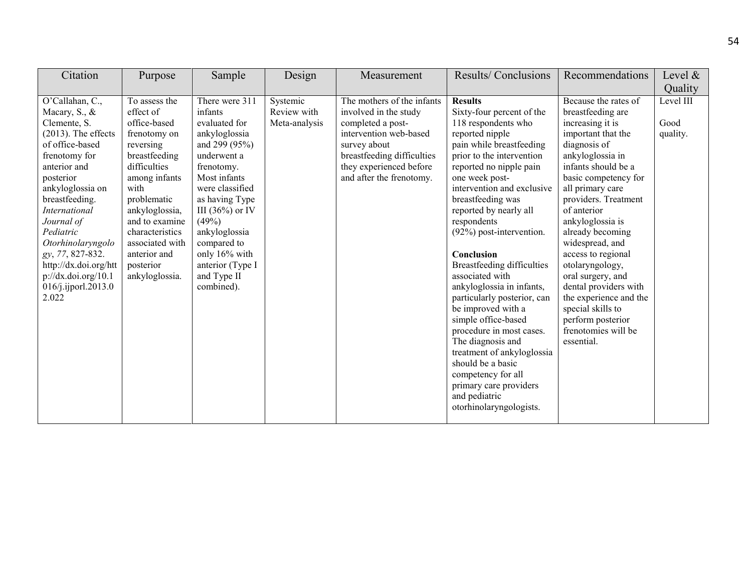| Citation                                                                                                                                                                                                                                                                                                                                                           | Purpose                                                                                                                                                                                                                                                                   | Sample                                                                                                                                                                                                                                                                                           | Design                                   | Measurement                                                                                                                                                                                             | Results/Conclusions                                                                                                                                                                                                                                                                                                                                                                                                                                                                                                                                                                                                                                                                                | Recommendations                                                                                                                                                                                                                                                                                                                                                                                                                                                                              | Level $\&$                    |
|--------------------------------------------------------------------------------------------------------------------------------------------------------------------------------------------------------------------------------------------------------------------------------------------------------------------------------------------------------------------|---------------------------------------------------------------------------------------------------------------------------------------------------------------------------------------------------------------------------------------------------------------------------|--------------------------------------------------------------------------------------------------------------------------------------------------------------------------------------------------------------------------------------------------------------------------------------------------|------------------------------------------|---------------------------------------------------------------------------------------------------------------------------------------------------------------------------------------------------------|----------------------------------------------------------------------------------------------------------------------------------------------------------------------------------------------------------------------------------------------------------------------------------------------------------------------------------------------------------------------------------------------------------------------------------------------------------------------------------------------------------------------------------------------------------------------------------------------------------------------------------------------------------------------------------------------------|----------------------------------------------------------------------------------------------------------------------------------------------------------------------------------------------------------------------------------------------------------------------------------------------------------------------------------------------------------------------------------------------------------------------------------------------------------------------------------------------|-------------------------------|
|                                                                                                                                                                                                                                                                                                                                                                    |                                                                                                                                                                                                                                                                           |                                                                                                                                                                                                                                                                                                  |                                          |                                                                                                                                                                                                         |                                                                                                                                                                                                                                                                                                                                                                                                                                                                                                                                                                                                                                                                                                    |                                                                                                                                                                                                                                                                                                                                                                                                                                                                                              | Quality                       |
| O'Callahan, C.,<br>Macary, S., $&$<br>Clemente, S.<br>$(2013)$ . The effects<br>of office-based<br>frenotomy for<br>anterior and<br>posterior<br>ankyloglossia on<br>breastfeeding.<br><i>International</i><br>Journal of<br>Pediatric<br>Otorhinolaryngolo<br>gy, 77, 827-832.<br>http://dx.doi.org/htt<br>$p$ ://dx.doi.org/10.1<br>016/j.ijporl.2013.0<br>2.022 | To assess the<br>effect of<br>office-based<br>frenotomy on<br>reversing<br>breastfeeding<br>difficulties<br>among infants<br>with<br>problematic<br>ankyloglossia,<br>and to examine<br>characteristics<br>associated with<br>anterior and<br>posterior<br>ankyloglossia. | There were 311<br>infants<br>evaluated for<br>ankyloglossia<br>and $299(95%)$<br>underwent a<br>frenotomy.<br>Most infants<br>were classified<br>as having Type<br>III $(36\%)$ or IV<br>(49%)<br>ankyloglossia<br>compared to<br>only 16% with<br>anterior (Type I<br>and Type II<br>combined). | Systemic<br>Review with<br>Meta-analysis | The mothers of the infants<br>involved in the study<br>completed a post-<br>intervention web-based<br>survey about<br>breastfeeding difficulties<br>they experienced before<br>and after the frenotomy. | <b>Results</b><br>Sixty-four percent of the<br>118 respondents who<br>reported nipple<br>pain while breastfeeding<br>prior to the intervention<br>reported no nipple pain<br>one week post-<br>intervention and exclusive<br>breastfeeding was<br>reported by nearly all<br>respondents<br>(92%) post-intervention.<br>Conclusion<br><b>Breastfeeding difficulties</b><br>associated with<br>ankyloglossia in infants,<br>particularly posterior, can<br>be improved with a<br>simple office-based<br>procedure in most cases.<br>The diagnosis and<br>treatment of ankyloglossia<br>should be a basic<br>competency for all<br>primary care providers<br>and pediatric<br>otorhinolaryngologists. | Because the rates of<br>breastfeeding are<br>increasing it is<br>important that the<br>diagnosis of<br>ankyloglossia in<br>infants should be a<br>basic competency for<br>all primary care<br>providers. Treatment<br>of anterior<br>ankyloglossia is<br>already becoming<br>widespread, and<br>access to regional<br>otolaryngology,<br>oral surgery, and<br>dental providers with<br>the experience and the<br>special skills to<br>perform posterior<br>frenotomies will be<br>essential. | Level III<br>Good<br>quality. |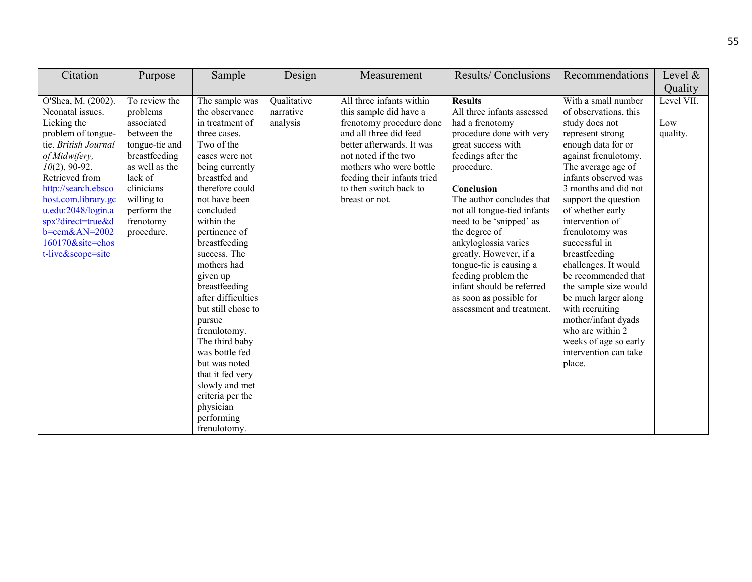| Citation                                                                                                                                                                                                                                                                                                               | Purpose                                                                                                                                                                                      | Sample                                                                                                                                                                                                                                                                                                                                                                                                                                                                                                                               | Design                               | Measurement                                                                                                                                                                                                                                                         | Results/Conclusions                                                                                                                                                                                                                                                                                                                                                                                                                                                  | Recommendations                                                                                                                                                                                                                                                                                                                                                                                                                                                                                                                                      | Level $\&$                    |
|------------------------------------------------------------------------------------------------------------------------------------------------------------------------------------------------------------------------------------------------------------------------------------------------------------------------|----------------------------------------------------------------------------------------------------------------------------------------------------------------------------------------------|--------------------------------------------------------------------------------------------------------------------------------------------------------------------------------------------------------------------------------------------------------------------------------------------------------------------------------------------------------------------------------------------------------------------------------------------------------------------------------------------------------------------------------------|--------------------------------------|---------------------------------------------------------------------------------------------------------------------------------------------------------------------------------------------------------------------------------------------------------------------|----------------------------------------------------------------------------------------------------------------------------------------------------------------------------------------------------------------------------------------------------------------------------------------------------------------------------------------------------------------------------------------------------------------------------------------------------------------------|------------------------------------------------------------------------------------------------------------------------------------------------------------------------------------------------------------------------------------------------------------------------------------------------------------------------------------------------------------------------------------------------------------------------------------------------------------------------------------------------------------------------------------------------------|-------------------------------|
|                                                                                                                                                                                                                                                                                                                        |                                                                                                                                                                                              |                                                                                                                                                                                                                                                                                                                                                                                                                                                                                                                                      |                                      |                                                                                                                                                                                                                                                                     |                                                                                                                                                                                                                                                                                                                                                                                                                                                                      |                                                                                                                                                                                                                                                                                                                                                                                                                                                                                                                                                      | Quality                       |
| O'Shea, M. (2002).<br>Neonatal issues.<br>Licking the<br>problem of tongue-<br>tie. British Journal<br>of Midwifery,<br>$10(2)$ , 90-92.<br>Retrieved from<br>http://search.ebsco<br>host.com.library.gc<br>u.edu:2048/login.a<br>spx?direct=true&d<br>$b = c$ cm $&$ AN=2002<br>160170&site=ehos<br>t-live&scope=site | To review the<br>problems<br>associated<br>between the<br>tongue-tie and<br>breastfeeding<br>as well as the<br>lack of<br>clinicians<br>willing to<br>perform the<br>frenotomy<br>procedure. | The sample was<br>the observance<br>in treatment of<br>three cases.<br>Two of the<br>cases were not<br>being currently<br>breastfed and<br>therefore could<br>not have been<br>concluded<br>within the<br>pertinence of<br>breastfeeding<br>success. The<br>mothers had<br>given up<br>breastfeeding<br>after difficulties<br>but still chose to<br>pursue<br>frenulotomy.<br>The third baby<br>was bottle fed<br>but was noted<br>that it fed very<br>slowly and met<br>criteria per the<br>physician<br>performing<br>frenulotomy. | Qualitative<br>narrative<br>analysis | All three infants within<br>this sample did have a<br>frenotomy procedure done<br>and all three did feed<br>better afterwards. It was<br>not noted if the two<br>mothers who were bottle<br>feeding their infants tried<br>to then switch back to<br>breast or not. | <b>Results</b><br>All three infants assessed<br>had a frenotomy<br>procedure done with very<br>great success with<br>feedings after the<br>procedure.<br>Conclusion<br>The author concludes that<br>not all tongue-tied infants<br>need to be 'snipped' as<br>the degree of<br>ankyloglossia varies<br>greatly. However, if a<br>tongue-tie is causing a<br>feeding problem the<br>infant should be referred<br>as soon as possible for<br>assessment and treatment. | With a small number<br>of observations, this<br>study does not<br>represent strong<br>enough data for or<br>against frenulotomy.<br>The average age of<br>infants observed was<br>3 months and did not<br>support the question<br>of whether early<br>intervention of<br>frenulotomy was<br>successful in<br>breastfeeding<br>challenges. It would<br>be recommended that<br>the sample size would<br>be much larger along<br>with recruiting<br>mother/infant dyads<br>who are within 2<br>weeks of age so early<br>intervention can take<br>place. | Level VII.<br>Low<br>quality. |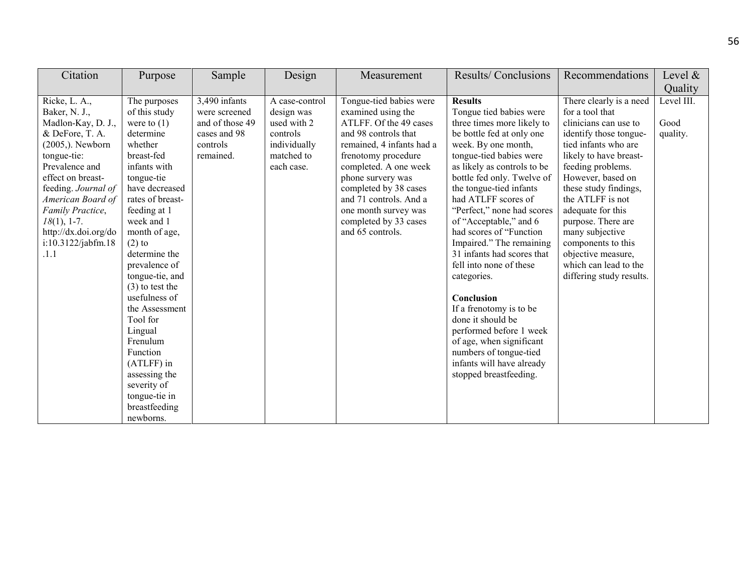| Citation                                                                                                                                                                                                                                                                                    | Purpose                                                                                                                                                                                                                                                                                                                                                                                                                                                                        | Sample                                                                                     | Design                                                                                              | Measurement                                                                                                                                                                                                                                                                                                               | Results/Conclusions                                                                                                                                                                                                                                                                                                                                                                                                                                                                                                                                                                                                                                                | Recommendations                                                                                                                                                                                                                                                                                                                                                                                       | Level $\&$                     |
|---------------------------------------------------------------------------------------------------------------------------------------------------------------------------------------------------------------------------------------------------------------------------------------------|--------------------------------------------------------------------------------------------------------------------------------------------------------------------------------------------------------------------------------------------------------------------------------------------------------------------------------------------------------------------------------------------------------------------------------------------------------------------------------|--------------------------------------------------------------------------------------------|-----------------------------------------------------------------------------------------------------|---------------------------------------------------------------------------------------------------------------------------------------------------------------------------------------------------------------------------------------------------------------------------------------------------------------------------|--------------------------------------------------------------------------------------------------------------------------------------------------------------------------------------------------------------------------------------------------------------------------------------------------------------------------------------------------------------------------------------------------------------------------------------------------------------------------------------------------------------------------------------------------------------------------------------------------------------------------------------------------------------------|-------------------------------------------------------------------------------------------------------------------------------------------------------------------------------------------------------------------------------------------------------------------------------------------------------------------------------------------------------------------------------------------------------|--------------------------------|
|                                                                                                                                                                                                                                                                                             |                                                                                                                                                                                                                                                                                                                                                                                                                                                                                |                                                                                            |                                                                                                     |                                                                                                                                                                                                                                                                                                                           |                                                                                                                                                                                                                                                                                                                                                                                                                                                                                                                                                                                                                                                                    |                                                                                                                                                                                                                                                                                                                                                                                                       | Quality                        |
| Ricke, L. A.,<br>Baker, N. J.,<br>Madlon-Kay, D. J.,<br>& DeFore, T. A.<br>$(2005)$ . Newborn<br>tongue-tie:<br>Prevalence and<br>effect on breast-<br>feeding. Journal of<br>American Board of<br>Family Practice,<br>$18(1)$ , 1-7.<br>http://dx.doi.org/do<br>i:10.3122/jabfm.18<br>.1.1 | The purposes<br>of this study<br>were to $(1)$<br>determine<br>whether<br>breast-fed<br>infants with<br>tongue-tie<br>have decreased<br>rates of breast-<br>feeding at 1<br>week and 1<br>month of age,<br>$(2)$ to<br>determine the<br>prevalence of<br>tongue-tie, and<br>$(3)$ to test the<br>usefulness of<br>the Assessment<br>Tool for<br>Lingual<br>Frenulum<br>Function<br>$(ATLFF)$ in<br>assessing the<br>severity of<br>tongue-tie in<br>breastfeeding<br>newborns. | 3,490 infants<br>were screened<br>and of those 49<br>cases and 98<br>controls<br>remained. | A case-control<br>design was<br>used with 2<br>controls<br>individually<br>matched to<br>each case. | Tongue-tied babies were<br>examined using the<br>ATLFF. Of the 49 cases<br>and 98 controls that<br>remained, 4 infants had a<br>frenotomy procedure<br>completed. A one week<br>phone survery was<br>completed by 38 cases<br>and 71 controls. And a<br>one month survey was<br>completed by 33 cases<br>and 65 controls. | <b>Results</b><br>Tongue tied babies were<br>three times more likely to<br>be bottle fed at only one<br>week. By one month,<br>tongue-tied babies were<br>as likely as controls to be<br>bottle fed only. Twelve of<br>the tongue-tied infants<br>had ATLFF scores of<br>"Perfect," none had scores<br>of "Acceptable," and 6<br>had scores of "Function<br>Impaired." The remaining<br>31 infants had scores that<br>fell into none of these<br>categories.<br>Conclusion<br>If a frenotomy is to be<br>done it should be<br>performed before 1 week<br>of age, when significant<br>numbers of tongue-tied<br>infants will have already<br>stopped breastfeeding. | There clearly is a need<br>for a tool that<br>clinicians can use to<br>identify those tongue-<br>tied infants who are<br>likely to have breast-<br>feeding problems.<br>However, based on<br>these study findings,<br>the ATLFF is not<br>adequate for this<br>purpose. There are<br>many subjective<br>components to this<br>objective measure,<br>which can lead to the<br>differing study results. | Level III.<br>Good<br>quality. |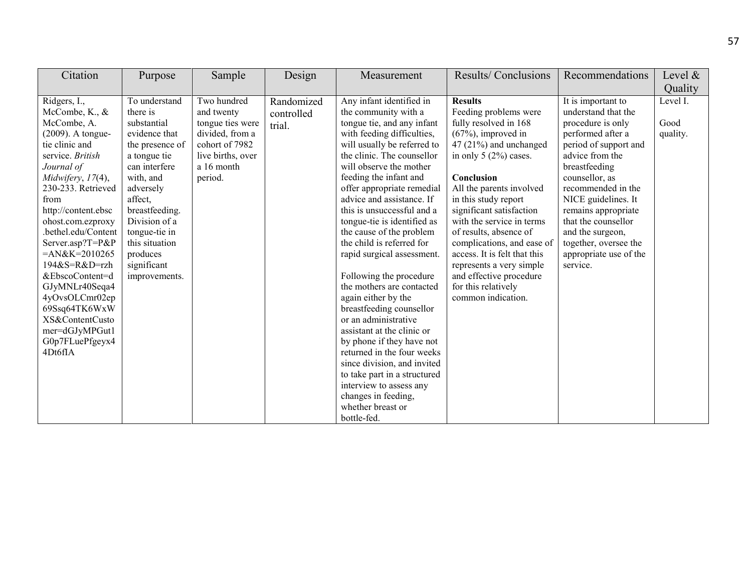| Citation                           | Purpose                         | Sample                              | Design     | Measurement                                               | <b>Results/Conclusions</b>                        | Recommendations                          | Level $\&$ |
|------------------------------------|---------------------------------|-------------------------------------|------------|-----------------------------------------------------------|---------------------------------------------------|------------------------------------------|------------|
|                                    |                                 |                                     |            |                                                           |                                                   |                                          | Quality    |
| Ridgers, I.,                       | To understand                   | Two hundred                         | Randomized | Any infant identified in                                  | <b>Results</b>                                    | It is important to                       | Level I.   |
| McCombe, K., &                     | there is                        | and twenty                          | controlled | the community with a                                      | Feeding problems were                             | understand that the                      |            |
| McCombe, A.                        | substantial                     | tongue ties were                    | trial.     | tongue tie, and any infant                                | fully resolved in 168                             | procedure is only                        | Good       |
| $(2009)$ . A tongue-               | evidence that                   | divided, from a                     |            | with feeding difficulties,                                | $(67%)$ , improved in                             | performed after a                        | quality.   |
| tie clinic and<br>service. British | the presence of<br>a tongue tie | cohort of 7982<br>live births, over |            | will usually be referred to<br>the clinic. The counsellor | 47 (21%) and unchanged<br>in only $5(2\%)$ cases. | period of support and<br>advice from the |            |
| Journal of                         | can interfere                   | a 16 month                          |            | will observe the mother                                   |                                                   | breastfeeding                            |            |
| Midwifery, 17(4),                  | with, and                       | period.                             |            | feeding the infant and                                    | Conclusion                                        | counsellor, as                           |            |
| 230-233. Retrieved                 | adversely                       |                                     |            | offer appropriate remedial                                | All the parents involved                          | recommended in the                       |            |
| from                               | affect,                         |                                     |            | advice and assistance. If                                 | in this study report                              | NICE guidelines. It                      |            |
| http://content.ebsc                | breastfeeding.                  |                                     |            | this is unsuccessful and a                                | significant satisfaction                          | remains appropriate                      |            |
| ohost.com.ezproxy                  | Division of a                   |                                     |            | tongue-tie is identified as                               | with the service in terms                         | that the counsellor                      |            |
| .bethel.edu/Content                | tongue-tie in                   |                                     |            | the cause of the problem                                  | of results, absence of                            | and the surgeon,                         |            |
| Server.asp?T=P&P                   | this situation                  |                                     |            | the child is referred for                                 | complications, and ease of                        | together, oversee the                    |            |
| $=AN&K=2010265$                    | produces                        |                                     |            | rapid surgical assessment.                                | access. It is felt that this                      | appropriate use of the                   |            |
| 194&S=R&D=rzh                      | significant                     |                                     |            |                                                           | represents a very simple                          | service.                                 |            |
| &EbscoContent=d                    | improvements.                   |                                     |            | Following the procedure                                   | and effective procedure                           |                                          |            |
| GJyMNLr40Seqa4                     |                                 |                                     |            | the mothers are contacted                                 | for this relatively                               |                                          |            |
| 4yOvsOLCmr02ep                     |                                 |                                     |            | again either by the                                       | common indication.                                |                                          |            |
| 69Ssq64TK6WxW                      |                                 |                                     |            | breastfeeding counsellor                                  |                                                   |                                          |            |
| XS&ContentCusto                    |                                 |                                     |            | or an administrative                                      |                                                   |                                          |            |
| mer=dGJyMPGut1                     |                                 |                                     |            | assistant at the clinic or                                |                                                   |                                          |            |
| G0p7FLuePfgeyx4                    |                                 |                                     |            | by phone if they have not                                 |                                                   |                                          |            |
| 4Dt6fIA                            |                                 |                                     |            | returned in the four weeks<br>since division, and invited |                                                   |                                          |            |
|                                    |                                 |                                     |            | to take part in a structured                              |                                                   |                                          |            |
|                                    |                                 |                                     |            | interview to assess any                                   |                                                   |                                          |            |
|                                    |                                 |                                     |            | changes in feeding,                                       |                                                   |                                          |            |
|                                    |                                 |                                     |            | whether breast or                                         |                                                   |                                          |            |
|                                    |                                 |                                     |            | bottle-fed.                                               |                                                   |                                          |            |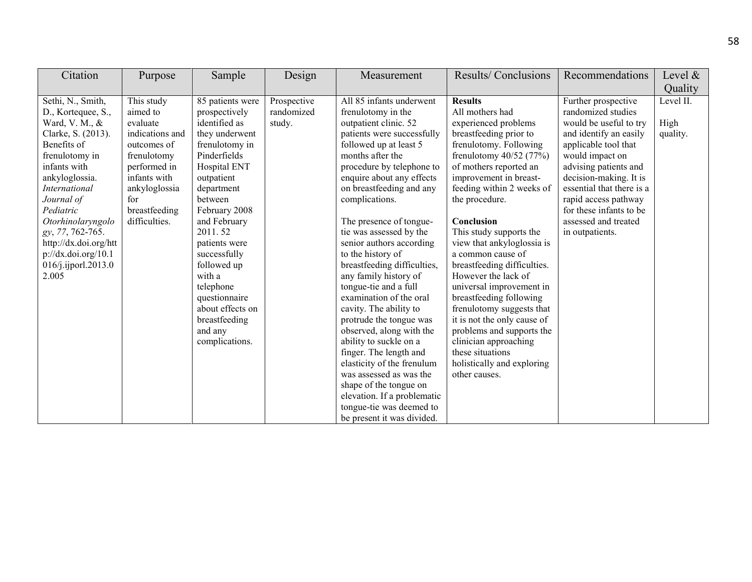| Citation                                                                                                                                                                                                                                                                                                                          | Purpose                                                                                                                                                                       | Sample                                                                                                                                                                                                                                                                                                                                                              | Design                              | Measurement                                                                                                                                                                                                                                                                                                                                                                                                                                                                                                                                                                                                                                                                                                                                                                                     | Results/Conclusions                                                                                                                                                                                                                                                                                                                                                                                                                                                                                                                                                                                                                       | Recommendations                                                                                                                                                                                                                                                                                                        | Level &                       |
|-----------------------------------------------------------------------------------------------------------------------------------------------------------------------------------------------------------------------------------------------------------------------------------------------------------------------------------|-------------------------------------------------------------------------------------------------------------------------------------------------------------------------------|---------------------------------------------------------------------------------------------------------------------------------------------------------------------------------------------------------------------------------------------------------------------------------------------------------------------------------------------------------------------|-------------------------------------|-------------------------------------------------------------------------------------------------------------------------------------------------------------------------------------------------------------------------------------------------------------------------------------------------------------------------------------------------------------------------------------------------------------------------------------------------------------------------------------------------------------------------------------------------------------------------------------------------------------------------------------------------------------------------------------------------------------------------------------------------------------------------------------------------|-------------------------------------------------------------------------------------------------------------------------------------------------------------------------------------------------------------------------------------------------------------------------------------------------------------------------------------------------------------------------------------------------------------------------------------------------------------------------------------------------------------------------------------------------------------------------------------------------------------------------------------------|------------------------------------------------------------------------------------------------------------------------------------------------------------------------------------------------------------------------------------------------------------------------------------------------------------------------|-------------------------------|
|                                                                                                                                                                                                                                                                                                                                   |                                                                                                                                                                               |                                                                                                                                                                                                                                                                                                                                                                     |                                     |                                                                                                                                                                                                                                                                                                                                                                                                                                                                                                                                                                                                                                                                                                                                                                                                 |                                                                                                                                                                                                                                                                                                                                                                                                                                                                                                                                                                                                                                           |                                                                                                                                                                                                                                                                                                                        | Quality                       |
| Sethi, N., Smith,<br>D., Kortequee, S.,<br>Ward, V. M., &<br>Clarke, S. (2013).<br>Benefits of<br>frenulotomy in<br>infants with<br>ankyloglossia.<br><i>International</i><br>Journal of<br>Pediatric<br>Otorhinolaryngolo<br>gy, 77, 762-765.<br>http://dx.doi.org/htt<br>$p$ ://dx.doi.org/10.1<br>016/j.ijporl.2013.0<br>2.005 | This study<br>aimed to<br>evaluate<br>indications and<br>outcomes of<br>frenulotomy<br>performed in<br>infants with<br>ankyloglossia<br>for<br>breastfeeding<br>difficulties. | 85 patients were<br>prospectively<br>identified as<br>they underwent<br>frenulotomy in<br>Pinderfields<br>Hospital ENT<br>outpatient<br>department<br>between<br>February 2008<br>and February<br>2011.52<br>patients were<br>successfully<br>followed up<br>with a<br>telephone<br>questionnaire<br>about effects on<br>breastfeeding<br>and any<br>complications. | Prospective<br>randomized<br>study. | All 85 infants underwent<br>frenulotomy in the<br>outpatient clinic. 52<br>patients were successfully<br>followed up at least 5<br>months after the<br>procedure by telephone to<br>enquire about any effects<br>on breastfeeding and any<br>complications.<br>The presence of tongue-<br>tie was assessed by the<br>senior authors according<br>to the history of<br>breastfeeding difficulties,<br>any family history of<br>tongue-tie and a full<br>examination of the oral<br>cavity. The ability to<br>protrude the tongue was<br>observed, along with the<br>ability to suckle on a<br>finger. The length and<br>elasticity of the frenulum<br>was assessed as was the<br>shape of the tongue on<br>elevation. If a problematic<br>tongue-tie was deemed to<br>be present it was divided. | <b>Results</b><br>All mothers had<br>experienced problems<br>breastfeeding prior to<br>frenulotomy. Following<br>frenulotomy 40/52 (77%)<br>of mothers reported an<br>improvement in breast-<br>feeding within 2 weeks of<br>the procedure.<br>Conclusion<br>This study supports the<br>view that ankyloglossia is<br>a common cause of<br>breastfeeding difficulties.<br>However the lack of<br>universal improvement in<br>breastfeeding following<br>frenulotomy suggests that<br>it is not the only cause of<br>problems and supports the<br>clinician approaching<br>these situations<br>holistically and exploring<br>other causes. | Further prospective<br>randomized studies<br>would be useful to try<br>and identify an easily<br>applicable tool that<br>would impact on<br>advising patients and<br>decision-making. It is<br>essential that there is a<br>rapid access pathway<br>for these infants to be<br>assessed and treated<br>in outpatients. | Level II.<br>High<br>quality. |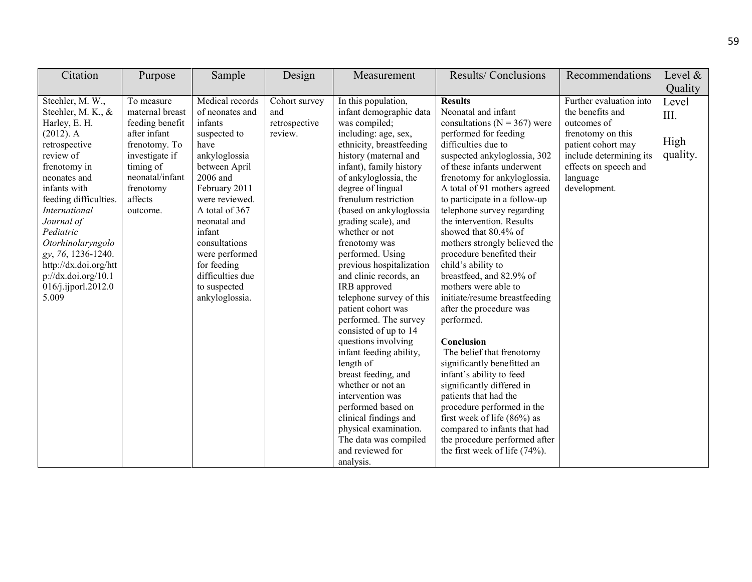| Citation                                                                                                                                                                                                                                                                                                                                                        | Purpose                                                                                                                                                                 | Sample                                                                                                                                                                                                                                                                                                     | Design                                           | Measurement                                                                                                                                                                                                                                                                                                                                                                                                                                                                                                                                                                                                                                                                                                                                                                                       | Results/Conclusions                                                                                                                                                                                                                                                                                                                                                                                                                                                                                                                                                                                                                                                                                                                                                                                                                                                                                                         | Recommendations                                                                                                                                                                       | Level $\&$                        |
|-----------------------------------------------------------------------------------------------------------------------------------------------------------------------------------------------------------------------------------------------------------------------------------------------------------------------------------------------------------------|-------------------------------------------------------------------------------------------------------------------------------------------------------------------------|------------------------------------------------------------------------------------------------------------------------------------------------------------------------------------------------------------------------------------------------------------------------------------------------------------|--------------------------------------------------|---------------------------------------------------------------------------------------------------------------------------------------------------------------------------------------------------------------------------------------------------------------------------------------------------------------------------------------------------------------------------------------------------------------------------------------------------------------------------------------------------------------------------------------------------------------------------------------------------------------------------------------------------------------------------------------------------------------------------------------------------------------------------------------------------|-----------------------------------------------------------------------------------------------------------------------------------------------------------------------------------------------------------------------------------------------------------------------------------------------------------------------------------------------------------------------------------------------------------------------------------------------------------------------------------------------------------------------------------------------------------------------------------------------------------------------------------------------------------------------------------------------------------------------------------------------------------------------------------------------------------------------------------------------------------------------------------------------------------------------------|---------------------------------------------------------------------------------------------------------------------------------------------------------------------------------------|-----------------------------------|
|                                                                                                                                                                                                                                                                                                                                                                 |                                                                                                                                                                         |                                                                                                                                                                                                                                                                                                            |                                                  |                                                                                                                                                                                                                                                                                                                                                                                                                                                                                                                                                                                                                                                                                                                                                                                                   |                                                                                                                                                                                                                                                                                                                                                                                                                                                                                                                                                                                                                                                                                                                                                                                                                                                                                                                             |                                                                                                                                                                                       | Quality                           |
| Steehler, M. W.,<br>Steehler, M. K., &<br>Harley, E. H.<br>$(2012)$ . A<br>retrospective<br>review of<br>frenotomy in<br>neonates and<br>infants with<br>feeding difficulties.<br><b>International</b><br>Journal of<br>Pediatric<br>Otorhinolaryngolo<br>gy, 76, 1236-1240.<br>http://dx.doi.org/htt<br>$p$ ://dx.doi.org/10.1<br>016/j.ijporl.2012.0<br>5.009 | To measure<br>maternal breast<br>feeding benefit<br>after infant<br>frenotomy. To<br>investigate if<br>timing of<br>neonatal/infant<br>frenotomy<br>affects<br>outcome. | Medical records<br>of neonates and<br>infants<br>suspected to<br>have<br>ankyloglossia<br>between April<br>2006 and<br>February 2011<br>were reviewed.<br>A total of 367<br>neonatal and<br>infant<br>consultations<br>were performed<br>for feeding<br>difficulties due<br>to suspected<br>ankyloglossia. | Cohort survey<br>and<br>retrospective<br>review. | In this population,<br>infant demographic data<br>was compiled;<br>including: age, sex,<br>ethnicity, breastfeeding<br>history (maternal and<br>infant), family history<br>of ankyloglossia, the<br>degree of lingual<br>frenulum restriction<br>(based on ankyloglossia<br>grading scale), and<br>whether or not<br>frenotomy was<br>performed. Using<br>previous hospitalization<br>and clinic records, an<br>IRB approved<br>telephone survey of this<br>patient cohort was<br>performed. The survey<br>consisted of up to 14<br>questions involving<br>infant feeding ability,<br>length of<br>breast feeding, and<br>whether or not an<br>intervention was<br>performed based on<br>clinical findings and<br>physical examination.<br>The data was compiled<br>and reviewed for<br>analysis. | <b>Results</b><br>Neonatal and infant<br>consultations ( $N = 367$ ) were<br>performed for feeding<br>difficulties due to<br>suspected ankyloglossia, 302<br>of these infants underwent<br>frenotomy for ankyloglossia.<br>A total of 91 mothers agreed<br>to participate in a follow-up<br>telephone survey regarding<br>the intervention. Results<br>showed that 80.4% of<br>mothers strongly believed the<br>procedure benefited their<br>child's ability to<br>breastfeed, and 82.9% of<br>mothers were able to<br>initiate/resume breastfeeding<br>after the procedure was<br>performed.<br>Conclusion<br>The belief that frenotomy<br>significantly benefitted an<br>infant's ability to feed<br>significantly differed in<br>patients that had the<br>procedure performed in the<br>first week of life $(86\%)$ as<br>compared to infants that had<br>the procedure performed after<br>the first week of life (74%). | Further evaluation into<br>the benefits and<br>outcomes of<br>frenotomy on this<br>patient cohort may<br>include determining its<br>effects on speech and<br>language<br>development. | Level<br>III.<br>High<br>quality. |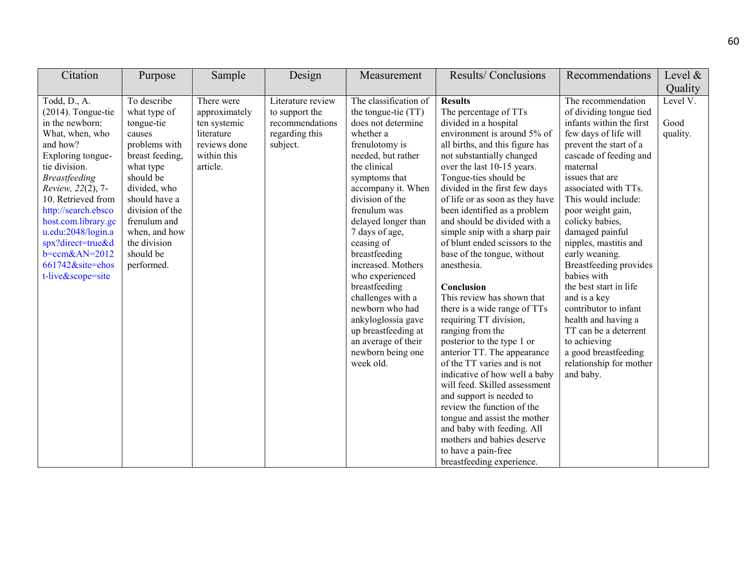| Citation                                                                                                                                                                                                                                                                                                                                                     | Purpose                                                                                                                                                                                                                                           | Sample                                                                                               | Design                                                                               | Measurement                                                                                                                                                                                                                                                                                                                                                                                                                                                                                       | <b>Results/Conclusions</b>                                                                                                                                                                                                                                                                                                                                                                                                                                                                                                                                                                                                                                                                                                                                                                                                                                                                                                                                                    | Recommendations                                                                                                                                                                                                                                                                                                                                                                                                                                                                                                                                                                        | Level $\&$                   |
|--------------------------------------------------------------------------------------------------------------------------------------------------------------------------------------------------------------------------------------------------------------------------------------------------------------------------------------------------------------|---------------------------------------------------------------------------------------------------------------------------------------------------------------------------------------------------------------------------------------------------|------------------------------------------------------------------------------------------------------|--------------------------------------------------------------------------------------|---------------------------------------------------------------------------------------------------------------------------------------------------------------------------------------------------------------------------------------------------------------------------------------------------------------------------------------------------------------------------------------------------------------------------------------------------------------------------------------------------|-------------------------------------------------------------------------------------------------------------------------------------------------------------------------------------------------------------------------------------------------------------------------------------------------------------------------------------------------------------------------------------------------------------------------------------------------------------------------------------------------------------------------------------------------------------------------------------------------------------------------------------------------------------------------------------------------------------------------------------------------------------------------------------------------------------------------------------------------------------------------------------------------------------------------------------------------------------------------------|----------------------------------------------------------------------------------------------------------------------------------------------------------------------------------------------------------------------------------------------------------------------------------------------------------------------------------------------------------------------------------------------------------------------------------------------------------------------------------------------------------------------------------------------------------------------------------------|------------------------------|
|                                                                                                                                                                                                                                                                                                                                                              |                                                                                                                                                                                                                                                   |                                                                                                      |                                                                                      |                                                                                                                                                                                                                                                                                                                                                                                                                                                                                                   |                                                                                                                                                                                                                                                                                                                                                                                                                                                                                                                                                                                                                                                                                                                                                                                                                                                                                                                                                                               |                                                                                                                                                                                                                                                                                                                                                                                                                                                                                                                                                                                        | Quality                      |
| Todd, D., A.<br>$(2014)$ . Tongue-tie<br>in the newborn:<br>What, when, who<br>and how?<br>Exploring tongue-<br>tie division.<br><b>Breastfeeding</b><br>Review, 22(2), 7-<br>10. Retrieved from<br>http://search.ebsco<br>host.com.library.gc<br>u.edu:2048/login.a<br>spx?direct=true&d<br>$b = c$ cm $&$ AN=2012<br>661742&site=ehos<br>t-live&scope=site | To describe<br>what type of<br>tongue-tie<br>causes<br>problems with<br>breast feeding,<br>what type<br>should be<br>divided, who<br>should have a<br>division of the<br>frenulum and<br>when, and how<br>the division<br>should be<br>performed. | There were<br>approximately<br>ten systemic<br>literature<br>reviews done<br>within this<br>article. | Literature review<br>to support the<br>recommendations<br>regarding this<br>subject. | The classification of<br>the tongue-tie (TT)<br>does not determine<br>whether a<br>frenulotomy is<br>needed, but rather<br>the clinical<br>symptoms that<br>accompany it. When<br>division of the<br>frenulum was<br>delayed longer than<br>7 days of age,<br>ceasing of<br>breastfeeding<br>increased. Mothers<br>who experienced<br>breastfeeding<br>challenges with a<br>newborn who had<br>ankyloglossia gave<br>up breastfeeding at<br>an average of their<br>newborn being one<br>week old. | <b>Results</b><br>The percentage of TTs<br>divided in a hospital<br>environment is around 5% of<br>all births, and this figure has<br>not substantially changed<br>over the last 10-15 years.<br>Tongue-ties should be<br>divided in the first few days<br>of life or as soon as they have<br>been identified as a problem<br>and should be divided with a<br>simple snip with a sharp pair<br>of blunt ended scissors to the<br>base of the tongue, without<br>anesthesia.<br>Conclusion<br>This review has shown that<br>there is a wide range of TTs<br>requiring TT division,<br>ranging from the<br>posterior to the type 1 or<br>anterior TT. The appearance<br>of the TT varies and is not<br>indicative of how well a baby<br>will feed. Skilled assessment<br>and support is needed to<br>review the function of the<br>tongue and assist the mother<br>and baby with feeding. All<br>mothers and babies deserve<br>to have a pain-free<br>breastfeeding experience. | The recommendation<br>of dividing tongue tied<br>infants within the first<br>few days of life will<br>prevent the start of a<br>cascade of feeding and<br>maternal<br>issues that are<br>associated with TTs.<br>This would include:<br>poor weight gain,<br>colicky babies,<br>damaged painful<br>nipples, mastitis and<br>early weaning.<br>Breastfeeding provides<br>babies with<br>the best start in life<br>and is a key<br>contributor to infant<br>health and having a<br>TT can be a deterrent<br>to achieving<br>a good breastfeeding<br>relationship for mother<br>and baby. | Level V.<br>Good<br>quality. |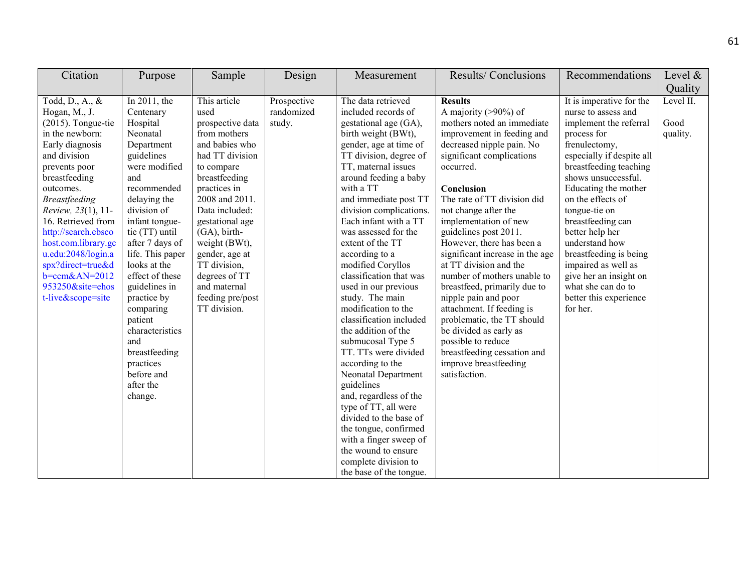| Citation                                                                                                                                                                                                                                                                                                                                                                                       | Purpose                                                                                                                                                                                                                                                                                                                                                                                                                    | Sample                                                                                                                                                                                                                                                                                                                                      | Design                              | Measurement                                                                                                                                                                                                                                                                                                                                                                                                                                                                                                                                                                                                                                                                                                                                                                                                                              | Results/Conclusions                                                                                                                                                                                                                                                                                                                                                                                                                                                                                                                                                                                                                                                      | Recommendations                                                                                                                                                                                                                                                                                                                                                                                                                                        | Level $\&$                    |
|------------------------------------------------------------------------------------------------------------------------------------------------------------------------------------------------------------------------------------------------------------------------------------------------------------------------------------------------------------------------------------------------|----------------------------------------------------------------------------------------------------------------------------------------------------------------------------------------------------------------------------------------------------------------------------------------------------------------------------------------------------------------------------------------------------------------------------|---------------------------------------------------------------------------------------------------------------------------------------------------------------------------------------------------------------------------------------------------------------------------------------------------------------------------------------------|-------------------------------------|------------------------------------------------------------------------------------------------------------------------------------------------------------------------------------------------------------------------------------------------------------------------------------------------------------------------------------------------------------------------------------------------------------------------------------------------------------------------------------------------------------------------------------------------------------------------------------------------------------------------------------------------------------------------------------------------------------------------------------------------------------------------------------------------------------------------------------------|--------------------------------------------------------------------------------------------------------------------------------------------------------------------------------------------------------------------------------------------------------------------------------------------------------------------------------------------------------------------------------------------------------------------------------------------------------------------------------------------------------------------------------------------------------------------------------------------------------------------------------------------------------------------------|--------------------------------------------------------------------------------------------------------------------------------------------------------------------------------------------------------------------------------------------------------------------------------------------------------------------------------------------------------------------------------------------------------------------------------------------------------|-------------------------------|
|                                                                                                                                                                                                                                                                                                                                                                                                |                                                                                                                                                                                                                                                                                                                                                                                                                            |                                                                                                                                                                                                                                                                                                                                             |                                     |                                                                                                                                                                                                                                                                                                                                                                                                                                                                                                                                                                                                                                                                                                                                                                                                                                          |                                                                                                                                                                                                                                                                                                                                                                                                                                                                                                                                                                                                                                                                          |                                                                                                                                                                                                                                                                                                                                                                                                                                                        | Quality                       |
| Todd, D., A., &<br>Hogan, M., J.<br>$(2015)$ . Tongue-tie<br>in the newborn:<br>Early diagnosis<br>and division<br>prevents poor<br>breastfeeding<br>outcomes.<br><b>Breastfeeding</b><br>Review, 23(1), 11-<br>16. Retrieved from<br>http://search.ebsco<br>host.com.library.gc<br>u.edu:2048/login.a<br>spx?direct=true&d<br>$b = c$ cm $&$ AN=2012<br>953250&site=ehos<br>t-live&scope=site | In $2011$ , the<br>Centenary<br>Hospital<br>Neonatal<br>Department<br>guidelines<br>were modified<br>and<br>recommended<br>delaying the<br>division of<br>infant tongue-<br>tie (TT) until<br>after 7 days of<br>life. This paper<br>looks at the<br>effect of these<br>guidelines in<br>practice by<br>comparing<br>patient<br>characteristics<br>and<br>breastfeeding<br>practices<br>before and<br>after the<br>change. | This article<br>used<br>prospective data<br>from mothers<br>and babies who<br>had TT division<br>to compare<br>breastfeeding<br>practices in<br>2008 and 2011.<br>Data included:<br>gestational age<br>(GA), birth-<br>weight (BWt),<br>gender, age at<br>TT division,<br>degrees of TT<br>and maternal<br>feeding pre/post<br>TT division. | Prospective<br>randomized<br>study. | The data retrieved<br>included records of<br>gestational age (GA),<br>birth weight (BWt),<br>gender, age at time of<br>TT division, degree of<br>TT, maternal issues<br>around feeding a baby<br>with a TT<br>and immediate post TT<br>division complications.<br>Each infant with a TT<br>was assessed for the<br>extent of the TT<br>according to a<br>modified Coryllos<br>classification that was<br>used in our previous<br>study. The main<br>modification to the<br>classification included<br>the addition of the<br>submucosal Type 5<br>TT. TTs were divided<br>according to the<br>Neonatal Department<br>guidelines<br>and, regardless of the<br>type of TT, all were<br>divided to the base of<br>the tongue, confirmed<br>with a finger sweep of<br>the wound to ensure<br>complete division to<br>the base of the tongue. | <b>Results</b><br>A majority $(>90\%)$ of<br>mothers noted an immediate<br>improvement in feeding and<br>decreased nipple pain. No<br>significant complications<br>occurred.<br>Conclusion<br>The rate of TT division did<br>not change after the<br>implementation of new<br>guidelines post 2011.<br>However, there has been a<br>significant increase in the age<br>at TT division and the<br>number of mothers unable to<br>breastfeed, primarily due to<br>nipple pain and poor<br>attachment. If feeding is<br>problematic, the TT should<br>be divided as early as<br>possible to reduce<br>breastfeeding cessation and<br>improve breastfeeding<br>satisfaction. | It is imperative for the<br>nurse to assess and<br>implement the referral<br>process for<br>frenulectomy,<br>especially if despite all<br>breastfeeding teaching<br>shows unsuccessful.<br>Educating the mother<br>on the effects of<br>tongue-tie on<br>breastfeeding can<br>better help her<br>understand how<br>breastfeeding is being<br>impaired as well as<br>give her an insight on<br>what she can do to<br>better this experience<br>for her. | Level II.<br>Good<br>quality. |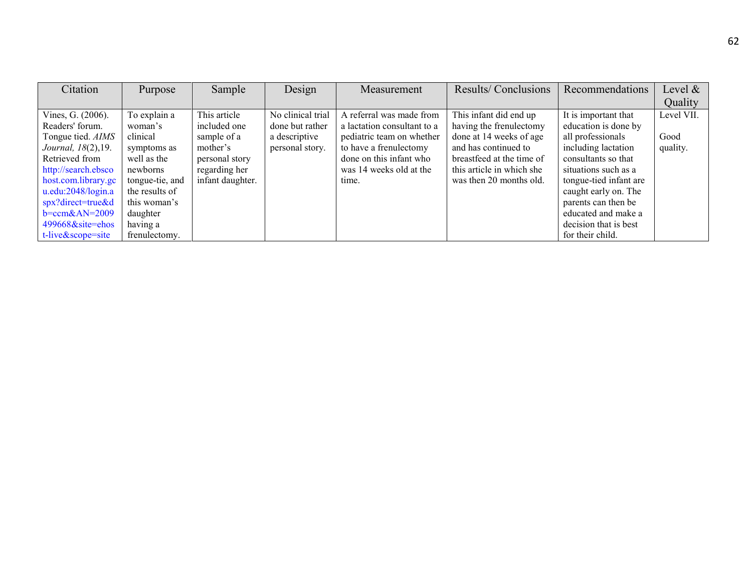| Citation                | Purpose         | Sample           | Design            | Measurement                 | Results/Conclusions       | Recommendations        | Level &    |
|-------------------------|-----------------|------------------|-------------------|-----------------------------|---------------------------|------------------------|------------|
|                         |                 |                  |                   |                             |                           |                        | Quality    |
| Vines, G. (2006).       | To explain a    | This article     | No clinical trial | A referral was made from    | This infant did end up    | It is important that   | Level VII. |
| Readers' forum.         | woman's         | included one     | done but rather   | a lactation consultant to a | having the frenulectomy   | education is done by   |            |
| Tongue tied. AIMS       | clinical        | sample of a      | a descriptive     | pediatric team on whether   | done at 14 weeks of age   | all professionals      | Good       |
| Journal, 18(2), 19.     | symptoms as     | mother's         | personal story.   | to have a frenulectomy      | and has continued to      | including lactation    | quality.   |
| Retrieved from          | well as the     | personal story   |                   | done on this infant who     | breastfeed at the time of | consultants so that    |            |
| http://search.ebsco     | newborns        | regarding her    |                   | was 14 weeks old at the     | this article in which she | situations such as a   |            |
| host.com.library.gc     | tongue-tie, and | infant daughter. |                   | time.                       | was then 20 months old.   | tongue-tied infant are |            |
| u.edu:2048/login.a      | the results of  |                  |                   |                             |                           | caught early on. The   |            |
| spx?direct=true&d       | this woman's    |                  |                   |                             |                           | parents can then be    |            |
| $b = c$ cm $\&$ AN=2009 | daughter        |                  |                   |                             |                           | educated and make a    |            |
| 499668&site=ehos        | having a        |                  |                   |                             |                           | decision that is best  |            |
| t-live&scope=site       | frenulectomy.   |                  |                   |                             |                           | for their child.       |            |